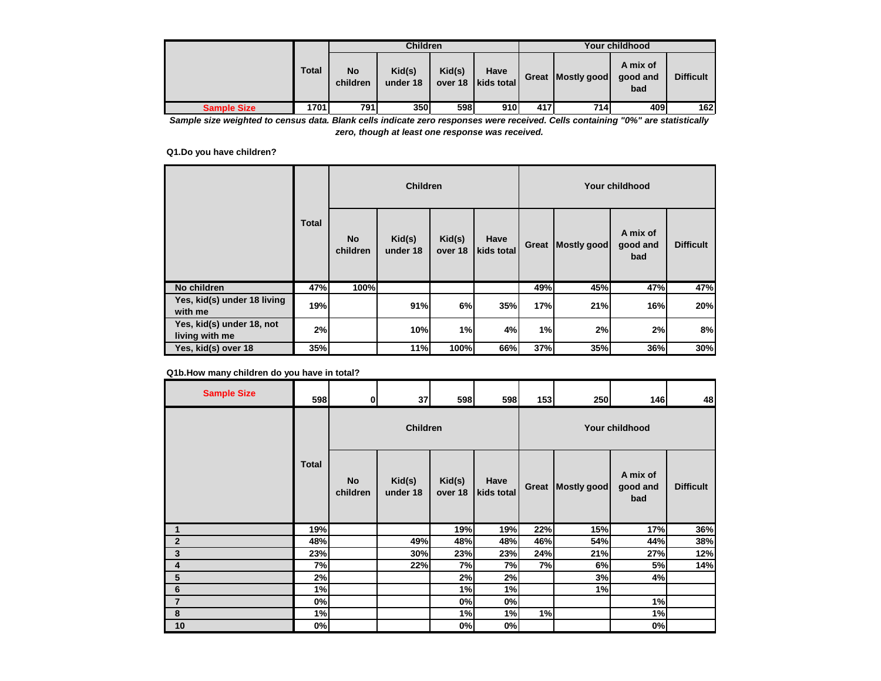|                    |       | <b>Children</b><br><b>Your childhood</b> |                    |        |                              |     |                   |                             |                  |
|--------------------|-------|------------------------------------------|--------------------|--------|------------------------------|-----|-------------------|-----------------------------|------------------|
|                    | Total | No<br>children                           | Kid(s)<br>under 18 | Kid(s) | Have<br>over 18   kids total |     | Great Mostly good | A mix of<br>good and<br>bad | <b>Difficult</b> |
| <b>Sample Size</b> | 1701  | 791                                      | 350 l              | 598    | 910                          | 417 | 714               | 409                         | 162              |

*Sample size weighted to census data. Blank cells indicate zero responses were received. Cells containing "0%" are statistically zero, though at least one response was received.*

## **Q1.Do you have children?**

|                                             |              |                       | <b>Children</b>    |                   |                    | Your childhood |             |                             |                  |  |
|---------------------------------------------|--------------|-----------------------|--------------------|-------------------|--------------------|----------------|-------------|-----------------------------|------------------|--|
|                                             | <b>Total</b> | <b>No</b><br>children | Kid(s)<br>under 18 | Kid(s)<br>over 18 | Have<br>kids total | Great          | Mostly good | A mix of<br>good and<br>bad | <b>Difficult</b> |  |
| No children                                 | 47%          | 100%                  |                    |                   |                    | 49%            | 45%         | 47%                         | 47%              |  |
| Yes, kid(s) under 18 living<br>with me      | 19%          |                       | 91%                | 6%                | 35%                | 17%            | 21%         | 16%                         | 20%              |  |
| Yes, kid(s) under 18, not<br>living with me | 2%           |                       | 10%                | 1%                | 4%                 | 1%             | 2%          | 2%                          | 8%               |  |
| Yes, kid(s) over 18                         | 35%          |                       | 11%                | 100%              | 66%                | 37%            | 35%         | 36%                         | 30%              |  |

**Q1b.How many children do you have in total?**

| <b>Sample Size</b> | 598          | 0                     | 37                 | 598               | 598                | 153   | 250         | 146                         | 48               |
|--------------------|--------------|-----------------------|--------------------|-------------------|--------------------|-------|-------------|-----------------------------|------------------|
|                    |              |                       | <b>Children</b>    |                   |                    |       |             | <b>Your childhood</b>       |                  |
|                    | <b>Total</b> | <b>No</b><br>children | Kid(s)<br>under 18 | Kid(s)<br>over 18 | Have<br>kids total | Great | Mostly good | A mix of<br>good and<br>bad | <b>Difficult</b> |
| 1                  | 19%          |                       |                    | 19%               | 19%                | 22%   | 15%         | 17%                         | 36%              |
| $\overline{2}$     | 48%          |                       | 49%                | 48%               | 48%                | 46%   | 54%         | 44%                         | 38%              |
| 3                  | 23%          |                       | 30%                | 23%               | 23%                | 24%   | 21%         | 27%                         | 12%              |
| 4                  | 7%           |                       | 22%                | 7%                | 7%                 | 7%    | 6%          | 5%                          | 14%              |
| 5                  | 2%           |                       |                    | 2%                | 2%                 |       | 3%          | 4%                          |                  |
| $6\phantom{1}$     | 1%           |                       |                    | 1%                | 1%                 |       | 1%          |                             |                  |
| $\overline{7}$     | 0%           |                       |                    | 0%                | 0%                 |       |             | 1%                          |                  |
| 8                  | 1%           |                       |                    | 1%                | 1%                 | 1%    |             | 1%                          |                  |
| 10                 | 0%           |                       |                    | 0%                | 0%                 |       |             | 0%                          |                  |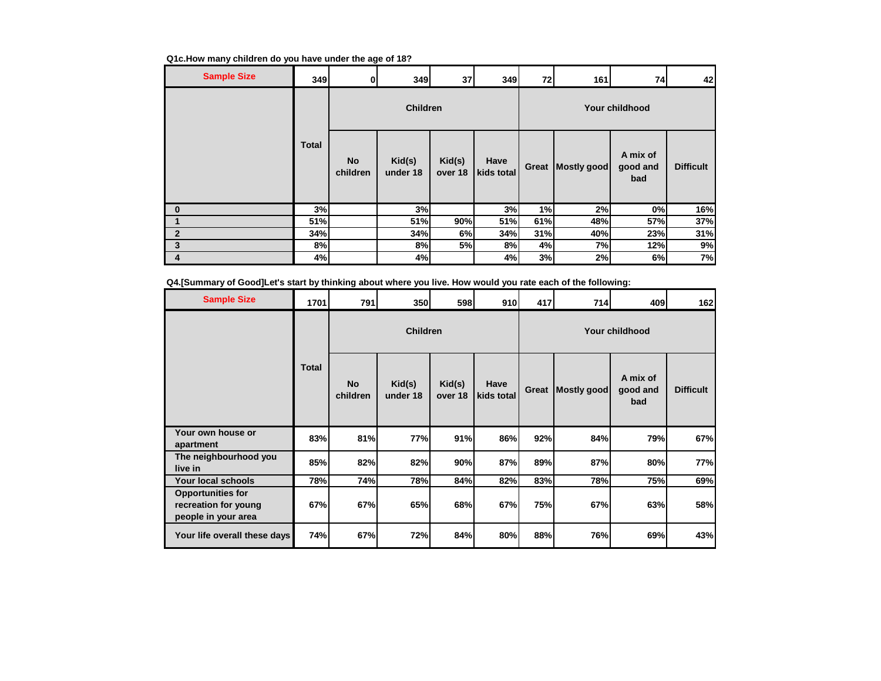| <b>Sample Size</b> | 349          | 0                     | 349                | 37                | 349                | 72    | 161         | 74                          | 42               |
|--------------------|--------------|-----------------------|--------------------|-------------------|--------------------|-------|-------------|-----------------------------|------------------|
|                    |              |                       | <b>Children</b>    |                   |                    |       |             | <b>Your childhood</b>       |                  |
|                    | <b>Total</b> | <b>No</b><br>children | Kid(s)<br>under 18 | Kid(s)<br>over 18 | Have<br>kids total | Great | Mostly good | A mix of<br>good and<br>bad | <b>Difficult</b> |
| $\bf{0}$           | 3%           |                       | 3%                 |                   | 3%                 | 1%    | 2%          | 0%                          | 16%              |
|                    | 51%          |                       | 51%                | 90%               | 51%                | 61%   | 48%         | 57%                         | 37%              |
| $\overline{2}$     | 34%          |                       | 34%                | 6%                | 34%                | 31%   | 40%         | 23%                         | 31%              |
| 3                  | 8%           |                       | 8%                 | 5%                | 8%                 | 4%    | 7%          | 12%                         | 9%               |
| 4                  | 4%           |                       | 4%                 |                   | 4%                 | 3%    | 2%          | 6%                          | 7%               |

**Q4.[Summary of Good]Let's start by thinking about where you live. How would you rate each of the following:**

| <b>Sample Size</b>                                                      | 1701         | 791                   | 350                | 598               | 910                | 417 | 714                 | 409                         | 162              |  |  |  |
|-------------------------------------------------------------------------|--------------|-----------------------|--------------------|-------------------|--------------------|-----|---------------------|-----------------------------|------------------|--|--|--|
|                                                                         | <b>Total</b> | <b>Children</b>       |                    |                   |                    |     | Your childhood      |                             |                  |  |  |  |
|                                                                         |              | <b>No</b><br>children | Kid(s)<br>under 18 | Kid(s)<br>over 18 | Have<br>kids total |     | Great   Mostly good | A mix of<br>good and<br>bad | <b>Difficult</b> |  |  |  |
| Your own house or<br>apartment                                          | 83%          | 81%                   | 77%                | 91%               | 86%                | 92% | 84%                 | 79%                         | 67%              |  |  |  |
| The neighbourhood you<br>live in                                        | 85%          | 82%                   | 82%                | 90%               | 87%                | 89% | 87%                 | 80%                         | 77%              |  |  |  |
| Your local schools                                                      | 78%          | 74%                   | <b>78%</b>         | 84%               | 82%                | 83% | 78%                 | 75%                         | 69%              |  |  |  |
| <b>Opportunities for</b><br>recreation for young<br>people in your area | 67%          | 67%                   | 65%                | 68%               | 67%                | 75% | 67%                 | 63%                         | 58%              |  |  |  |
| Your life overall these days                                            | 74%          | 67%                   | 72%                | 84%               | 80%                | 88% | 76%                 | 69%                         | 43%              |  |  |  |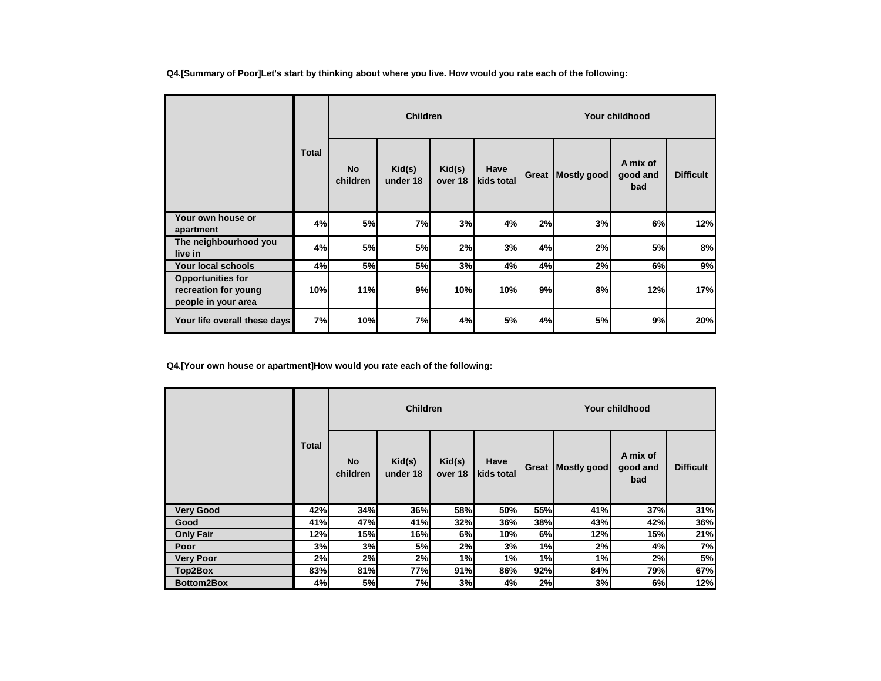**Q4.[Summary of Poor]Let's start by thinking about where you live. How would you rate each of the following:**

|                                                                         |              |                       | <b>Children</b>    |                   |                    | Your childhood |             |                             |                  |  |
|-------------------------------------------------------------------------|--------------|-----------------------|--------------------|-------------------|--------------------|----------------|-------------|-----------------------------|------------------|--|
|                                                                         | <b>Total</b> | <b>No</b><br>children | Kid(s)<br>under 18 | Kid(s)<br>over 18 | Have<br>kids total | Great          | Mostly good | A mix of<br>good and<br>bad | <b>Difficult</b> |  |
| Your own house or<br>apartment                                          | 4%           | 5%                    | 7%                 | 3%                | 4%                 | 2%             | 3%          | 6%                          | 12%              |  |
| The neighbourhood you<br>live in                                        | 4%           | 5%                    | 5%                 | 2%                | 3%                 | 4%             | 2%          | <b>5%</b>                   | 8%               |  |
| <b>Your local schools</b>                                               | 4%           | 5%                    | <b>5%</b>          | 3%                | 4%                 | 4%             | 2%          | 6%                          | 9%               |  |
| <b>Opportunities for</b><br>recreation for young<br>people in your area | 10%          | 11%                   | 9%                 | 10%               | 10%                | 9%             | 8%          | 12%                         | 17%              |  |
| Your life overall these days                                            | 7%           | 10%                   | 7%                 | 4%                | 5%                 | 4%             | 5%          | 9%                          | 20%              |  |

**Q4.[Your own house or apartment]How would you rate each of the following:**

|                   | <b>Total</b> | <b>Children</b>       |                    |                   |                    |       | Your childhood |                             |                  |  |  |
|-------------------|--------------|-----------------------|--------------------|-------------------|--------------------|-------|----------------|-----------------------------|------------------|--|--|
|                   |              | <b>No</b><br>children | Kid(s)<br>under 18 | Kid(s)<br>over 18 | Have<br>kids total | Great | Mostly good    | A mix of<br>good and<br>bad | <b>Difficult</b> |  |  |
| <b>Very Good</b>  | 42%          | 34%                   | 36%                | 58%               | 50%                | 55%   | 41%            | 37%                         | 31%              |  |  |
| Good              | 41%          | 47%                   | 41%                | 32%               | 36%                | 38%   | 43%            | 42%                         | 36%              |  |  |
| <b>Only Fair</b>  | 12%          | 15%                   | 16%                | 6%                | 10%                | 6%    | 12%            | 15%                         | 21%              |  |  |
| Poor              | 3%           | 3%                    | 5%                 | 2%                | 3%                 | 1%    | 2%             | 4%                          | 7%               |  |  |
| <b>Very Poor</b>  | 2%           | 2%                    | 2%                 | 1%                | 1%                 | 1%    | 1%             | 2%                          | 5%               |  |  |
| Top2Box           | 83%          | 81%                   | 77%                | 91%               | 86%                | 92%   | 84%            | 79%                         | 67%              |  |  |
| <b>Bottom2Box</b> | 4%           | 5%                    | 7%                 | 3%                | 4%                 | 2%    | 3%             | 6%                          | 12%              |  |  |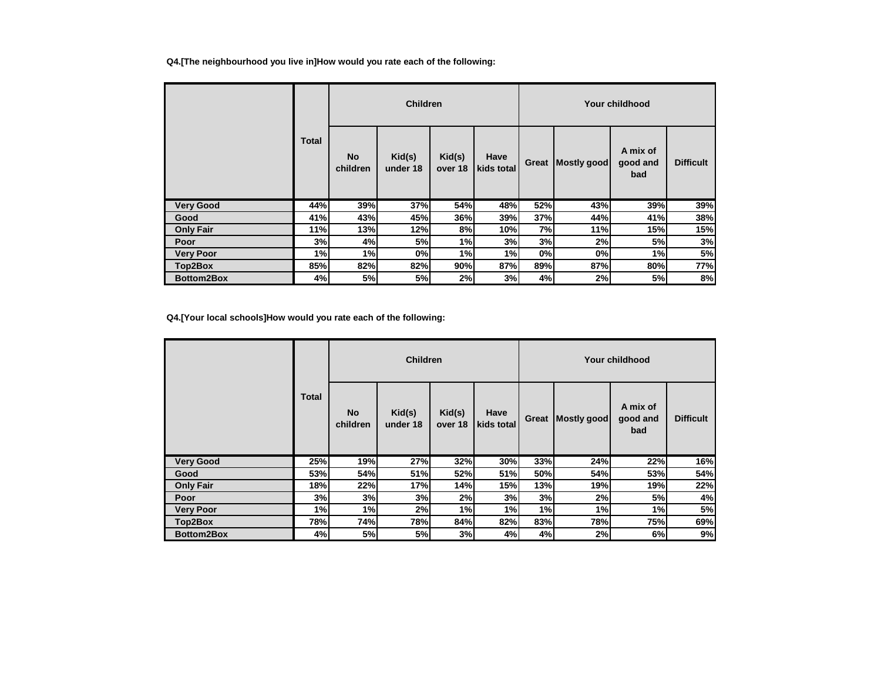## **Q4.[The neighbourhood you live in]How would you rate each of the following:**

|                   | Total | <b>Children</b>       |                    |                   |                    |       | Your childhood |                             |                  |  |  |
|-------------------|-------|-----------------------|--------------------|-------------------|--------------------|-------|----------------|-----------------------------|------------------|--|--|
|                   |       | <b>No</b><br>children | Kid(s)<br>under 18 | Kid(s)<br>over 18 | Have<br>kids total | Great | Mostly good    | A mix of<br>good and<br>bad | <b>Difficult</b> |  |  |
| <b>Very Good</b>  | 44%   | 39%                   | 37%                | 54%               | 48%                | 52%   | 43%            | 39%                         | 39%              |  |  |
| Good              | 41%   | 43%                   | 45%                | 36%               | 39%                | 37%   | 44%            | 41%                         | 38%              |  |  |
| <b>Only Fair</b>  | 11%   | 13%                   | 12%                | 8%                | 10%                | 7%    | 11%            | 15%                         | 15%              |  |  |
| Poor              | 3%    | 4%                    | 5%                 | 1%                | 3%                 | 3%    | 2%             | 5%                          | 3%               |  |  |
| Very Poor         | 1%    | 1%                    | 0%                 | 1%                | 1%                 | 0%    | 0%             | 1%                          | 5%               |  |  |
| Top2Box           | 85%   | 82%                   | 82%                | 90%               | 87%                | 89%   | 87%            | 80%                         | 77%              |  |  |
| <b>Bottom2Box</b> | 4%    | 5%                    | 5%                 | 2%                | 3%                 | 4%    | 2%             | 5%                          | 8%               |  |  |

## **Q4.[Your local schools]How would you rate each of the following:**

|                  | <b>Total</b> | <b>Children</b>       |                    |                   |                    |       | Your childhood |                             |                  |  |  |
|------------------|--------------|-----------------------|--------------------|-------------------|--------------------|-------|----------------|-----------------------------|------------------|--|--|
|                  |              | <b>No</b><br>children | Kid(s)<br>under 18 | Kid(s)<br>over 18 | Have<br>kids total | Great | Mostly good    | A mix of<br>good and<br>bad | <b>Difficult</b> |  |  |
| <b>Very Good</b> | 25%          | 19%                   | 27%                | 32%               | 30%                | 33%   | 24%            | 22%                         | 16%              |  |  |
| Good             | 53%          | 54%                   | 51%                | 52%               | 51%                | 50%   | 54%            | 53%                         | 54%              |  |  |
| <b>Only Fair</b> | 18%          | 22%                   | 17%                | 14%               | 15%                | 13%   | 19%            | 19%                         | 22%              |  |  |
| Poor             | 3%           | 3%                    | 3%                 | 2%                | 3%                 | 3%    | 2%             | 5%                          | 4%               |  |  |
| <b>Very Poor</b> | 1%           | 1%                    | 2%                 | 1%                | 1%                 | 1%    | 1%             | 1%                          | 5%               |  |  |
| Top2Box          | 78%          | 74%                   | 78%                | 84%               | 82%                | 83%   | 78%            | 75%                         | 69%              |  |  |
| Bottom2Box       | 4%           | 5%                    | 5%                 | 3%                | 4%                 | 4%    | 2%             | 6%                          | 9%               |  |  |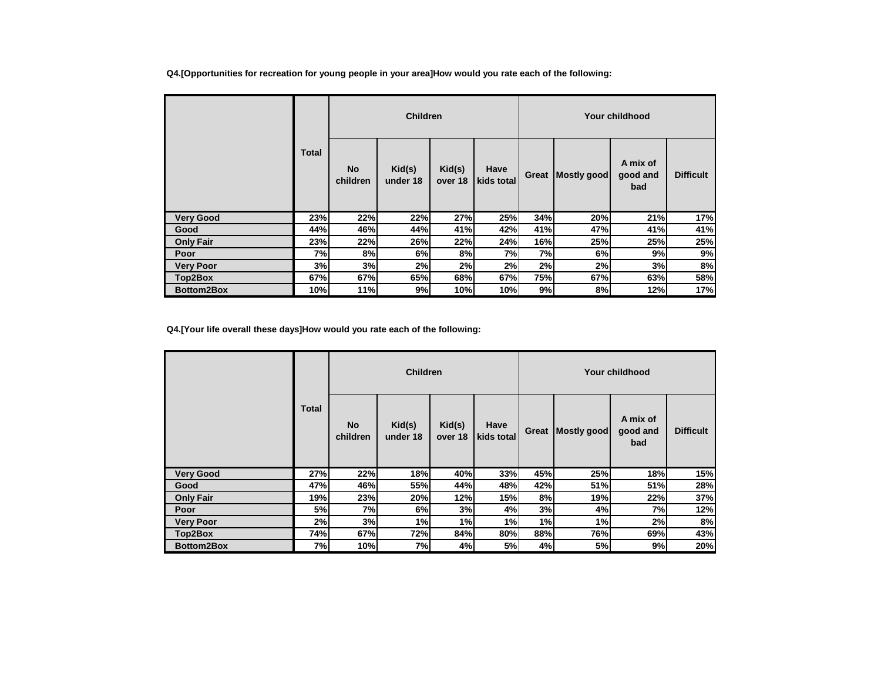**Q4.[Opportunities for recreation for young people in your area]How would you rate each of the following:**

|                  | <b>Children</b> |                       |                    |                   |                    | Your childhood |             |                             |                  |  |
|------------------|-----------------|-----------------------|--------------------|-------------------|--------------------|----------------|-------------|-----------------------------|------------------|--|
|                  | Total           | <b>No</b><br>children | Kid(s)<br>under 18 | Kid(s)<br>over 18 | Have<br>kids total | Great          | Mostly good | A mix of<br>good and<br>bad | <b>Difficult</b> |  |
| <b>Very Good</b> | 23%             | 22%                   | 22%                | 27%               | 25%                | 34%            | 20%         | 21%                         | 17%              |  |
| Good             | 44%             | 46%                   | 44%                | 41%               | 42%                | 41%            | 47%         | 41%                         | 41%              |  |
| <b>Only Fair</b> | 23%             | 22%                   | 26%                | 22%               | 24%                | 16%            | 25%         | 25%                         | 25%              |  |
| Poor             | 7%              | 8%                    | 6%                 | 8%                | 7%                 | 7%             | 6%          | 9%                          | 9%               |  |
| <b>Very Poor</b> | 3%              | 3%                    | 2%                 | 2%                | 2%                 | 2%             | 2%          | 3%                          | 8%               |  |
| Top2Box          | 67%             | 67%                   | 65%                | 68%               | 67%                | 75%            | 67%         | 63%                         | 58%              |  |
| Bottom2Box       | 10%             | 11%                   | 9%                 | 10%               | 10%                | 9%             | 8%          | 12%                         | 17%              |  |

**Q4.[Your life overall these days]How would you rate each of the following:**

|                  | <b>Total</b> | <b>Children</b> |                    |                   |                    |       | Your childhood |                             |                  |  |  |
|------------------|--------------|-----------------|--------------------|-------------------|--------------------|-------|----------------|-----------------------------|------------------|--|--|
|                  |              | No<br>children  | Kid(s)<br>under 18 | Kid(s)<br>over 18 | Have<br>kids total | Great | Mostly good    | A mix of<br>good and<br>bad | <b>Difficult</b> |  |  |
| <b>Very Good</b> | 27%          | 22%             | 18%                | 40%               | 33%                | 45%   | 25%            | 18%                         | 15%              |  |  |
| Good             | 47%          | 46%             | 55%                | 44%               | 48%                | 42%   | 51%            | 51%                         | 28%              |  |  |
| <b>Only Fair</b> | 19%          | 23%             | 20%                | 12%               | 15%                | 8%    | 19%            | 22%                         | 37%              |  |  |
| Poor             | 5%           | 7%              | 6%                 | 3%                | 4%                 | 3%    | 4%             | 7%                          | 12%              |  |  |
| <b>Very Poor</b> | 2%           | 3%              | 1%                 | 1%                | 1%                 | 1%    | 1%             | 2%                          | 8%               |  |  |
| Top2Box          | 74%          | 67%             | 72%                | 84%               | 80%                | 88%   | 76%            | 69%                         | 43%              |  |  |
| Bottom2Box       | 7%           | 10%             | 7%                 | 4%                | 5%                 | 4%    | 5%             | 9%                          | 20%              |  |  |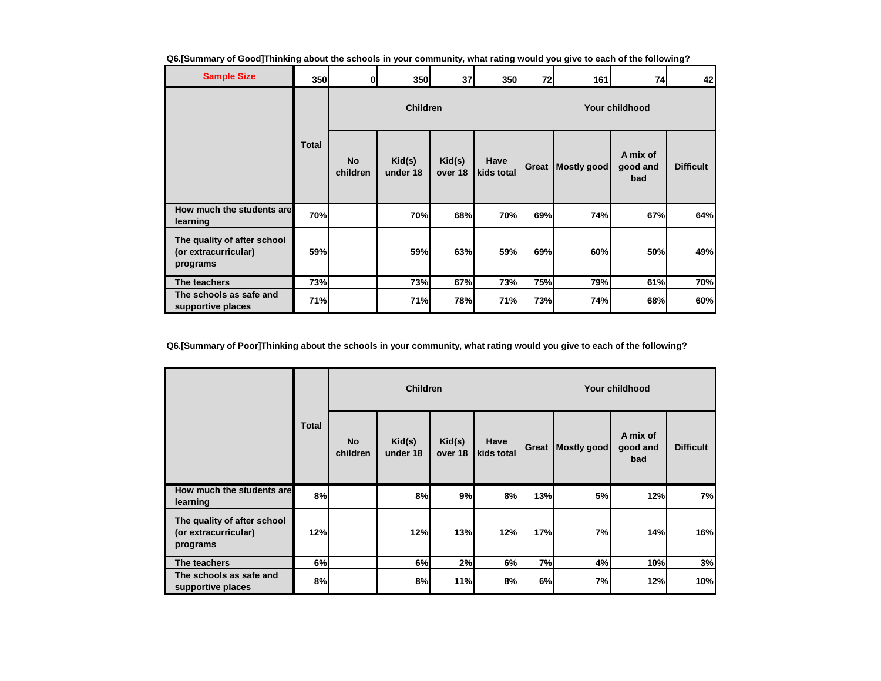|  |  | Q6.[Summary of Good]Thinking about the schools in your community, what rating would you give to each of the following? |
|--|--|------------------------------------------------------------------------------------------------------------------------|
|  |  |                                                                                                                        |

| <b>Sample Size</b>                                              | <b>350</b>   | $\mathbf{0}$          | <b>350</b>         | 37                | 350                | 72    | 161         | 74                          | 42               |
|-----------------------------------------------------------------|--------------|-----------------------|--------------------|-------------------|--------------------|-------|-------------|-----------------------------|------------------|
|                                                                 |              |                       | <b>Children</b>    |                   |                    |       |             | Your childhood              |                  |
|                                                                 | <b>Total</b> | <b>No</b><br>children | Kid(s)<br>under 18 | Kid(s)<br>over 18 | Have<br>kids total | Great | Mostly good | A mix of<br>good and<br>bad | <b>Difficult</b> |
| How much the students are<br>learning                           | <b>70%</b>   |                       | 70%                | 68%               | 70%                | 69%   | 74%         | 67%                         | 64%              |
| The quality of after school<br>(or extracurricular)<br>programs | 59%          |                       | 59%                | 63%               | 59%                | 69%   | 60%         | 50%                         | 49%              |
| The teachers                                                    | 73%          |                       | 73%                | 67%               | 73%                | 75%   | 79%         | 61%                         | 70%              |
| The schools as safe and<br>supportive places                    | 71%          |                       | 71%                | 78%               | 71%                | 73%   | 74%         | 68%                         | 60%              |

**Q6.[Summary of Poor]Thinking about the schools in your community, what rating would you give to each of the following?**

|                                                                 | <b>Total</b> | <b>Children</b> |                    |                   |                    |       | <b>Your childhood</b> |                             |                  |  |  |
|-----------------------------------------------------------------|--------------|-----------------|--------------------|-------------------|--------------------|-------|-----------------------|-----------------------------|------------------|--|--|
|                                                                 |              | No<br>children  | Kid(s)<br>under 18 | Kid(s)<br>over 18 | Have<br>kids total | Great | Mostly good           | A mix of<br>good and<br>bad | <b>Difficult</b> |  |  |
| How much the students are<br>learning                           | 8%           |                 | 8%                 | 9%                | 8%                 | 13%   | 5%                    | 12%                         | 7%               |  |  |
| The quality of after school<br>(or extracurricular)<br>programs | 12%          |                 | 12%                | 13%               | 12%                | 17%   | 7%                    | 14%                         | 16%              |  |  |
| The teachers                                                    | 6%           |                 | 6%                 | 2%                | 6%                 | 7%    | 4%                    | 10%                         | 3%               |  |  |
| The schools as safe and<br>supportive places                    | 8%           |                 | 8%                 | 11%               | 8%                 | 6%    | 7%                    | 12%                         | 10%              |  |  |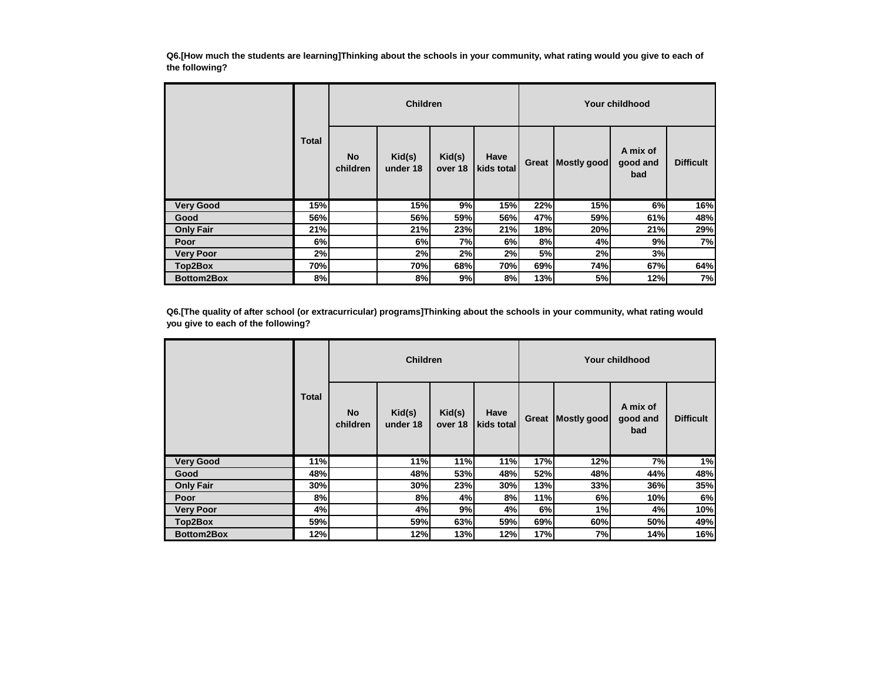**Q6.[How much the students are learning]Thinking about the schools in your community, what rating would you give to each of the following?**

|                  | <b>Total</b> |                       | <b>Children</b>    |                   |                    |           |             | Your childhood              |                  |
|------------------|--------------|-----------------------|--------------------|-------------------|--------------------|-----------|-------------|-----------------------------|------------------|
|                  |              | <b>No</b><br>children | Kid(s)<br>under 18 | Kid(s)<br>over 18 | Have<br>kids total | Great     | Mostly good | A mix of<br>good and<br>bad | <b>Difficult</b> |
| <b>Very Good</b> | 15%          |                       | 15%                | 9%                | 15%                | 22%       | 15%         | 6%                          | 16%              |
| Good             | 56%          |                       | 56%                | 59%               | 56%                | 47%       | 59%         | 61%                         | 48%              |
| <b>Only Fair</b> | 21%          |                       | 21%                | 23%               | 21%                | 18%       | 20%         | 21%                         | 29%              |
| Poor             | 6%           |                       | 6%                 | 7%                | 6%                 | 8%        | 4%          | 9%                          | 7%               |
| <b>Very Poor</b> | 2%           |                       | 2%                 | 2%                | 2%                 | <b>5%</b> | 2%          | 3%                          |                  |
| Top2Box          | 70%          |                       | 70%                | 68%               | 70%                | 69%       | 74%         | 67%                         | 64%              |
| Bottom2Box       | 8%           |                       | 8%                 | 9%                | 8%                 | 13%       | 5%          | 12%                         | 7%               |

**Q6.[The quality of after school (or extracurricular) programs]Thinking about the schools in your community, what rating would you give to each of the following?**

|                   | Total |                       | <b>Children</b>    |                   |                    |       |             | Your childhood              |                  |
|-------------------|-------|-----------------------|--------------------|-------------------|--------------------|-------|-------------|-----------------------------|------------------|
|                   |       | <b>No</b><br>children | Kid(s)<br>under 18 | Kid(s)<br>over 18 | Have<br>kids total | Great | Mostly good | A mix of<br>good and<br>bad | <b>Difficult</b> |
| <b>Very Good</b>  | 11%   |                       | 11%                | 11%               | 11%                | 17%   | 12%         | 7%                          | 1%               |
| Good              | 48%   |                       | 48%                | 53%               | 48%                | 52%   | 48%         | 44%                         | 48%              |
| <b>Only Fair</b>  | 30%   |                       | 30%                | 23%               | 30%                | 13%   | 33%         | 36%                         | 35%              |
| Poor              | 8%    |                       | 8%                 | 4%                | 8%                 | 11%   | 6%          | 10%                         | 6%               |
| <b>Very Poor</b>  | 4%    |                       | 4%                 | 9%                | 4%                 | 6%    | 1%          | 4%                          | 10%              |
| Top2Box           | 59%   |                       | 59%                | 63%               | 59%                | 69%   | 60%         | 50%                         | 49%              |
| <b>Bottom2Box</b> | 12%   |                       | 12%                | 13%               | 12%                | 17%   | 7%          | 14%                         | 16%              |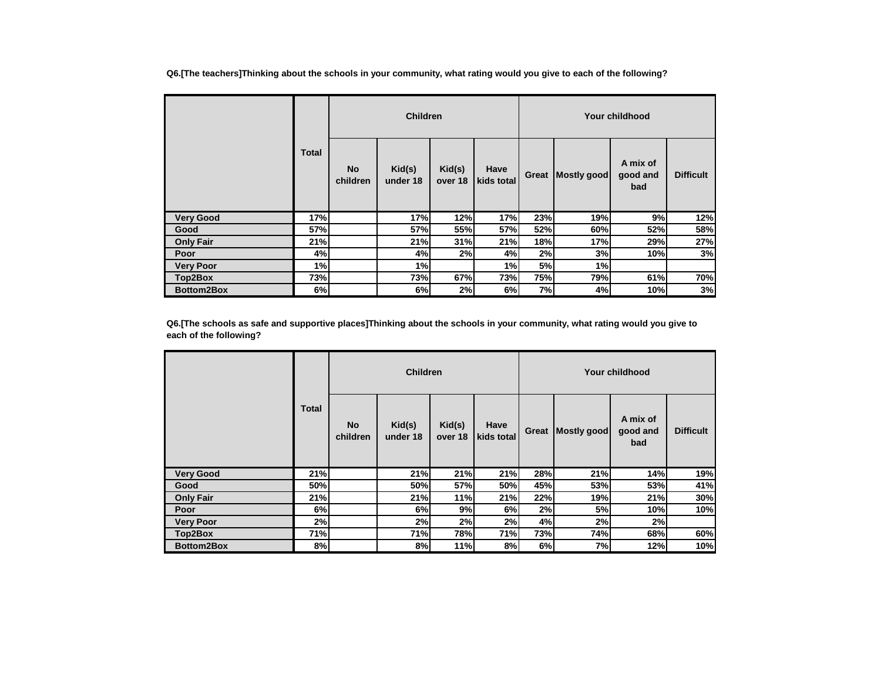**Q6.[The teachers]Thinking about the schools in your community, what rating would you give to each of the following?**

|                   |              |                       | <b>Children</b>    |                   |                    |       |             | Your childhood              |                  |
|-------------------|--------------|-----------------------|--------------------|-------------------|--------------------|-------|-------------|-----------------------------|------------------|
|                   | <b>Total</b> | <b>No</b><br>children | Kid(s)<br>under 18 | Kid(s)<br>over 18 | Have<br>kids total | Great | Mostly good | A mix of<br>good and<br>bad | <b>Difficult</b> |
| <b>Very Good</b>  | 17%          |                       | 17%                | 12%               | 17%                | 23%   | 19%         | 9%                          | 12%              |
| Good              | 57%          |                       | 57%                | 55%               | 57%                | 52%   | 60%         | 52%                         | 58%              |
| <b>Only Fair</b>  | 21%          |                       | 21%                | 31%               | 21%                | 18%   | 17%         | 29%                         | 27%              |
| Poor              | 4%           |                       | 4%                 | 2%                | 4%                 | 2%    | 3%          | 10%                         | 3%               |
| <b>Very Poor</b>  | 1%           |                       | 1%                 |                   | 1%                 | 5%    | 1%          |                             |                  |
| Top2Box           | 73%          |                       | 73%                | 67%               | 73%                | 75%   | 79%         | 61%                         | 70%              |
| <b>Bottom2Box</b> | 6%           |                       | 6%                 | 2%                | 6%                 | 7%    | 4%          | 10%                         | 3%               |

**Q6.[The schools as safe and supportive places]Thinking about the schools in your community, what rating would you give to each of the following?**

|                   |       |                       | <b>Children</b>    |                   |                    |       |             | Your childhood              |                  |
|-------------------|-------|-----------------------|--------------------|-------------------|--------------------|-------|-------------|-----------------------------|------------------|
|                   | Total | <b>No</b><br>children | Kid(s)<br>under 18 | Kid(s)<br>over 18 | Have<br>kids total | Great | Mostly good | A mix of<br>good and<br>bad | <b>Difficult</b> |
| <b>Very Good</b>  | 21%   |                       | 21%                | 21%               | 21%                | 28%   | 21%         | 14%                         | 19%              |
| Good              | 50%   |                       | 50%                | 57%               | 50%                | 45%   | 53%         | 53%                         | 41%              |
| <b>Only Fair</b>  | 21%   |                       | 21%                | 11%               | 21%                | 22%   | 19%         | 21%                         | 30%              |
| Poor              | 6%    |                       | 6%                 | 9%                | 6%                 | 2%    | 5%          | 10%                         | 10%              |
| <b>Very Poor</b>  | 2%    |                       | 2%                 | 2%                | 2%                 | 4%    | 2%          | 2%                          |                  |
| Top2Box           | 71%   |                       | 71%                | 78%               | 71%                | 73%   | 74%         | 68%                         | 60%              |
| <b>Bottom2Box</b> | 8%    |                       | 8%                 | 11%               | 8%                 | 6%    | 7%          | 12%                         | 10%              |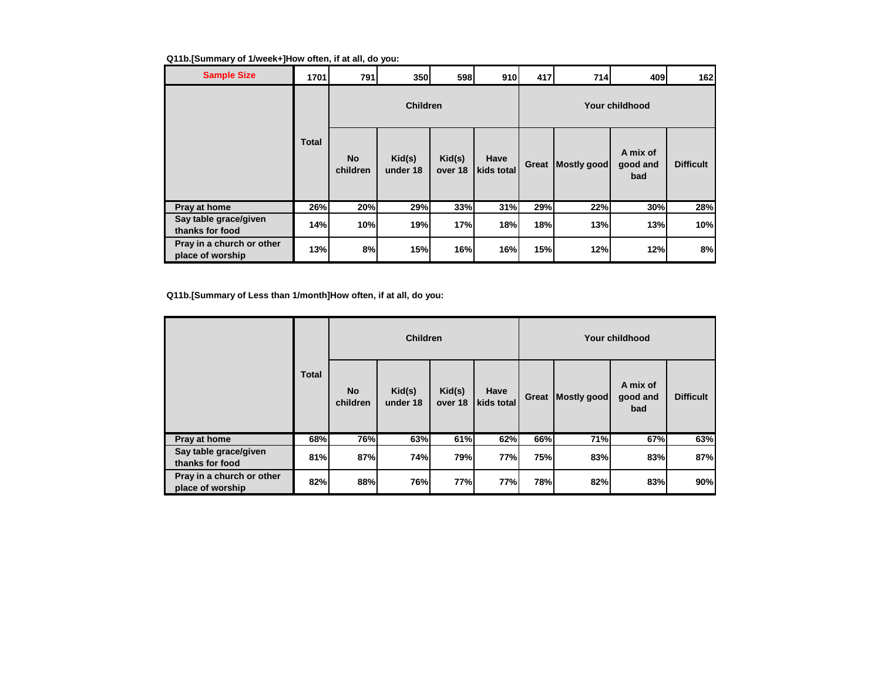# **Q11b.[Summary of 1/week+]How often, if at all, do you:**

| <b>Sample Size</b>                            | 1701         | 791                   | 350                | 598               | 910                | 417   | 714         | 409                         | 162              |
|-----------------------------------------------|--------------|-----------------------|--------------------|-------------------|--------------------|-------|-------------|-----------------------------|------------------|
|                                               |              |                       | <b>Children</b>    |                   |                    |       |             | <b>Your childhood</b>       |                  |
|                                               | <b>Total</b> | <b>No</b><br>children | Kid(s)<br>under 18 | Kid(s)<br>over 18 | Have<br>kids total | Great | Mostly good | A mix of<br>good and<br>bad | <b>Difficult</b> |
| Pray at home                                  | 26%          | 20%                   | 29%                | 33%               | 31%                | 29%   | 22%         | 30%                         | 28%              |
| Say table grace/given<br>thanks for food      | 14%          | 10%                   | 19%                | 17%               | 18%                | 18%   | 13%         | 13%                         | 10%              |
| Pray in a church or other<br>place of worship | 13%          | 8%                    | 15%                | 16%               | 16%                | 15%   | 12%         | 12%                         | 8%               |

**Q11b.[Summary of Less than 1/month]How often, if at all, do you:**

|                                               |              | <b>Children</b>       |                    |                   |                    |       | Your childhood |                             |                  |  |  |
|-----------------------------------------------|--------------|-----------------------|--------------------|-------------------|--------------------|-------|----------------|-----------------------------|------------------|--|--|
|                                               | <b>Total</b> | <b>No</b><br>children | Kid(s)<br>under 18 | Kid(s)<br>over 18 | Have<br>kids total | Great | Mostly good    | A mix of<br>good and<br>bad | <b>Difficult</b> |  |  |
| Pray at home                                  | 68%          | 76%                   | 63%                | 61%               | 62%                | 66%   | 71%            | 67%                         | 63%              |  |  |
| Say table grace/given<br>thanks for food      | 81%          | 87%                   | 74%                | 79%               | <b>77%</b>         | 75%   | 83%            | 83%                         | 87%              |  |  |
| Pray in a church or other<br>place of worship | 82%          | 88%                   | 76%                | 77%               | 77%                | 78%   | 82%            | 83%                         | 90%              |  |  |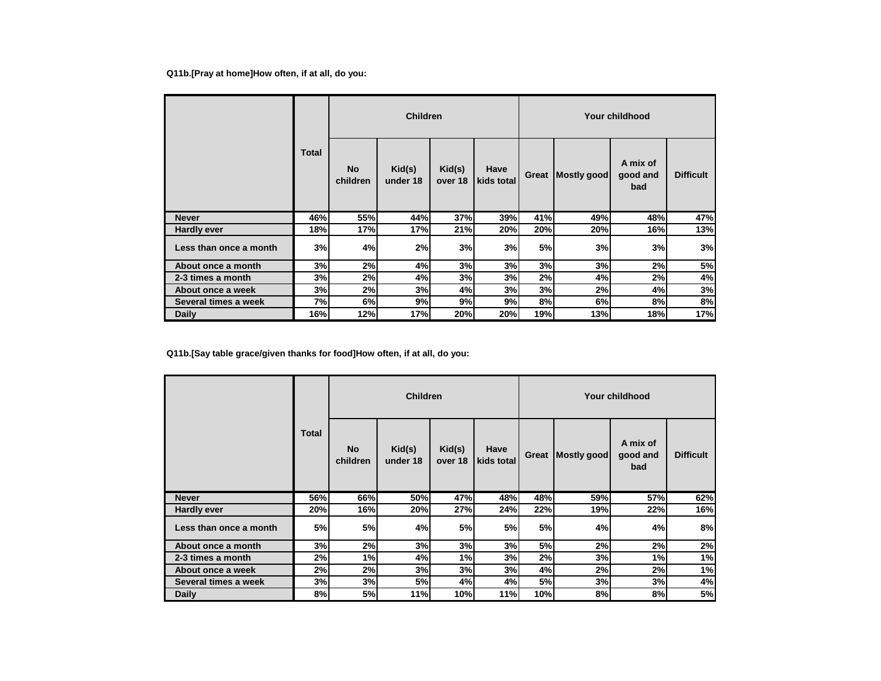## **Q11b.[Pray at home]How often, if at all, do you:**

|                        | <b>Children</b> |                       |                    |                   |                    | Your childhood |             |                             |                  |  |
|------------------------|-----------------|-----------------------|--------------------|-------------------|--------------------|----------------|-------------|-----------------------------|------------------|--|
|                        | Total           | <b>No</b><br>children | Kid(s)<br>under 18 | Kid(s)<br>over 18 | Have<br>kids total | Great          | Mostly good | A mix of<br>good and<br>bad | <b>Difficult</b> |  |
| <b>Never</b>           | 46%             | 55%                   | 44%                | 37%               | 39%                | 41%            | 49%         | 48%                         | 47%              |  |
| <b>Hardly ever</b>     | 18%             | 17%                   | 17%                | 21%               | 20%                | 20%            | 20%         | 16%                         | 13%              |  |
| Less than once a month | 3%              | 4%                    | 2%                 | 3%                | 3%                 | 5%             | 3%          | 3%                          | 3%               |  |
| About once a month     | 3%              | 2%                    | 4%                 | 3%                | 3%                 | 3%             | 3%          | 2%                          | 5%               |  |
| 2-3 times a month      | 3%              | 2%                    | 4%                 | 3%                | 3%                 | 2%             | 4%          | 2%                          | 4%               |  |
| About once a week      | 3%              | 2%                    | 3%                 | 4%                | 3%                 | 3%             | 2%          | 4%                          | 3%               |  |
| Several times a week   | 7%              | 6%                    | 9%                 | 9%                | 9%                 | 8%             | 6%          | 8%                          | 8%               |  |
| <b>Daily</b>           | 16%             | 12%                   | 17%                | 20%               | 20%                | 19%            | 13%         | 18%                         | 17%              |  |

**Q11b.[Say table grace/given thanks for food]How often, if at all, do you:**

|                        | Total | <b>Children</b>       |                    |                   |                    |       |             | Your childhood              |                  |  |  |  |
|------------------------|-------|-----------------------|--------------------|-------------------|--------------------|-------|-------------|-----------------------------|------------------|--|--|--|
|                        |       | <b>No</b><br>children | Kid(s)<br>under 18 | Kid(s)<br>over 18 | Have<br>kids total | Great | Mostly good | A mix of<br>good and<br>bad | <b>Difficult</b> |  |  |  |
| <b>Never</b>           | 56%   | 66%                   | 50%                | 47%               | 48%                | 48%   | 59%         | 57%                         | 62%              |  |  |  |
| <b>Hardly ever</b>     | 20%   | 16%                   | 20%                | 27%               | 24%                | 22%   | 19%         | 22%                         | 16%              |  |  |  |
| Less than once a month | 5%    | 5%                    | 4%                 | 5%l               | 5%                 | 5%    | 4%          | 4%                          | 8%               |  |  |  |
| About once a month     | 3%    | 2%                    | 3%                 | 3%                | 3%                 | 5%    | 2%          | 2%                          | 2%               |  |  |  |
| 2-3 times a month      | 2%    | 1%                    | 4%                 | 1%                | 3%                 | 2%    | 3%          | 1%                          | 1%               |  |  |  |
| About once a week      | 2%    | 2%                    | 3%                 | 3%                | 3%                 | 4%    | 2%          | 2%                          | 1%               |  |  |  |
| Several times a week   | 3%    | 3%                    | <b>5%</b>          | 4%                | 4%                 | 5%    | 3%          | 3%                          | 4%               |  |  |  |
| Daily                  | 8%    | 5%                    | 11%                | 10%               | 11%                | 10%   | 8%          | 8%                          | 5%               |  |  |  |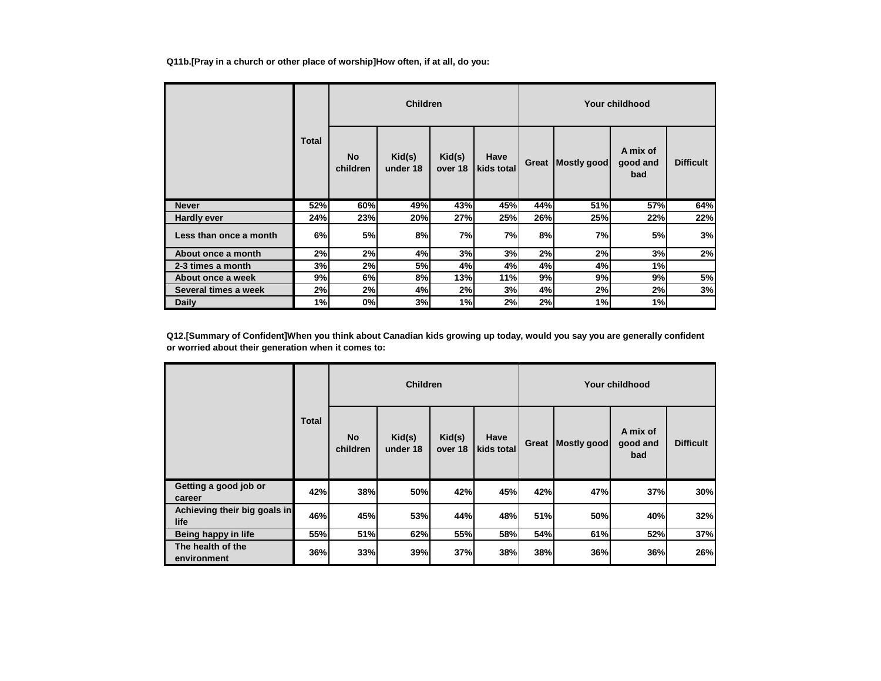**Q11b.[Pray in a church or other place of worship]How often, if at all, do you:**

|                        |       |                       | <b>Children</b>    |                   |                    |       |             | Your childhood              |                  |
|------------------------|-------|-----------------------|--------------------|-------------------|--------------------|-------|-------------|-----------------------------|------------------|
|                        | Total | <b>No</b><br>children | Kid(s)<br>under 18 | Kid(s)<br>over 18 | Have<br>kids total | Great | Mostly good | A mix of<br>good and<br>bad | <b>Difficult</b> |
| <b>Never</b>           | 52%   | 60%                   | 49%                | 43%               | 45%                | 44%   | 51%         | 57%                         | 64%              |
| <b>Hardly ever</b>     | 24%   | 23%                   | 20%                | 27%               | 25%                | 26%   | 25%         | 22%                         | 22%              |
| Less than once a month | 6%    | 5%                    | 8%                 | 7%                | 7%                 | 8%    | 7%          | 5%                          | 3%               |
| About once a month     | 2%    | 2%                    | 4%                 | 3%                | 3%                 | 2%    | 2%          | 3%                          | 2%               |
| 2-3 times a month      | 3%    | 2%                    | 5%                 | 4%                | 4%                 | 4%    | 4%          | 1%                          |                  |
| About once a week      | 9%    | 6%                    | 8%                 | 13%               | 11%                | 9%    | 9%          | 9%                          | 5%               |
| Several times a week   | 2%    | 2%                    | 4%                 | 2%                | 3%                 | 4%    | 2%          | 2%                          | 3%               |
| Daily                  | 1%    | 0%                    | 3%                 | 1%                | 2%                 | 2%    | 1%          | 1%                          |                  |

**Q12.[Summary of Confident]When you think about Canadian kids growing up today, would you say you are generally confident or worried about their generation when it comes to:**

|                                      |              |                       | <b>Children</b>    |                   |                    |       |             | Your childhood              |                  |
|--------------------------------------|--------------|-----------------------|--------------------|-------------------|--------------------|-------|-------------|-----------------------------|------------------|
|                                      | <b>Total</b> | <b>No</b><br>children | Kid(s)<br>under 18 | Kid(s)<br>over 18 | Have<br>kids total | Great | Mostly good | A mix of<br>good and<br>bad | <b>Difficult</b> |
| Getting a good job or<br>career      | 42%          | 38%                   | 50%                | 42%               | 45%                | 42%   | 47%         | 37%                         | 30%              |
| Achieving their big goals in<br>life | 46%          | 45%                   | 53%                | 44%               | 48%                | 51%   | 50%         | 40%                         | 32%              |
| Being happy in life                  | 55%          | 51%                   | 62%                | 55%               | 58%                | 54%   | 61%         | 52%                         | 37%              |
| The health of the<br>environment     | 36%          | 33%                   | 39%                | 37%               | 38%                | 38%   | 36%         | 36%                         | 26%              |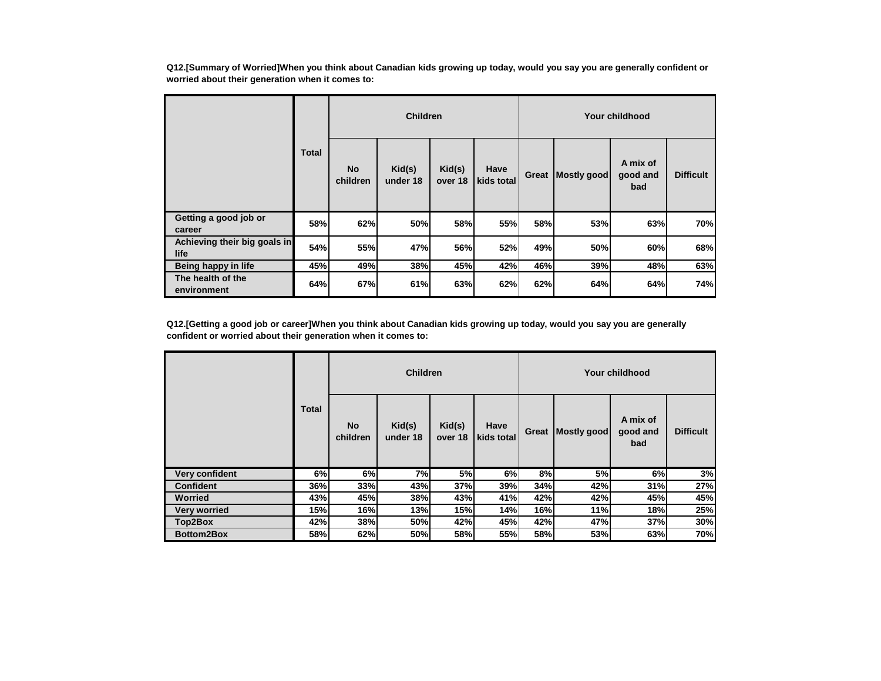**Q12.[Summary of Worried]When you think about Canadian kids growing up today, would you say you are generally confident or worried about their generation when it comes to:**

|                                      |              |                       | <b>Children</b>    |                   |                    |       |             | Your childhood              |                  |
|--------------------------------------|--------------|-----------------------|--------------------|-------------------|--------------------|-------|-------------|-----------------------------|------------------|
|                                      | <b>Total</b> | <b>No</b><br>children | Kid(s)<br>under 18 | Kid(s)<br>over 18 | Have<br>kids total | Great | Mostly good | A mix of<br>good and<br>bad | <b>Difficult</b> |
| Getting a good job or<br>career      | 58%          | 62%                   | 50%                | 58%               | 55%                | 58%   | 53%         | 63%                         | 70%              |
| Achieving their big goals in<br>life | 54%          | 55%                   | 47%                | 56%               | 52%                | 49%   | 50%         | 60%                         | 68%              |
| Being happy in life                  | 45%          | 49%                   | 38%                | 45%               | 42%                | 46%   | 39%         | 48%                         | 63%              |
| The health of the<br>environment     | 64%          | 67%                   | 61%                | 63%               | 62%                | 62%   | 64%         | 64%                         | 74%              |

**Q12.[Getting a good job or career]When you think about Canadian kids growing up today, would you say you are generally confident or worried about their generation when it comes to:**

|                       |              |                       | <b>Children</b>    |                   |                    |       |             | Your childhood              |                  |
|-----------------------|--------------|-----------------------|--------------------|-------------------|--------------------|-------|-------------|-----------------------------|------------------|
|                       | <b>Total</b> | <b>No</b><br>children | Kid(s)<br>under 18 | Kid(s)<br>over 18 | Have<br>kids total | Great | Mostly good | A mix of<br>good and<br>bad | <b>Difficult</b> |
| <b>Very confident</b> | 6%           | 6%                    | 7%                 | 5%                | 6%                 | 8%    | 5%          | 6%                          | 3%               |
| <b>Confident</b>      | 36%          | 33%                   | 43%                | 37%               | 39%                | 34%   | 42%         | 31%                         | 27%              |
| <b>Worried</b>        | 43%          | 45%                   | 38%                | 43%               | 41%                | 42%   | 42%         | 45%                         | 45%              |
| <b>Very worried</b>   | 15%          | 16%                   | 13%                | 15%               | 14%                | 16%   | 11%         | 18%                         | 25%              |
| Top2Box               | 42%          | 38%                   | 50%                | 42%               | 45%                | 42%   | 47%         | 37%                         | 30%              |
| <b>Bottom2Box</b>     | 58%          | 62%                   | 50%                | 58%               | 55%                | 58%   | 53%         | 63%                         | 70%              |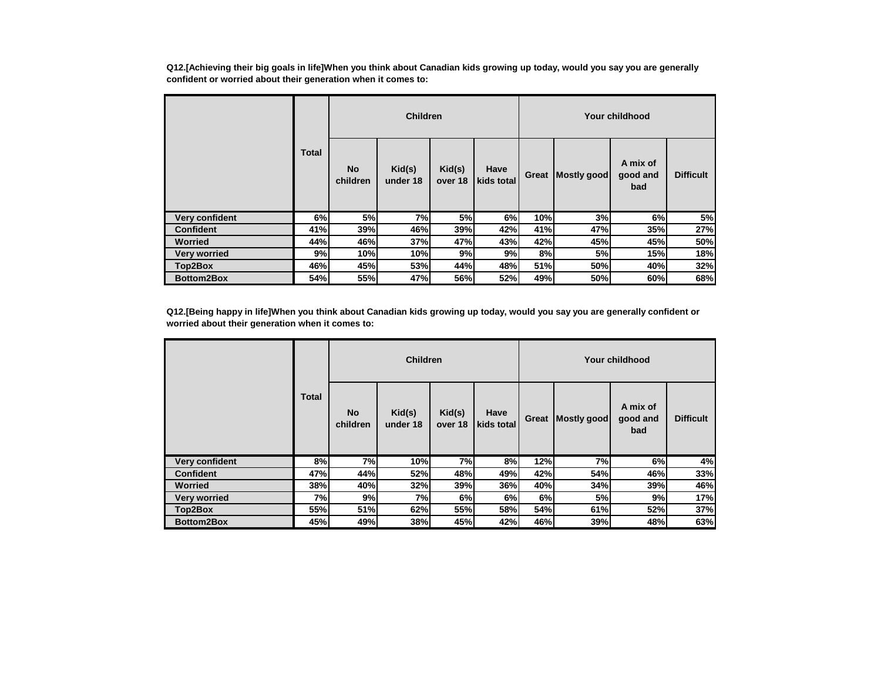**Q12.[Achieving their big goals in life]When you think about Canadian kids growing up today, would you say you are generally confident or worried about their generation when it comes to:**

|                     |              |                       | <b>Children</b>    |                   |                    | Your childhood |                    |                             |                  |  |
|---------------------|--------------|-----------------------|--------------------|-------------------|--------------------|----------------|--------------------|-----------------------------|------------------|--|
|                     | <b>Total</b> | <b>No</b><br>children | Kid(s)<br>under 18 | Kid(s)<br>over 18 | Have<br>kids total | Great          | <b>Mostly good</b> | A mix of<br>good and<br>bad | <b>Difficult</b> |  |
| Very confident      | 6%           | 5%                    | 7%                 | 5%                | 6%                 | 10%            | 3%                 | 6%                          | 5%               |  |
| <b>Confident</b>    | 41%          | 39%                   | 46%                | 39%               | 42%                | 41%            | 47%                | 35%                         | 27%              |  |
| Worried             | 44%          | 46%                   | 37%                | 47%               | 43%                | 42%            | 45%                | 45%                         | 50%              |  |
| <b>Very worried</b> | 9%           | 10%                   | 10%                | 9%                | 9%                 | 8%             | 5%                 | 15%                         | 18%              |  |
| Top2Box             | 46%          | 45%                   | 53%                | 44%               | 48%                | 51%            | 50%                | 40%                         | 32%              |  |
| <b>Bottom2Box</b>   | 54%          | 55%                   | 47%                | 56%               | 52%                | 49%            | 50%                | 60%                         | 68%              |  |

**Q12.[Being happy in life]When you think about Canadian kids growing up today, would you say you are generally confident or worried about their generation when it comes to:**

|                     |       |                       | <b>Children</b>    |                   |                    |       |             | Your childhood              |                  |
|---------------------|-------|-----------------------|--------------------|-------------------|--------------------|-------|-------------|-----------------------------|------------------|
|                     | Total | <b>No</b><br>children | Kid(s)<br>under 18 | Kid(s)<br>over 18 | Have<br>kids total | Great | Mostly good | A mix of<br>good and<br>bad | <b>Difficult</b> |
| Very confident      | 8%    | 7%                    | 10%                | 7%                | 8%                 | 12%   | 7%          | 6%                          | 4%               |
| <b>Confident</b>    | 47%   | 44%                   | 52%                | 48%               | 49%                | 42%   | 54%         | 46%                         | 33%              |
| <b>Worried</b>      | 38%   | 40%                   | 32%                | 39%               | 36%                | 40%   | 34%         | 39%                         | 46%              |
| <b>Very worried</b> | 7%    | 9%                    | 7%                 | 6%                | 6%                 | 6%    | 5%          | 9%                          | 17%              |
| Top2Box             | 55%   | 51%                   | 62%                | 55%               | <b>58%</b>         | 54%   | 61%         | 52%                         | 37%              |
| <b>Bottom2Box</b>   | 45%   | 49%                   | 38%                | 45%               | 42%                | 46%   | 39%         | 48%                         | 63%              |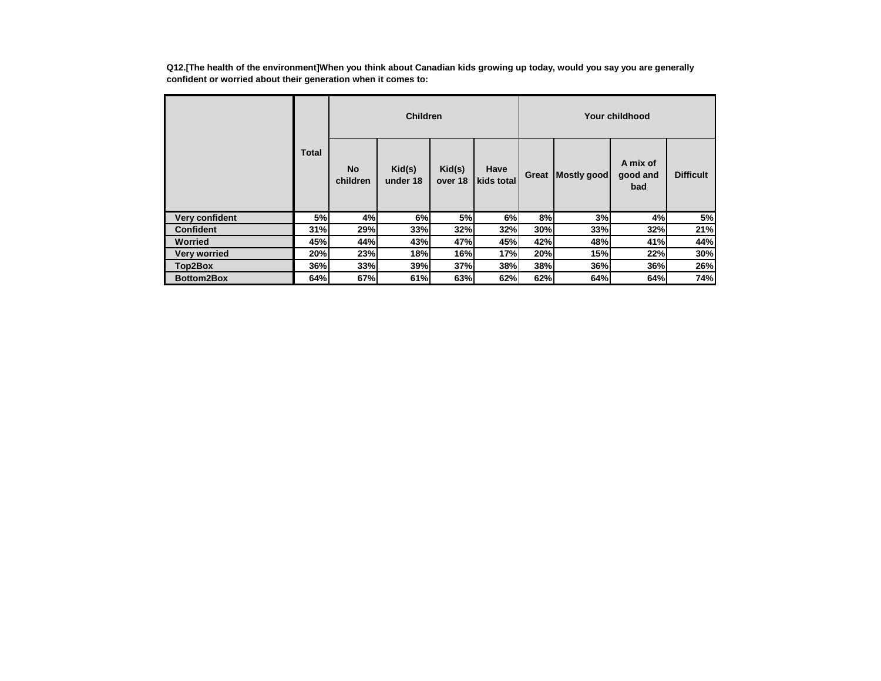**Q12.[The health of the environment]When you think about Canadian kids growing up today, would you say you are generally confident or worried about their generation when it comes to:**

|                     |              |                       | <b>Children</b>    |                   |                    |       |             | Your childhood              |                  |
|---------------------|--------------|-----------------------|--------------------|-------------------|--------------------|-------|-------------|-----------------------------|------------------|
|                     | <b>Total</b> | <b>No</b><br>children | Kid(s)<br>under 18 | Kid(s)<br>over 18 | Have<br>kids total | Great | Mostly good | A mix of<br>good and<br>bad | <b>Difficult</b> |
| Very confident      | 5%           | 4%                    | 6%                 | 5%                | 6%                 | 8%    | 3%          | 4%                          | 5%               |
| <b>Confident</b>    | 31%          | 29%                   | 33%                | 32%               | 32%                | 30%   | 33%         | 32%                         | 21%              |
| Worried             | 45%          | 44%                   | 43%                | 47%               | 45%                | 42%   | 48%         | 41%                         | 44%              |
| <b>Very worried</b> | 20%          | 23%                   | 18%                | 16%               | 17%                | 20%   | 15%         | 22%                         | 30%              |
| Top2Box             | 36%          | 33%                   | 39%                | 37%               | 38%                | 38%   | 36%         | 36%                         | 26%              |
| <b>Bottom2Box</b>   | 64%          | 67%                   | 61%                | 63%               | 62%                | 62%   | 64%         | 64%                         | 74%              |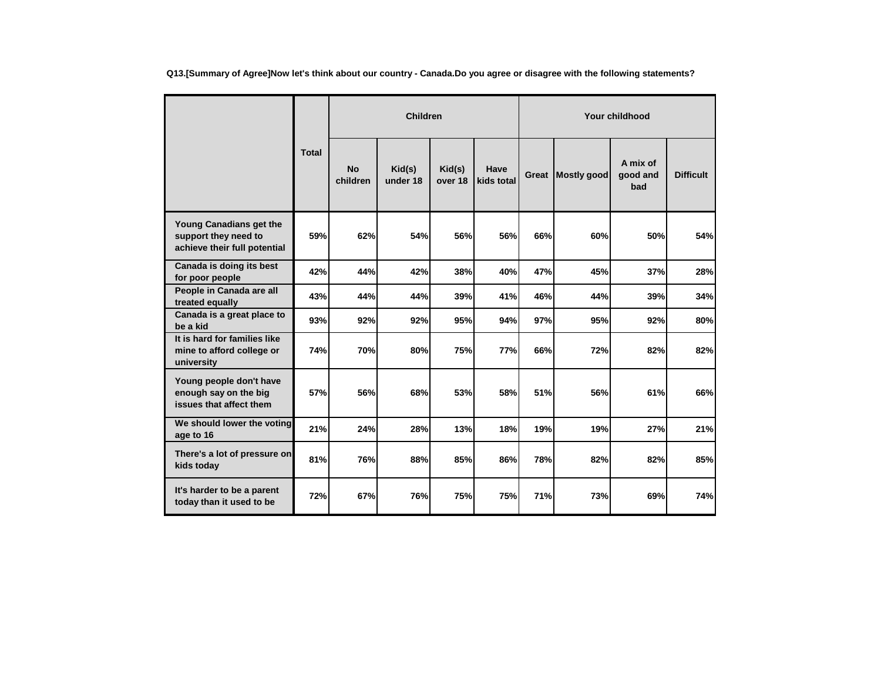**Q13.[Summary of Agree]Now let's think about our country - Canada.Do you agree or disagree with the following statements?**

|                                                                                 |              | <b>Children</b>       |                    |                   |                    |              | Your childhood     |                             |                  |  |  |
|---------------------------------------------------------------------------------|--------------|-----------------------|--------------------|-------------------|--------------------|--------------|--------------------|-----------------------------|------------------|--|--|
|                                                                                 | <b>Total</b> | <b>No</b><br>children | Kid(s)<br>under 18 | Kid(s)<br>over 18 | Have<br>kids total | <b>Great</b> | <b>Mostly good</b> | A mix of<br>good and<br>bad | <b>Difficult</b> |  |  |
| Young Canadians get the<br>support they need to<br>achieve their full potential | 59%          | 62%                   | 54%                | 56%               | 56%                | 66%          | 60%                | 50%                         | 54%              |  |  |
| Canada is doing its best<br>for poor people                                     | 42%          | 44%                   | 42%                | 38%               | 40%                | 47%          | 45%                | 37%                         | 28%              |  |  |
| People in Canada are all<br>treated equally                                     | 43%          | 44%                   | 44%                | 39%               | 41%                | 46%          | 44%                | 39%                         | 34%              |  |  |
| Canada is a great place to<br>be a kid                                          | 93%          | 92%                   | 92%                | 95%               | 94%                | 97%          | 95%                | 92%                         | 80%              |  |  |
| It is hard for families like<br>mine to afford college or<br>university         | 74%          | 70%                   | 80%                | <b>75%</b>        | 77%                | 66%          | 72%                | 82%                         | 82%              |  |  |
| Young people don't have<br>enough say on the big<br>issues that affect them     | 57%          | 56%                   | 68%                | 53%               | 58%                | 51%          | 56%                | 61%                         | 66%              |  |  |
| We should lower the voting<br>age to 16                                         | 21%          | 24%                   | 28%                | 13%               | 18%                | 19%          | 19%                | 27%                         | 21%              |  |  |
| There's a lot of pressure on<br>kids today                                      | 81%          | 76%                   | 88%                | 85%               | 86%                | 78%          | 82%                | 82%                         | 85%              |  |  |
| It's harder to be a parent<br>today than it used to be                          | 72%          | 67%                   | <b>76%</b>         | 75%               | 75%                | 71%          | 73%                | 69%                         | 74%              |  |  |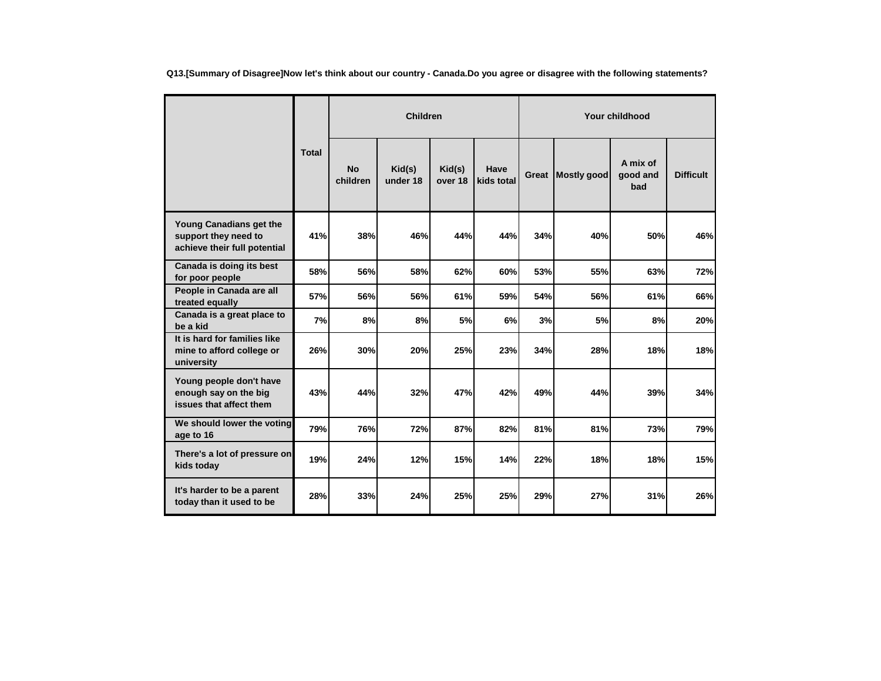**Q13.[Summary of Disagree]Now let's think about our country - Canada.Do you agree or disagree with the following statements?**

|                                                                                 |              |                       | <b>Children</b>    |                   |                    | Your childhood |                    |                             |                  |  |
|---------------------------------------------------------------------------------|--------------|-----------------------|--------------------|-------------------|--------------------|----------------|--------------------|-----------------------------|------------------|--|
|                                                                                 | <b>Total</b> | <b>No</b><br>children | Kid(s)<br>under 18 | Kid(s)<br>over 18 | Have<br>kids total | Great          | <b>Mostly good</b> | A mix of<br>good and<br>bad | <b>Difficult</b> |  |
| Young Canadians get the<br>support they need to<br>achieve their full potential | 41%          | 38%                   | 46%                | 44%               | 44%                | 34%            | 40%                | 50%                         | 46%              |  |
| Canada is doing its best<br>for poor people                                     | 58%          | 56%                   | 58%                | 62%               | 60%                | 53%            | 55%                | 63%                         | 72%              |  |
| People in Canada are all<br>treated equally                                     | 57%          | 56%                   | <b>56%</b>         | 61%               | 59%                | 54%            | 56%                | 61%                         | 66%              |  |
| Canada is a great place to<br>be a kid                                          | 7%           | 8%                    | 8%                 | 5%                | 6%                 | 3%             | 5%                 | 8%                          | 20%              |  |
| It is hard for families like<br>mine to afford college or<br>university         | 26%          | 30%                   | 20%                | 25%               | 23%                | 34%            | 28%                | 18%                         | 18%              |  |
| Young people don't have<br>enough say on the big<br>issues that affect them     | 43%          | 44%                   | 32%                | 47%               | 42%                | 49%            | 44%                | 39%                         | 34%              |  |
| We should lower the voting<br>age to 16                                         | 79%          | 76%                   | 72%                | 87%               | 82%                | 81%            | 81%                | 73%                         | 79%              |  |
| There's a lot of pressure on<br>kids today                                      | 19%          | 24%                   | 12%                | 15%               | 14%                | 22%            | 18%                | 18%                         | 15%              |  |
| It's harder to be a parent<br>today than it used to be                          | 28%          | 33%                   | 24%                | 25%               | 25%                | 29%            | 27%                | 31%                         | 26%              |  |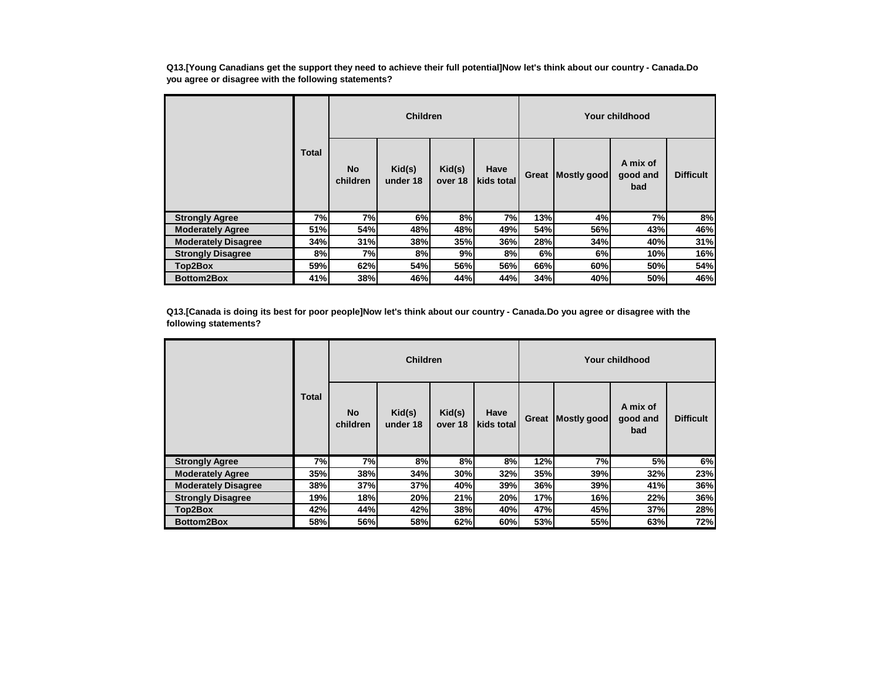**Q13.[Young Canadians get the support they need to achieve their full potential]Now let's think about our country - Canada.Do you agree or disagree with the following statements?**

|                            |              |                       | <b>Children</b>    |                   |                    | Your childhood |             |                             |                  |  |
|----------------------------|--------------|-----------------------|--------------------|-------------------|--------------------|----------------|-------------|-----------------------------|------------------|--|
|                            | <b>Total</b> | <b>No</b><br>children | Kid(s)<br>under 18 | Kid(s)<br>over 18 | Have<br>kids total | Great          | Mostly good | A mix of<br>good and<br>bad | <b>Difficult</b> |  |
| <b>Strongly Agree</b>      | 7%           | 7%                    | 6%                 | 8%                | 7%                 | 13%            | 4%          | 7%                          | 8%               |  |
| <b>Moderately Agree</b>    | 51%          | 54%                   | 48%                | 48%               | 49%                | 54%            | 56%         | 43%                         | 46%              |  |
| <b>Moderately Disagree</b> | 34%          | 31%                   | 38%                | 35%               | 36%                | 28%            | 34%         | 40%                         | 31%              |  |
| <b>Strongly Disagree</b>   | 8%           | 7%                    | 8%                 | 9%                | 8%                 | 6%             | 6%          | 10%                         | 16%              |  |
| Top2Box                    | 59%          | 62%                   | 54%                | 56%               | 56%                | 66%            | 60%         | 50%                         | 54%              |  |
| <b>Bottom2Box</b>          | 41%          | 38%                   | 46%                | 44%               | 44%                | 34%            | 40%         | 50%                         | 46%              |  |

**Q13.[Canada is doing its best for poor people]Now let's think about our country - Canada.Do you agree or disagree with the following statements?**

|                            |              |                       | <b>Children</b>    |                   |                    |       |             | Your childhood              |                  |
|----------------------------|--------------|-----------------------|--------------------|-------------------|--------------------|-------|-------------|-----------------------------|------------------|
|                            | <b>Total</b> | <b>No</b><br>children | Kid(s)<br>under 18 | Kid(s)<br>over 18 | Have<br>kids total | Great | Mostly good | A mix of<br>good and<br>bad | <b>Difficult</b> |
| <b>Strongly Agree</b>      | 7%           | 7%                    | 8%                 | 8%                | 8%                 | 12%   | 7%          | 5%                          | 6%               |
| <b>Moderately Agree</b>    | <b>35%</b>   | 38%                   | 34%                | 30%               | 32%                | 35%   | 39%         | 32%                         | 23%              |
| <b>Moderately Disagree</b> | 38%          | 37%                   | 37%                | 40%               | 39%                | 36%   | 39%         | 41%                         | 36%              |
| <b>Strongly Disagree</b>   | 19%          | 18%                   | 20%                | 21%               | 20%                | 17%   | 16%         | 22%                         | 36%              |
| Top2Box                    | 42%          | 44%                   | 42%                | 38%               | 40%                | 47%   | 45%         | 37%                         | 28%              |
| <b>Bottom2Box</b>          | 58%          | 56%                   | 58%                | 62%               | 60%                | 53%   | 55%         | 63%                         | 72%              |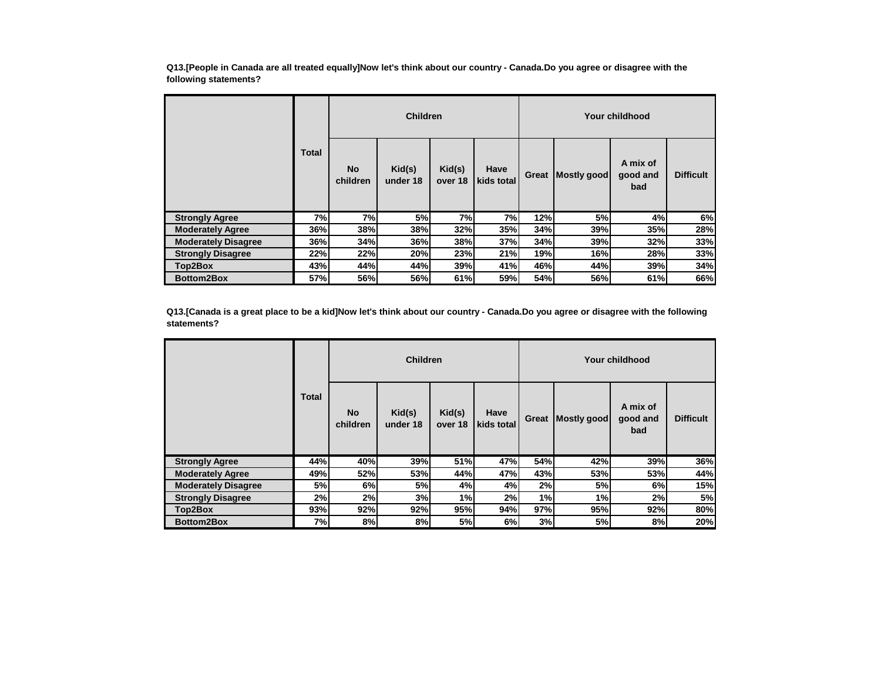**Q13.[People in Canada are all treated equally]Now let's think about our country - Canada.Do you agree or disagree with the following statements?**

|                            |              |                       | <b>Children</b>    |                   |                    | Your childhood |             |                             |                  |  |
|----------------------------|--------------|-----------------------|--------------------|-------------------|--------------------|----------------|-------------|-----------------------------|------------------|--|
|                            | <b>Total</b> | <b>No</b><br>children | Kid(s)<br>under 18 | Kid(s)<br>over 18 | Have<br>kids total | Great          | Mostly good | A mix of<br>good and<br>bad | <b>Difficult</b> |  |
| <b>Strongly Agree</b>      | 7%l          | 7%                    | 5%                 | 7%                | 7%                 | 12%            | 5%          | 4%                          | 6%               |  |
| <b>Moderately Agree</b>    | 36%          | 38%                   | 38%                | 32%               | 35%                | 34%            | 39%         | 35%                         | 28%              |  |
| <b>Moderately Disagree</b> | 36%          | 34%                   | 36%                | 38%               | 37%                | 34%            | 39%         | 32%                         | 33%              |  |
| <b>Strongly Disagree</b>   | 22%          | 22%                   | 20%                | 23%               | 21%                | 19%            | 16%         | 28%                         | 33%              |  |
| Top2Box                    | 43%          | 44%                   | 44%                | 39%               | 41%                | 46%            | 44%         | 39%                         | 34%              |  |
| <b>Bottom2Box</b>          | 57%          | 56%                   | 56%                | 61%               | 59%                | 54%            | 56%         | 61%                         | 66%              |  |

**Q13.[Canada is a great place to be a kid]Now let's think about our country - Canada.Do you agree or disagree with the following statements?**

|                            |              |                       | <b>Children</b>    |                   |                    |       |             | Your childhood              |                  |
|----------------------------|--------------|-----------------------|--------------------|-------------------|--------------------|-------|-------------|-----------------------------|------------------|
|                            | <b>Total</b> | <b>No</b><br>children | Kid(s)<br>under 18 | Kid(s)<br>over 18 | Have<br>kids total | Great | Mostly good | A mix of<br>good and<br>bad | <b>Difficult</b> |
| <b>Strongly Agree</b>      | 44%          | 40%                   | 39%                | 51%               | 47%                | 54%   | 42%         | 39%                         | 36%              |
| <b>Moderately Agree</b>    | 49%          | 52%                   | 53%                | 44%               | 47%                | 43%   | 53%         | 53%                         | 44%              |
| <b>Moderately Disagree</b> | 5%           | 6%                    | 5%                 | 4%                | 4%                 | 2%    | 5%          | 6%                          | 15%              |
| <b>Strongly Disagree</b>   | 2%           | 2%                    | 3%                 | 1%                | 2%                 | 1%    | 1%          | 2%                          | 5%               |
| Top2Box                    | 93%          | 92%                   | 92%                | 95%               | 94%                | 97%   | 95%         | 92%                         | 80%              |
| <b>Bottom2Box</b>          | 7%           | 8%                    | 8%                 | 5%                | 6%                 | 3%    | 5%          | 8%                          | 20%              |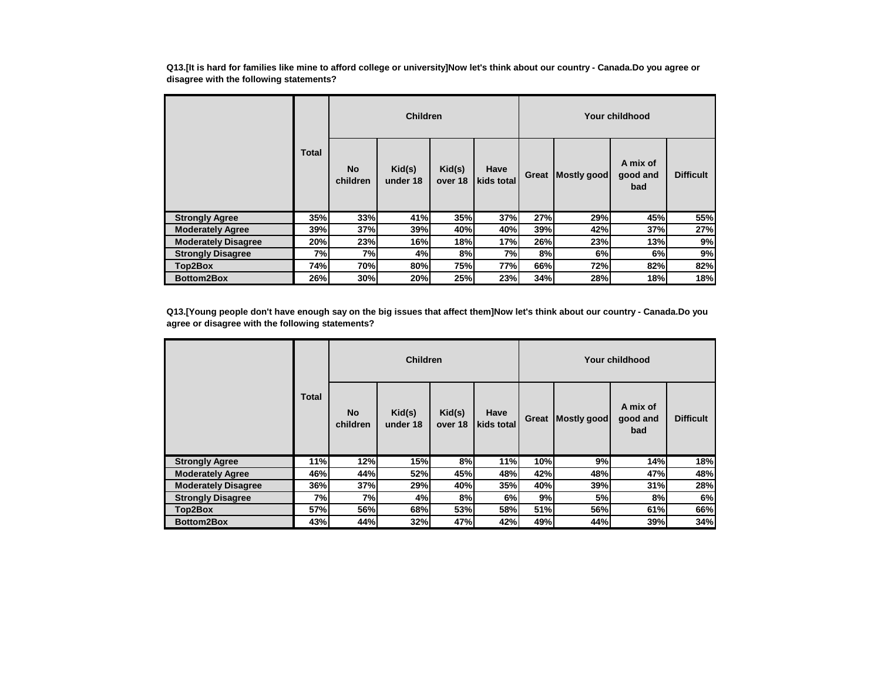**Q13.[It is hard for families like mine to afford college or university]Now let's think about our country - Canada.Do you agree or disagree with the following statements?**

|                            |              | <b>Children</b>       |                    |                   |                    | Your childhood |             |                             |                  |  |
|----------------------------|--------------|-----------------------|--------------------|-------------------|--------------------|----------------|-------------|-----------------------------|------------------|--|
|                            | <b>Total</b> | <b>No</b><br>children | Kid(s)<br>under 18 | Kid(s)<br>over 18 | Have<br>kids total | Great          | Mostly good | A mix of<br>good and<br>bad | <b>Difficult</b> |  |
| <b>Strongly Agree</b>      | 35%          | 33%                   | 41%                | 35%               | 37%                | 27%            | 29%         | 45%                         | 55%              |  |
| <b>Moderately Agree</b>    | 39%          | 37%                   | 39%                | 40%               | 40%                | 39%            | 42%         | 37%                         | 27%              |  |
| <b>Moderately Disagree</b> | 20%          | 23%                   | 16%                | 18%               | 17%                | 26%            | 23%         | 13%                         | 9%               |  |
| <b>Strongly Disagree</b>   | 7%           | 7%                    | 4%                 | 8%                | 7%                 | 8%             | 6%          | 6%                          | 9%               |  |
| Top2Box                    | 74%          | 70%                   | 80%                | 75%               | 77%                | 66%            | 72%         | 82%                         | 82%              |  |
| <b>Bottom2Box</b>          | 26%          | 30%                   | 20%                | 25%               | 23%                | 34%            | 28%         | 18%                         | 18%              |  |

**Q13.[Young people don't have enough say on the big issues that affect them]Now let's think about our country - Canada.Do you agree or disagree with the following statements?**

|                            |       | <b>Children</b>       |                    |                   |                    | Your childhood |             |                             |                  |  |
|----------------------------|-------|-----------------------|--------------------|-------------------|--------------------|----------------|-------------|-----------------------------|------------------|--|
|                            | Total | <b>No</b><br>children | Kid(s)<br>under 18 | Kid(s)<br>over 18 | Have<br>kids total | Great          | Mostly good | A mix of<br>good and<br>bad | <b>Difficult</b> |  |
| <b>Strongly Agree</b>      | 11%   | 12%                   | 15%                | 8%                | 11%                | 10%            | 9%          | 14%                         | 18%              |  |
| <b>Moderately Agree</b>    | 46%   | 44%                   | 52%                | 45%               | 48%                | 42%            | 48%         | 47%                         | 48%              |  |
| <b>Moderately Disagree</b> | 36%   | 37%                   | 29%                | 40%               | <b>35%</b>         | 40%            | 39%         | 31%                         | 28%              |  |
| <b>Strongly Disagree</b>   | 7%    | 7%                    | 4%                 | 8%                | 6%                 | 9%             | 5%          | 8%                          | 6%               |  |
| Top2Box                    | 57%   | 56%                   | 68%l               | 53%               | 58%                | 51%            | 56%         | 61%                         | 66%              |  |
| <b>Bottom2Box</b>          | 43%   | 44%                   | 32%                | 47%               | 42%                | 49%            | 44%         | 39%                         | 34%              |  |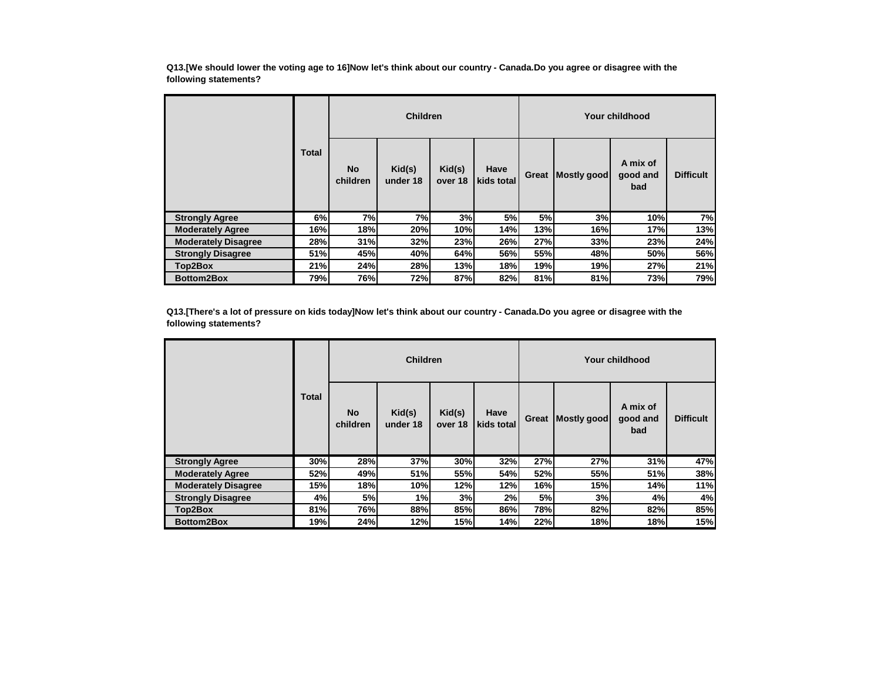**Q13.[We should lower the voting age to 16]Now let's think about our country - Canada.Do you agree or disagree with the following statements?**

|                            |              | <b>Children</b>       |                    |                   |                    | Your childhood |             |                             |                  |  |
|----------------------------|--------------|-----------------------|--------------------|-------------------|--------------------|----------------|-------------|-----------------------------|------------------|--|
|                            | <b>Total</b> | <b>No</b><br>children | Kid(s)<br>under 18 | Kid(s)<br>over 18 | Have<br>kids total | Great          | Mostly good | A mix of<br>good and<br>bad | <b>Difficult</b> |  |
| <b>Strongly Agree</b>      | 6%           | 7%                    | <b>7%</b>          | 3%                | 5%                 | 5%             | 3%          | 10%                         | 7%               |  |
| <b>Moderately Agree</b>    | 16%          | 18%                   | <b>20%</b>         | 10%               | 14%                | 13%            | 16%         | 17%                         | 13%              |  |
| <b>Moderately Disagree</b> | 28%          | 31%                   | 32%                | 23%               | 26%                | 27%            | 33%         | 23%                         | 24%              |  |
| <b>Strongly Disagree</b>   | 51%          | 45%                   | 40%                | 64%               | 56%                | 55%            | 48%         | 50%                         | 56%              |  |
| Top2Box                    | 21%          | 24%                   | <b>28%</b>         | 13%               | 18%                | 19%            | 19%         | 27%                         | 21%              |  |
| <b>Bottom2Box</b>          | 79%          | 76%                   | 72%                | 87%               | 82%                | 81%            | 81%         | 73%                         | 79%              |  |

**Q13.[There's a lot of pressure on kids today]Now let's think about our country - Canada.Do you agree or disagree with the following statements?**

|                            |              | <b>Children</b>       |                    |                   |                    | Your childhood |             |                             |                  |  |
|----------------------------|--------------|-----------------------|--------------------|-------------------|--------------------|----------------|-------------|-----------------------------|------------------|--|
|                            | <b>Total</b> | <b>No</b><br>children | Kid(s)<br>under 18 | Kid(s)<br>over 18 | Have<br>kids total | Great          | Mostly good | A mix of<br>good and<br>bad | <b>Difficult</b> |  |
| <b>Strongly Agree</b>      | 30%          | 28%                   | 37%                | 30%               | 32%                | 27%            | 27%         | 31%                         | 47%              |  |
| <b>Moderately Agree</b>    | 52%          | 49%                   | 51%                | 55%               | 54%                | 52%            | 55%         | 51%                         | 38%              |  |
| <b>Moderately Disagree</b> | 15%          | 18%                   | 10%                | 12%               | 12%                | 16%            | 15%         | 14%                         | 11%              |  |
| <b>Strongly Disagree</b>   | 4%           | 5%                    | 1%                 | 3%                | 2%                 | <b>5%</b>      | 3%          | 4%                          | 4%               |  |
| Top2Box                    | 81%          | 76%                   | 88%l               | 85%               | 86%l               | 78%            | 82%         | 82%                         | 85%              |  |
| <b>Bottom2Box</b>          | 19%          | 24%                   | 12%                | 15%               | 14%                | 22%            | 18%         | 18%                         | 15%              |  |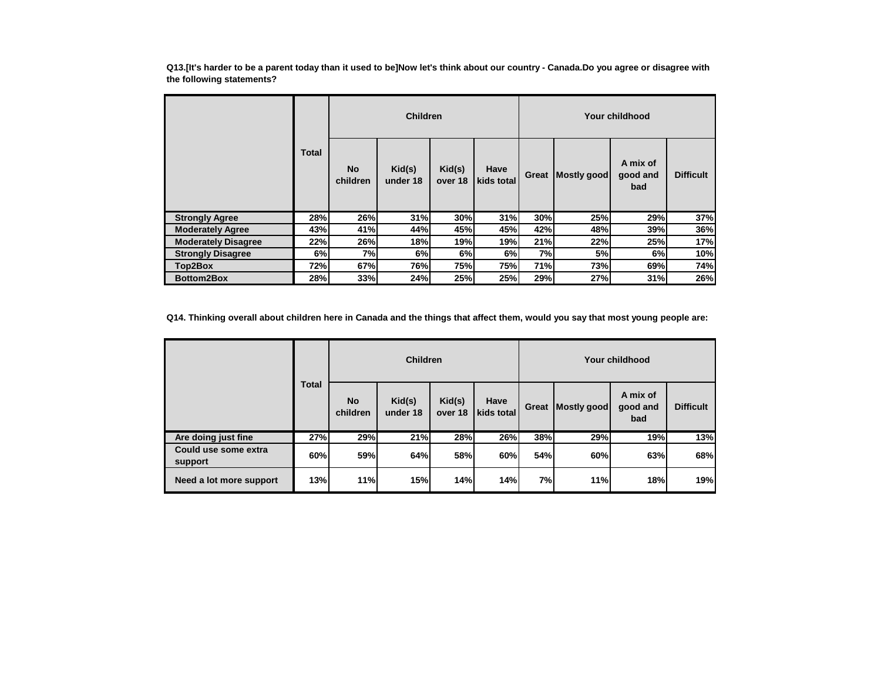**Q13.[It's harder to be a parent today than it used to be]Now let's think about our country - Canada.Do you agree or disagree with the following statements?**

|                            |              | <b>Children</b>       |                    |                   |                    | Your childhood |             |                             |                  |  |
|----------------------------|--------------|-----------------------|--------------------|-------------------|--------------------|----------------|-------------|-----------------------------|------------------|--|
|                            | <b>Total</b> | <b>No</b><br>children | Kid(s)<br>under 18 | Kid(s)<br>over 18 | Have<br>kids total | Great          | Mostly good | A mix of<br>good and<br>bad | <b>Difficult</b> |  |
| <b>Strongly Agree</b>      | 28%          | 26%                   | 31%                | 30%               | 31%                | 30%            | 25%         | 29%                         | 37%              |  |
| <b>Moderately Agree</b>    | 43%          | 41%                   | 44%                | 45%               | 45%                | 42%            | 48%         | 39%                         | 36%              |  |
| <b>Moderately Disagree</b> | 22%          | 26%                   | 18%                | 19%               | 19%                | 21%            | 22%         | 25%                         | 17%              |  |
| <b>Strongly Disagree</b>   | 6%           | 7%                    | 6%                 | 6%                | 6%                 | 7%             | 5%          | 6%                          | 10%              |  |
| Top2Box                    | 72%          | 67%                   | 76%                | 75%               | 75%                | 71%            | 73%         | 69%                         | 74%              |  |
| <b>Bottom2Box</b>          | 28%          | 33%                   | 24%                | 25%               | 25%                | 29%            | 27%         | 31%                         | 26%              |  |

**Q14. Thinking overall about children here in Canada and the things that affect them, would you say that most young people are:**

|                                 | <b>Total</b> | <b>Children</b>       |                    |                   |                    | Your childhood |             |                             |                  |  |
|---------------------------------|--------------|-----------------------|--------------------|-------------------|--------------------|----------------|-------------|-----------------------------|------------------|--|
|                                 |              | <b>No</b><br>children | Kid(s)<br>under 18 | Kid(s)<br>over 18 | Have<br>kids total | Great          | Mostly good | A mix of<br>good and<br>bad | <b>Difficult</b> |  |
| Are doing just fine             | 27%          | 29%                   | 21%                | 28%               | 26%                | 38%            | 29%         | 19%                         | 13%              |  |
| Could use some extra<br>support | 60%          | 59%                   | 64%                | 58%               | 60%                | 54%            | 60%         | 63%                         | 68%              |  |
| Need a lot more support         | 13%          | 11%                   | 15%                | 14%               | 14%                | 7%             | 11%         | 18%                         | 19%              |  |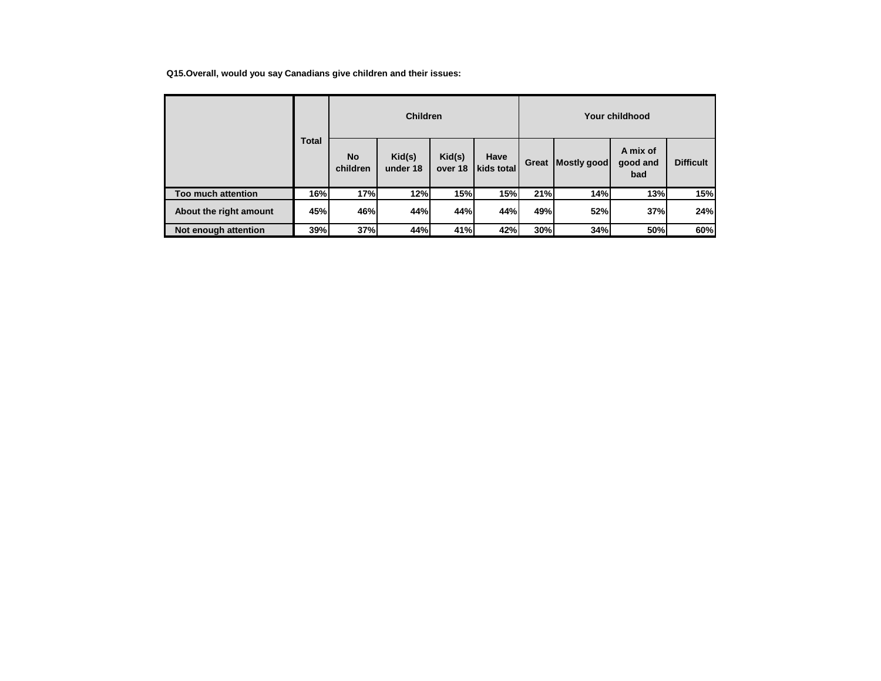**Q15.Overall, would you say Canadians give children and their issues:**

|                        | <b>Total</b><br><b>No</b><br>children | <b>Children</b> |                    |                   |                    | Your childhood |             |                             |                  |  |
|------------------------|---------------------------------------|-----------------|--------------------|-------------------|--------------------|----------------|-------------|-----------------------------|------------------|--|
|                        |                                       |                 | Kid(s)<br>under 18 | Kid(s)<br>over 18 | Have<br>kids total | Great          | Mostly good | A mix of<br>good and<br>bad | <b>Difficult</b> |  |
| Too much attention     | 16%                                   | 17%             | 12%                | 15%               | <b>15%</b>         | 21%            | 14%         | 13%                         | 15%              |  |
| About the right amount | 45%                                   | 46%             | 44%                | 44%               | 44%                | 49%            | 52%         | 37%                         | 24%              |  |
| Not enough attention   | 39%                                   | 37%             | 44%                | 41%               | 42%                | 30%            | 34%         | 50%                         | 60%              |  |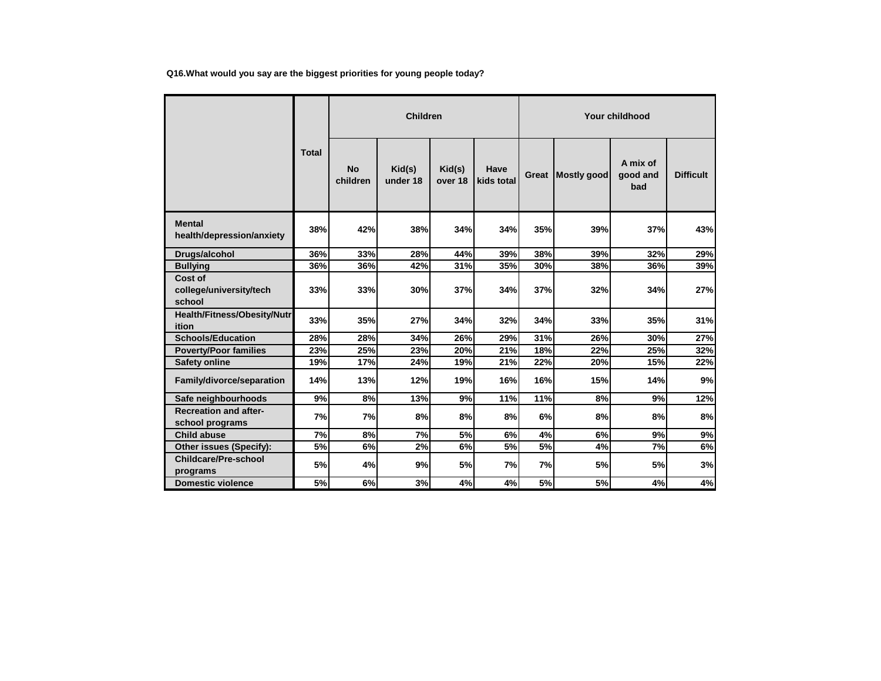**Q16.What would you say are the biggest priorities for young people today?**

|                                                 |              | <b>Children</b>       |                    |                   |                    | Your childhood |             |                             |                  |  |
|-------------------------------------------------|--------------|-----------------------|--------------------|-------------------|--------------------|----------------|-------------|-----------------------------|------------------|--|
|                                                 | <b>Total</b> | <b>No</b><br>children | Kid(s)<br>under 18 | Kid(s)<br>over 18 | Have<br>kids total | Great          | Mostly good | A mix of<br>good and<br>bad | <b>Difficult</b> |  |
| <b>Mental</b><br>health/depression/anxiety      | 38%          | 42%                   | 38%                | 34%               | 34%                | 35%            | 39%         | 37%                         | 43%              |  |
| Drugs/alcohol                                   | 36%          | 33%                   | 28%                | 44%               | 39%                | 38%            | 39%         | 32%                         | 29%              |  |
| <b>Bullying</b>                                 | 36%          | 36%                   | 42%                | 31%               | 35%                | 30%            | 38%         | 36%                         | 39%              |  |
| Cost of<br>college/university/tech<br>school    | 33%          | 33%                   | 30%                | 37%               | 34%                | 37%            | 32%         | 34%                         | 27%              |  |
| Health/Fitness/Obesity/Nutr<br>ition            | 33%          | 35%                   | 27%                | 34%               | 32%                | 34%            | 33%         | 35%                         | 31%              |  |
| <b>Schools/Education</b>                        | 28%          | 28%                   | 34%                | 26%               | 29%                | 31%            | 26%         | 30%                         | 27%              |  |
| <b>Poverty/Poor families</b>                    | 23%          | 25%                   | 23%                | 20%               | 21%                | 18%            | 22%         | 25%                         | 32%              |  |
| <b>Safety online</b>                            | 19%          | 17%                   | 24%                | 19%               | 21%                | 22%            | 20%         | 15%                         | 22%              |  |
| Family/divorce/separation                       | 14%          | 13%                   | 12%                | 19%               | <b>16%</b>         | 16%            | 15%         | 14%                         | 9%               |  |
| Safe neighbourhoods                             | 9%           | 8%                    | 13%                | 9%                | 11%                | 11%            | 8%          | 9%                          | 12%              |  |
| <b>Recreation and after-</b><br>school programs | 7%           | 7%                    | 8%                 | 8%                | 8%                 | 6%             | 8%          | 8%                          | 8%               |  |
| Child abuse                                     | 7%           | 8%                    | 7%                 | 5%                | 6%                 | 4%             | 6%          | 9%                          | 9%               |  |
| Other issues (Specify):                         | 5%           | 6%                    | 2%                 | 6%                | 5%                 | 5%             | 4%          | 7%                          | 6%               |  |
| <b>Childcare/Pre-school</b><br>programs         | 5%           | 4%                    | 9%                 | 5%                | 7%                 | 7%             | 5%          | 5%                          | 3%               |  |
| <b>Domestic violence</b>                        | 5%           | 6%                    | 3%                 | 4%                | 4%                 | 5%             | 5%          | 4%                          | 4%               |  |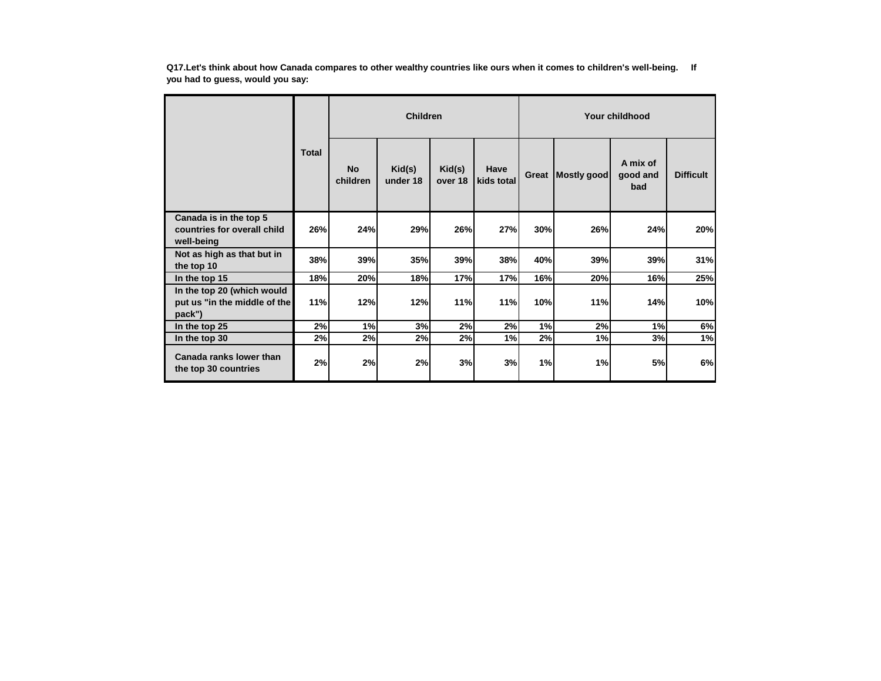**Q17.Let's think about how Canada compares to other wealthy countries like ours when it comes to children's well-being. If you had to guess, would you say:**

|                                                                      |              | <b>Children</b>       |                    |                   |                    | Your childhood |             |                             |                  |  |
|----------------------------------------------------------------------|--------------|-----------------------|--------------------|-------------------|--------------------|----------------|-------------|-----------------------------|------------------|--|
|                                                                      | <b>Total</b> | <b>No</b><br>children | Kid(s)<br>under 18 | Kid(s)<br>over 18 | Have<br>kids total | Great          | Mostly good | A mix of<br>good and<br>bad | <b>Difficult</b> |  |
| Canada is in the top 5<br>countries for overall child<br>well-being  | 26%          | 24%                   | 29%                | 26%               | 27%                | 30%            | 26%         | 24%                         | 20%              |  |
| Not as high as that but in<br>the top 10                             | 38%          | 39%                   | 35%                | 39%               | 38%                | 40%            | 39%         | 39%                         | 31%              |  |
| In the top 15                                                        | 18%          | 20%                   | <b>18%</b>         | 17%               | 17%                | 16%            | 20%         | 16%                         | 25%              |  |
| In the top 20 (which would<br>put us "in the middle of the<br>pack") | 11%          | 12%                   | 12%                | 11%               | 11%                | 10%            | 11%         | 14%                         | 10%              |  |
| In the top 25                                                        | 2%           | 1%                    | 3%                 | 2%                | 2%                 | 1%             | 2%          | 1%                          | 6%               |  |
| In the top 30                                                        | 2%           | 2%                    | 2%                 | 2%                | 1%                 | 2%             | 1%          | 3%                          | 1%               |  |
| Canada ranks lower than<br>the top 30 countries                      | 2%           | 2%                    | 2%                 | 3%                | 3%                 | 1%             | 1%          | 5%                          | 6%               |  |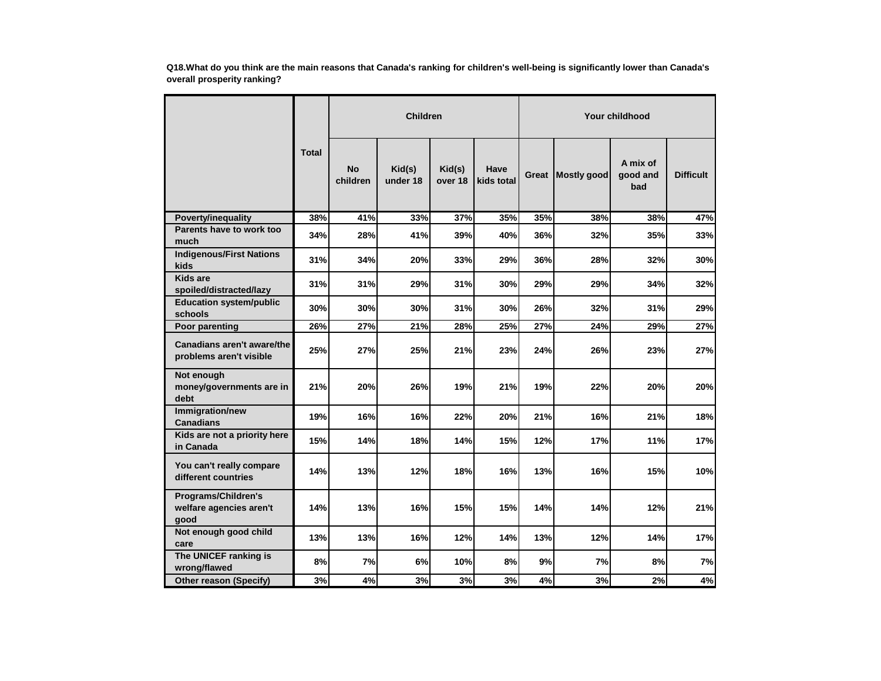**Q18.What do you think are the main reasons that Canada's ranking for children's well-being is significantly lower than Canada's overall prosperity ranking?**

|                                                        |              |                       | <b>Children</b>    |                   |                    | Your childhood |             |                             |                  |  |
|--------------------------------------------------------|--------------|-----------------------|--------------------|-------------------|--------------------|----------------|-------------|-----------------------------|------------------|--|
|                                                        | <b>Total</b> | <b>No</b><br>children | Kid(s)<br>under 18 | Kid(s)<br>over 18 | Have<br>kids total | Great          | Mostly good | A mix of<br>good and<br>bad | <b>Difficult</b> |  |
| Poverty/inequality                                     | 38%          | 41%                   | 33%                | 37%               | 35%                | 35%            | 38%         | 38%                         | 47%              |  |
| Parents have to work too<br>much                       | 34%          | 28%                   | 41%                | 39%               | 40%                | 36%            | 32%         | 35%                         | 33%              |  |
| <b>Indigenous/First Nations</b><br>kids                | 31%          | 34%                   | 20%                | 33%               | 29%                | 36%            | 28%         | 32%                         | 30%              |  |
| Kids are<br>spoiled/distracted/lazy                    | 31%          | 31%                   | 29%                | 31%               | 30%                | 29%            | 29%         | 34%                         | 32%              |  |
| <b>Education system/public</b><br>schools              | 30%          | 30%                   | 30%                | 31%               | 30%                | 26%            | 32%         | 31%                         | 29%              |  |
| Poor parenting                                         | 26%          | 27%                   | 21%                | 28%               | 25%                | 27%            | 24%         | 29%                         | 27%              |  |
| Canadians aren't aware/the<br>problems aren't visible  | 25%          | 27%                   | 25%                | 21%               | 23%                | 24%            | 26%         | 23%                         | 27%              |  |
| Not enough<br>money/governments are in<br>debt         | 21%          | 20%                   | 26%                | 19%               | 21%                | 19%            | 22%         | 20%                         | 20%              |  |
| Immigration/new<br><b>Canadians</b>                    | 19%          | 16%                   | 16%                | 22%               | 20%                | 21%            | 16%         | 21%                         | 18%              |  |
| Kids are not a priority here<br>in Canada              | 15%          | 14%                   | 18%                | 14%               | 15%                | 12%            | 17%         | 11%                         | 17%              |  |
| You can't really compare<br>different countries        | 14%          | 13%                   | 12%                | 18%               | 16%                | 13%            | 16%         | 15%                         | 10%              |  |
| Programs/Children's<br>welfare agencies aren't<br>good | 14%          | 13%                   | 16%                | 15%               | 15%                | 14%            | 14%         | 12%                         | 21%              |  |
| Not enough good child<br>care                          | 13%          | 13%                   | 16%                | 12%               | 14%                | 13%            | 12%         | 14%                         | 17%              |  |
| The UNICEF ranking is<br>wrong/flawed                  | 8%           | 7%                    | 6%                 | 10%               | 8%                 | 9%             | 7%          | 8%                          | 7%               |  |
| Other reason (Specify)                                 | 3%           | 4%                    | 3%                 | 3%                | 3%                 | 4%             | 3%          | 2%                          | $4\%$            |  |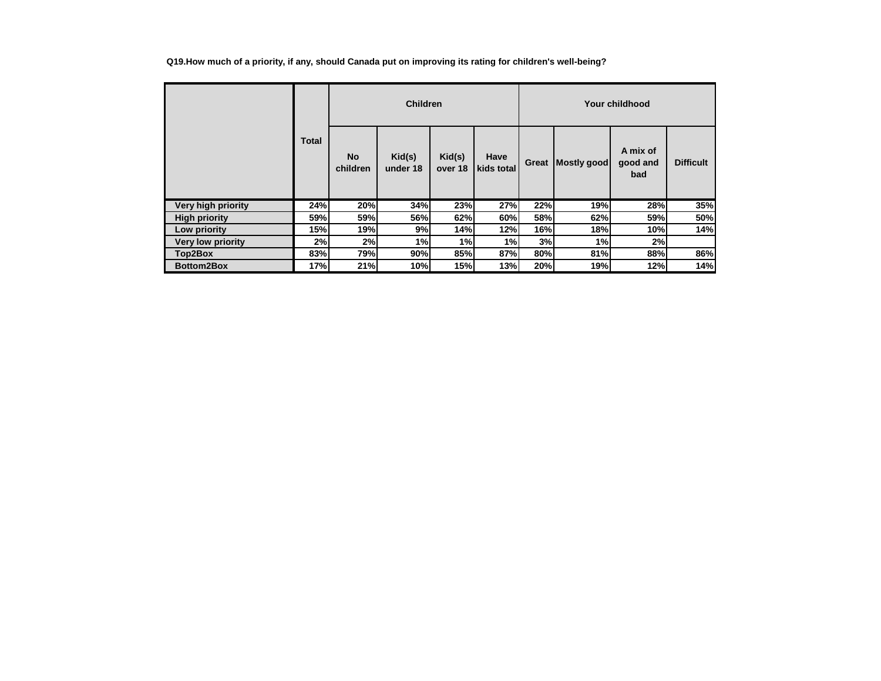|  |  | Q19.How much of a priority, if any, should Canada put on improving its rating for children's well-being? |
|--|--|----------------------------------------------------------------------------------------------------------|
|  |  |                                                                                                          |

|                          |              | <b>Children</b>       |                    |                   |                    | Your childhood |             |                             |                  |  |
|--------------------------|--------------|-----------------------|--------------------|-------------------|--------------------|----------------|-------------|-----------------------------|------------------|--|
|                          | <b>Total</b> | <b>No</b><br>children | Kid(s)<br>under 18 | Kid(s)<br>over 18 | Have<br>kids total | Great          | Mostly good | A mix of<br>good and<br>bad | <b>Difficult</b> |  |
| Very high priority       | 24%          | 20%                   | 34%                | 23%               | 27%                | 22%            | 19%         | 28%                         | 35%              |  |
| <b>High priority</b>     | 59%          | 59%                   | 56%                | 62%               | 60%                | 58%            | 62%         | 59%                         | 50%              |  |
| Low priority             | <b>15%</b>   | 19%                   | 9%                 | 14%               | 12%                | 16%            | 18%         | 10%                         | 14%              |  |
| <b>Very low priority</b> | 2%           | 2%                    | 1%                 | 1%                | 1%                 | 3%             | 1%          | 2%                          |                  |  |
| Top2Box                  | 83%          | 79%                   | 90%                | 85%               | 87%                | 80%            | 81%         | 88%                         | 86%              |  |
| <b>Bottom2Box</b>        | 17%          | 21%                   | 10%                | 15%               | 13%                | 20%            | 19%         | 12%                         | 14%              |  |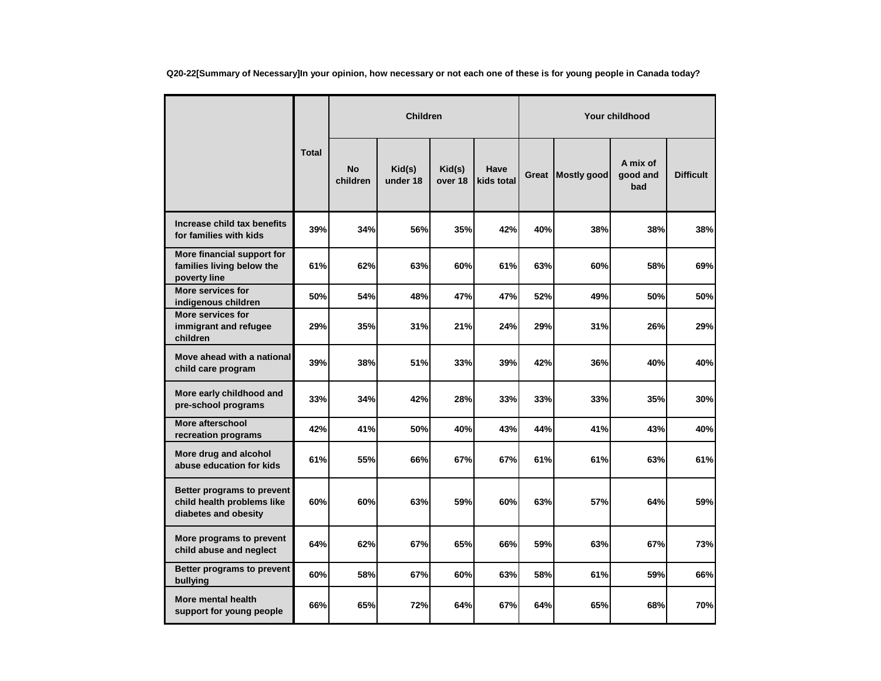**Q20-22[Summary of Necessary]In your opinion, how necessary or not each one of these is for young people in Canada today?**

|                                                                                  |              |                       | <b>Children</b>    |                   |                    |       |                    | Your childhood              |                  |
|----------------------------------------------------------------------------------|--------------|-----------------------|--------------------|-------------------|--------------------|-------|--------------------|-----------------------------|------------------|
|                                                                                  | <b>Total</b> | <b>No</b><br>children | Kid(s)<br>under 18 | Kid(s)<br>over 18 | Have<br>kids total | Great | <b>Mostly good</b> | A mix of<br>good and<br>bad | <b>Difficult</b> |
| Increase child tax benefits<br>for families with kids                            | 39%          | 34%                   | 56%                | 35%               | 42%                | 40%   | 38%                | 38%                         | 38%              |
| More financial support for<br>families living below the<br>poverty line          | 61%          | 62%                   | 63%                | 60%               | 61%                | 63%   | 60%                | 58%                         | 69%              |
| More services for<br>indigenous children                                         | 50%          | 54%                   | 48%                | 47%               | 47%                | 52%   | 49%                | 50%                         | 50%              |
| <b>More services for</b><br>immigrant and refugee<br>children                    | 29%          | 35%                   | 31%                | 21%               | 24%                | 29%   | 31%                | 26%                         | 29%              |
| Move ahead with a national<br>child care program                                 | 39%          | 38%                   | 51%                | 33%               | 39%                | 42%   | 36%                | 40%                         | 40%              |
| More early childhood and<br>pre-school programs                                  | 33%          | 34%                   | 42%                | 28%               | 33%                | 33%   | 33%                | 35%                         | 30%              |
| More afterschool<br>recreation programs                                          | 42%          | 41%                   | 50%                | 40%               | 43%                | 44%   | 41%                | 43%                         | 40%              |
| More drug and alcohol<br>abuse education for kids                                | 61%          | 55%                   | 66%                | 67%               | 67%                | 61%   | 61%                | 63%                         | 61%              |
| Better programs to prevent<br>child health problems like<br>diabetes and obesity | 60%          | 60%                   | 63%                | 59%               | 60%                | 63%   | 57%                | 64%                         | 59%              |
| More programs to prevent<br>child abuse and neglect                              | 64%          | 62%                   | 67%                | 65%               | 66%                | 59%   | 63%                | 67%                         | 73%              |
| Better programs to prevent<br>bullying                                           | 60%          | 58%                   | 67%                | 60%               | 63%                | 58%   | 61%                | 59%                         | 66%              |
| More mental health<br>support for young people                                   | 66%          | 65%                   | 72%                | 64%               | 67%                | 64%   | 65%                | 68%                         | 70%              |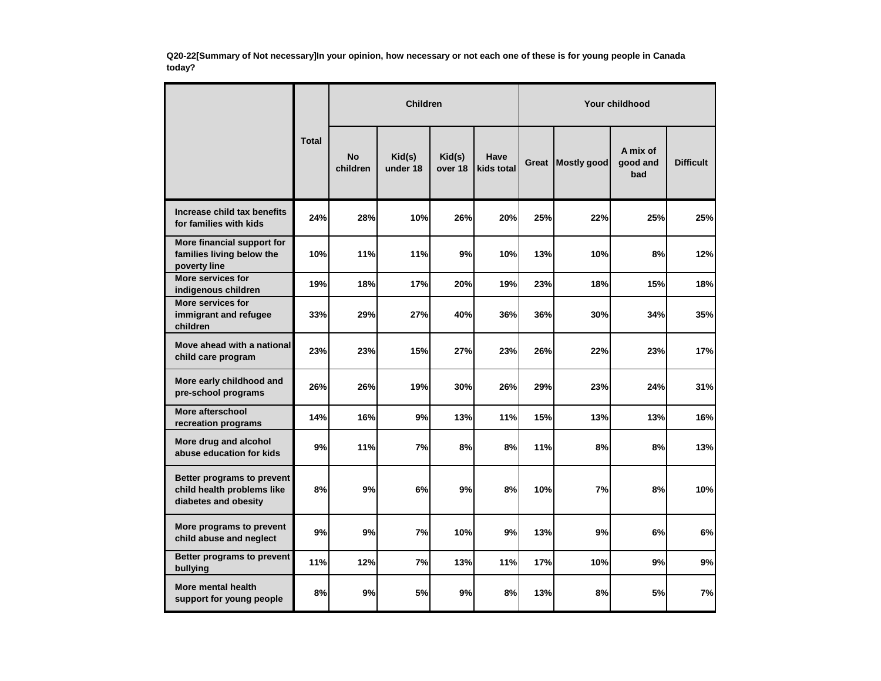**Q20-22[Summary of Not necessary]In your opinion, how necessary or not each one of these is for young people in Canada today?**

|                                                                                  |              |                       | <b>Children</b>    |                   |                    | <b>Your childhood</b> |                    |                             |                  |  |
|----------------------------------------------------------------------------------|--------------|-----------------------|--------------------|-------------------|--------------------|-----------------------|--------------------|-----------------------------|------------------|--|
|                                                                                  | <b>Total</b> | <b>No</b><br>children | Kid(s)<br>under 18 | Kid(s)<br>over 18 | Have<br>kids total | Great                 | <b>Mostly good</b> | A mix of<br>good and<br>bad | <b>Difficult</b> |  |
| Increase child tax benefits<br>for families with kids                            | 24%          | 28%                   | 10%                | 26%               | 20%                | 25%                   | 22%                | 25%                         | 25%              |  |
| More financial support for<br>families living below the<br>poverty line          | 10%          | 11%                   | 11%                | 9%                | 10%                | 13%                   | 10%                | 8%                          | 12%              |  |
| <b>More services for</b><br>indigenous children                                  | 19%          | 18%                   | 17%                | 20%               | 19%                | 23%                   | 18%                | 15%                         | 18%              |  |
| More services for<br>immigrant and refugee<br>children                           | 33%          | 29%                   | 27%                | 40%               | 36%                | 36%                   | 30%                | 34%                         | 35%              |  |
| Move ahead with a national<br>child care program                                 | 23%          | 23%                   | 15%                | 27%               | 23%                | 26%                   | 22%                | 23%                         | 17%              |  |
| More early childhood and<br>pre-school programs                                  | 26%          | 26%                   | 19%                | 30%               | 26%                | 29%                   | 23%                | 24%                         | 31%              |  |
| More afterschool<br>recreation programs                                          | 14%          | 16%                   | 9%                 | 13%               | 11%                | 15%                   | 13%                | 13%                         | 16%              |  |
| More drug and alcohol<br>abuse education for kids                                | 9%           | 11%                   | 7%                 | 8%                | 8%                 | 11%                   | 8%                 | 8%                          | 13%              |  |
| Better programs to prevent<br>child health problems like<br>diabetes and obesity | 8%           | 9%                    | 6%                 | 9%                | 8%                 | 10%                   | 7%                 | 8%                          | 10%              |  |
| More programs to prevent<br>child abuse and neglect                              | 9%           | 9%                    | 7%                 | 10%               | 9%                 | 13%                   | 9%                 | 6%                          | 6%               |  |
| Better programs to prevent<br>bullying                                           | 11%          | 12%                   | 7%                 | 13%               | 11%                | 17%                   | 10%                | 9%                          | 9%               |  |
| More mental health<br>support for young people                                   | 8%           | 9%                    | 5%                 | 9%                | 8%                 | 13%                   | 8%                 | 5%                          | 7%               |  |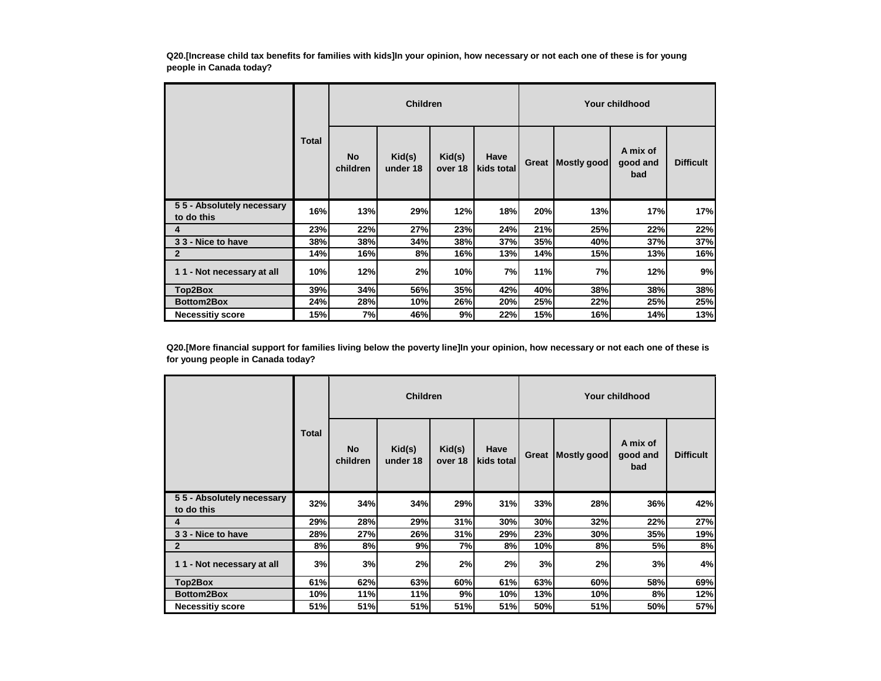**Q20.[Increase child tax benefits for families with kids]In your opinion, how necessary or not each one of these is for young people in Canada today?**

|                                         |              | <b>Children</b>       |                    |                   |                    |       | Your childhood |                             |                  |  |  |
|-----------------------------------------|--------------|-----------------------|--------------------|-------------------|--------------------|-------|----------------|-----------------------------|------------------|--|--|
|                                         | <b>Total</b> | <b>No</b><br>children | Kid(s)<br>under 18 | Kid(s)<br>over 18 | Have<br>kids total | Great | Mostly good    | A mix of<br>good and<br>bad | <b>Difficult</b> |  |  |
| 55 - Absolutely necessary<br>to do this | 16%          | 13%                   | 29%                | 12%               | 18%                | 20%   | 13%            | 17%                         | 17%              |  |  |
| 4                                       | 23%          | 22%                   | 27%                | 23%               | 24%                | 21%   | 25%            | 22%                         | 22%              |  |  |
| 33 - Nice to have                       | 38%          | 38%                   | 34%                | 38%               | 37%                | 35%   | 40%            | 37%                         | 37%              |  |  |
| $\mathbf{2}$                            | 14%          | 16%                   | 8%                 | 16%               | 13%                | 14%   | 15%            | 13%                         | 16%              |  |  |
| 11 - Not necessary at all               | 10%          | 12%                   | 2%                 | 10%               | 7%                 | 11%   | 7%             | 12%                         | 9%               |  |  |
| Top2Box                                 | 39%          | 34%                   | 56%                | <b>35%</b>        | 42%                | 40%   | 38%            | 38%                         | 38%              |  |  |
| Bottom2Box                              | 24%          | 28%                   | 10%                | 26%               | 20%                | 25%   | 22%            | 25%                         | 25%              |  |  |
| <b>Necessitiy score</b>                 | 15%          | 7%                    | 46%                | 9%                | 22%                | 15%   | 16%            | 14%                         | 13%              |  |  |

**Q20.[More financial support for families living below the poverty line]In your opinion, how necessary or not each one of these is for young people in Canada today?**

|                                         |       | <b>Children</b>       |                    |                   |                    |       | Your childhood |                             |                  |  |  |
|-----------------------------------------|-------|-----------------------|--------------------|-------------------|--------------------|-------|----------------|-----------------------------|------------------|--|--|
|                                         | Total | <b>No</b><br>children | Kid(s)<br>under 18 | Kid(s)<br>over 18 | Have<br>kids total | Great | Mostly good    | A mix of<br>good and<br>bad | <b>Difficult</b> |  |  |
| 55 - Absolutely necessary<br>to do this | 32%   | 34%                   | 34%                | 29%               | 31%                | 33%   | 28%            | 36%                         | 42%              |  |  |
| 4                                       | 29%   | 28%                   | 29%                | 31%               | 30%                | 30%   | 32%            | 22%                         | 27%              |  |  |
| 33 - Nice to have                       | 28%   | 27%                   | <b>26%</b>         | 31%               | 29%                | 23%   | 30%            | 35%                         | 19%              |  |  |
| $\mathbf{2}$                            | 8%    | 8%                    | 9%                 | 7%                | 8%                 | 10%   | 8%             | 5%                          | 8%               |  |  |
| 11 - Not necessary at all               | 3%    | 3%                    | 2%                 | 2%                | 2%                 | 3%    | 2%             | 3%                          | 4%               |  |  |
| Top2Box                                 | 61%   | 62%                   | 63%                | 60%               | 61%                | 63%   | 60%            | 58%                         | 69%              |  |  |
| Bottom2Box                              | 10%   | 11%                   | 11%                | 9%                | 10%                | 13%   | 10%            | 8%                          | 12%              |  |  |
| <b>Necessitiy score</b>                 | 51%   | 51%                   | 51%                | 51%               | 51%                | 50%   | 51%            | 50%                         | 57%              |  |  |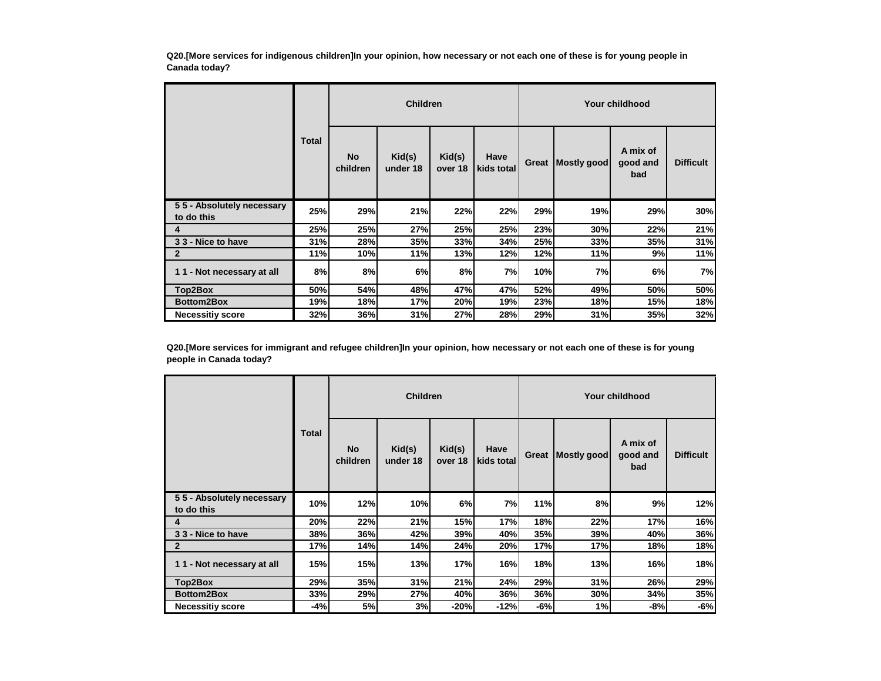**Q20.[More services for indigenous children]In your opinion, how necessary or not each one of these is for young people in Canada today?**

|                                         |              | <b>Children</b>       |                    |                   |                    |       | Your childhood |                             |                  |  |  |
|-----------------------------------------|--------------|-----------------------|--------------------|-------------------|--------------------|-------|----------------|-----------------------------|------------------|--|--|
|                                         | <b>Total</b> | <b>No</b><br>children | Kid(s)<br>under 18 | Kid(s)<br>over 18 | Have<br>kids total | Great | Mostly good    | A mix of<br>good and<br>bad | <b>Difficult</b> |  |  |
| 55 - Absolutely necessary<br>to do this | 25%          | 29%                   | 21%                | 22%               | 22%                | 29%   | 19%            | 29%                         | 30%              |  |  |
| 4                                       | 25%          | 25%                   | <b>27%</b>         | 25%               | 25%                | 23%   | 30%            | 22%                         | 21%              |  |  |
| 33 - Nice to have                       | 31%          | 28%                   | 35%                | 33%               | 34%                | 25%   | 33%            | 35%                         | 31%              |  |  |
| $\mathbf{2}$                            | 11%          | <b>10%</b>            | 11%                | 13%               | 12%                | 12%   | 11%            | 9%                          | 11%              |  |  |
| 11 - Not necessary at all               | 8%           | 8%                    | 6%                 | 8%                | 7%                 | 10%   | 7%             | 6%                          | 7%               |  |  |
| Top2Box                                 | 50%          | 54%                   | 48%                | 47%               | 47%                | 52%   | 49%            | 50%                         | 50%              |  |  |
| <b>Bottom2Box</b>                       | 19%          | 18%                   | 17%                | 20%               | 19%                | 23%   | 18%            | 15%                         | 18%              |  |  |
| <b>Necessitiy score</b>                 | 32%          | 36%                   | 31%                | 27%               | 28%                | 29%   | 31%            | 35%                         | 32%              |  |  |

**Q20.[More services for immigrant and refugee children]In your opinion, how necessary or not each one of these is for young people in Canada today?**

|                                         | <b>Children</b> |                |                    |                   |                    | Your childhood |             |                             |                  |  |  |
|-----------------------------------------|-----------------|----------------|--------------------|-------------------|--------------------|----------------|-------------|-----------------------------|------------------|--|--|
|                                         | <b>Total</b>    | No<br>children | Kid(s)<br>under 18 | Kid(s)<br>over 18 | Have<br>kids total | Great          | Mostly good | A mix of<br>good and<br>bad | <b>Difficult</b> |  |  |
| 55 - Absolutely necessary<br>to do this | 10%             | 12%            | 10%                | 6%                | 7%                 | 11%            | 8%          | 9%                          | 12%              |  |  |
| 4                                       | 20%             | 22%            | 21%                | 15%               | 17%                | 18%            | 22%         | 17%                         | 16%              |  |  |
| 33 - Nice to have                       | 38%             | 36%            | 42%                | 39%               | 40%                | 35%            | 39%         | 40%                         | 36%              |  |  |
| $\mathbf{2}$                            | 17%             | 14%            | 14%                | 24%               | 20%                | 17%            | 17%         | 18%                         | 18%              |  |  |
| 11 - Not necessary at all               | 15%             | 15%            | 13%                | 17%               | 16%                | 18%            | 13%         | 16%                         | 18%              |  |  |
| Top2Box                                 | 29%             | 35%            | 31%                | 21%               | 24%                | 29%            | 31%         | 26%                         | 29%              |  |  |
| Bottom2Box                              | 33%             | 29%            | 27%                | 40%               | 36%                | 36%            | 30%         | 34%                         | 35%              |  |  |
| <b>Necessitiy score</b>                 | $-4%$           | 5%             | 3%                 | $-20%$            | $-12%$             | $-6%$          | 1%          | $-8%$                       | $-6%$            |  |  |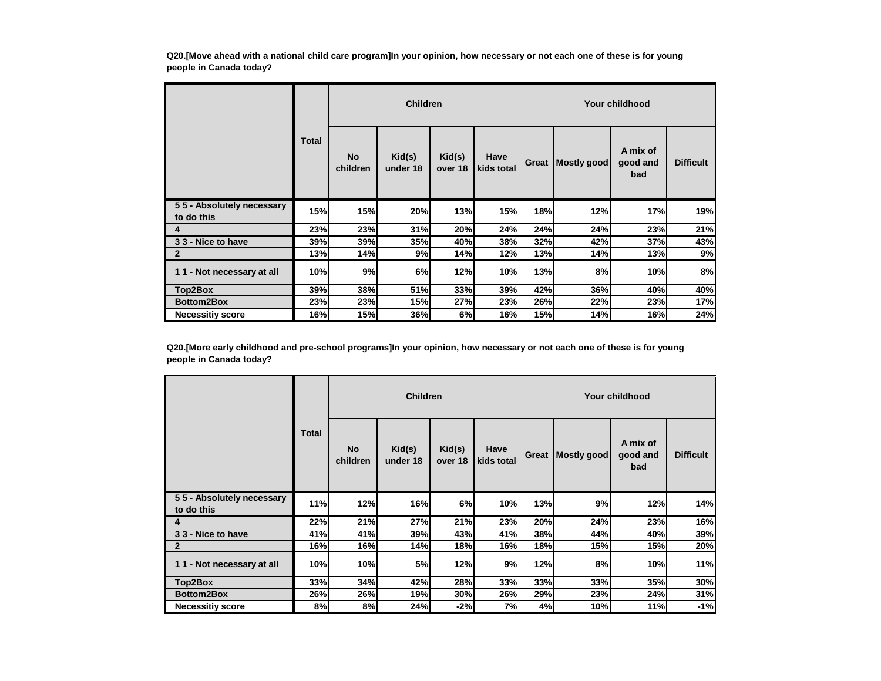**Q20.[Move ahead with a national child care program]In your opinion, how necessary or not each one of these is for young people in Canada today?**

|                                         |            | <b>Children</b>       |                    |                   |                    |       | Your childhood |                             |                  |  |  |  |
|-----------------------------------------|------------|-----------------------|--------------------|-------------------|--------------------|-------|----------------|-----------------------------|------------------|--|--|--|
|                                         | Total      | <b>No</b><br>children | Kid(s)<br>under 18 | Kid(s)<br>over 18 | Have<br>kids total | Great | Mostly good    | A mix of<br>good and<br>bad | <b>Difficult</b> |  |  |  |
| 55 - Absolutely necessary<br>to do this | 15%        | 15%                   | 20%                | 13%               | 15%                | 18%   | 12%            | 17%                         | 19%              |  |  |  |
| 4                                       | 23%        | 23%                   | 31%                | 20%               | 24%                | 24%   | 24%            | 23%                         | 21%              |  |  |  |
| 33 - Nice to have                       | 39%        | 39%                   | <b>35%</b>         | 40%               | 38%                | 32%   | 42%            | 37%                         | 43%              |  |  |  |
| $\mathbf{2}$                            | 13%        | 14%                   | 9%                 | 14%               | 12%                | 13%   | 14%            | 13%                         | 9%               |  |  |  |
| 11 - Not necessary at all               | 10%        | 9%                    | 6%                 | 12%               | 10%                | 13%   | 8%             | 10%                         | 8%               |  |  |  |
| Top2Box                                 | <b>39%</b> | 38%                   | <b>51%</b>         | 33%               | 39%                | 42%   | 36%            | 40%                         | 40%              |  |  |  |
| Bottom2Box                              | 23%        | 23%                   | 15%                | 27%               | 23%                | 26%   | 22%            | 23%                         | 17%              |  |  |  |
| <b>Necessitiy score</b>                 | 16%        | 15%                   | 36%                | 6%                | 16%                | 15%   | 14%            | 16%                         | 24%              |  |  |  |

**Q20.[More early childhood and pre-school programs]In your opinion, how necessary or not each one of these is for young people in Canada today?**

|                                         |       | <b>Children</b> |                    |                   |                    | Your childhood |             |                             |                  |  |
|-----------------------------------------|-------|-----------------|--------------------|-------------------|--------------------|----------------|-------------|-----------------------------|------------------|--|
|                                         | Total | No<br>children  | Kid(s)<br>under 18 | Kid(s)<br>over 18 | Have<br>kids total | Great          | Mostly good | A mix of<br>good and<br>bad | <b>Difficult</b> |  |
| 55 - Absolutely necessary<br>to do this | 11%   | 12%             | 16%                | 6%                | 10%                | 13%            | 9%          | 12%                         | 14%              |  |
| 4                                       | 22%   | 21%             | 27%                | 21%               | 23%                | 20%            | 24%         | 23%                         | 16%              |  |
| 33 - Nice to have                       | 41%   | 41%             | 39%                | 43%               | 41%                | 38%            | 44%         | 40%                         | 39%              |  |
| $\overline{2}$                          | 16%   | 16%             | 14%                | 18%               | 16%                | 18%            | 15%         | 15%                         | 20%              |  |
| 11 - Not necessary at all               | 10%   | 10%             | 5%                 | 12%               | 9%                 | 12%            | 8%          | 10%                         | 11%              |  |
| Top2Box                                 | 33%   | 34%             | 42%                | 28%               | 33%                | 33%            | 33%         | 35%                         | 30%              |  |
| Bottom2Box                              | 26%   | 26%             | 19%                | <b>30%</b>        | 26%                | 29%            | 23%         | 24%                         | 31%              |  |
| <b>Necessitiy score</b>                 | 8%    | 8%              | 24%                | $-2%$             | 7%                 | 4%             | 10%         | 11%                         | $-1%$            |  |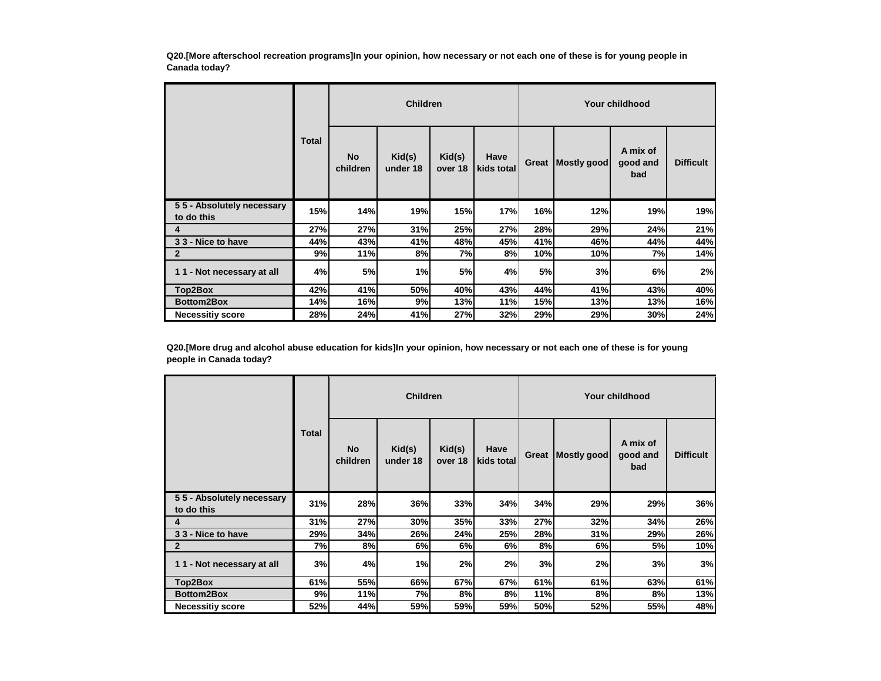**Q20.[More afterschool recreation programs]In your opinion, how necessary or not each one of these is for young people in Canada today?**

|                                         |       |                | <b>Children</b>    |                   |                    |       |             | Your childhood              |                  |
|-----------------------------------------|-------|----------------|--------------------|-------------------|--------------------|-------|-------------|-----------------------------|------------------|
|                                         | Total | No<br>children | Kid(s)<br>under 18 | Kid(s)<br>over 18 | Have<br>kids total | Great | Mostly good | A mix of<br>good and<br>bad | <b>Difficult</b> |
| 55 - Absolutely necessary<br>to do this | 15%   | 14%            | 19%                | 15%               | 17%                | 16%   | 12%         | 19%                         | 19%              |
| 4                                       | 27%   | 27%            | 31%                | 25%               | 27%                | 28%   | 29%         | 24%                         | 21%              |
| 33 - Nice to have                       | 44%   | 43%            | 41%                | 48%               | 45%l               | 41%   | 46%         | 44%                         | 44%              |
| $\mathbf{2}$                            | 9%    | 11%            | 8%                 | 7%                | 8%                 | 10%   | 10%         | 7%                          | 14%              |
| 11 - Not necessary at all               | 4%    | 5%             | 1%                 | 5%                | 4%                 | 5%    | 3%          | 6%                          | 2%               |
| Top2Box                                 | 42%   | 41%            | 50%                | 40%               | 43%                | 44%   | 41%         | 43%                         | 40%              |
| <b>Bottom2Box</b>                       | 14%   | 16%            | 9%                 | 13%               | 11%                | 15%   | 13%         | 13%                         | 16%              |
| <b>Necessitiy score</b>                 | 28%   | 24%            | 41%                | 27%               | 32%                | 29%   | 29%         | 30%                         | 24%              |

**Q20.[More drug and alcohol abuse education for kids]In your opinion, how necessary or not each one of these is for young people in Canada today?**

|                                         |              |                       | <b>Children</b>    |                   |                    |       | Your childhood |                             |                  |  |  |
|-----------------------------------------|--------------|-----------------------|--------------------|-------------------|--------------------|-------|----------------|-----------------------------|------------------|--|--|
|                                         | <b>Total</b> | <b>No</b><br>children | Kid(s)<br>under 18 | Kid(s)<br>over 18 | Have<br>kids total | Great | Mostly good    | A mix of<br>good and<br>bad | <b>Difficult</b> |  |  |
| 55 - Absolutely necessary<br>to do this | 31%          | 28%                   | 36%                | 33%               | 34%                | 34%   | 29%            | 29%                         | 36%              |  |  |
| 4                                       | 31%          | 27%                   | 30%                | 35%               | 33%                | 27%   | 32%            | 34%                         | 26%              |  |  |
| 33 - Nice to have                       | 29%          | 34%                   | <b>26%</b>         | 24%               | <b>25%</b>         | 28%   | 31%            | 29%                         | 26%              |  |  |
| $\mathbf{2}$                            | 7%           | 8%                    | 6%                 | 6%                | 6%                 | 8%    | 6%             | 5%                          | 10%              |  |  |
| 11 - Not necessary at all               | 3%           | 4%                    | 1%                 | 2%                | 2%                 | 3%    | 2%             | 3%                          | 3%               |  |  |
| Top2Box                                 | 61%          | 55%                   | 66%                | 67%               | 67%                | 61%   | 61%            | 63%                         | 61%              |  |  |
| Bottom2Box                              | 9%           | 11%                   | 7%                 | 8%                | 8%                 | 11%   | 8%             | 8%                          | 13%              |  |  |
| <b>Necessitiy score</b>                 | 52%          | 44%                   | 59%                | 59%               | 59%                | 50%   | 52%            | 55%                         | 48%              |  |  |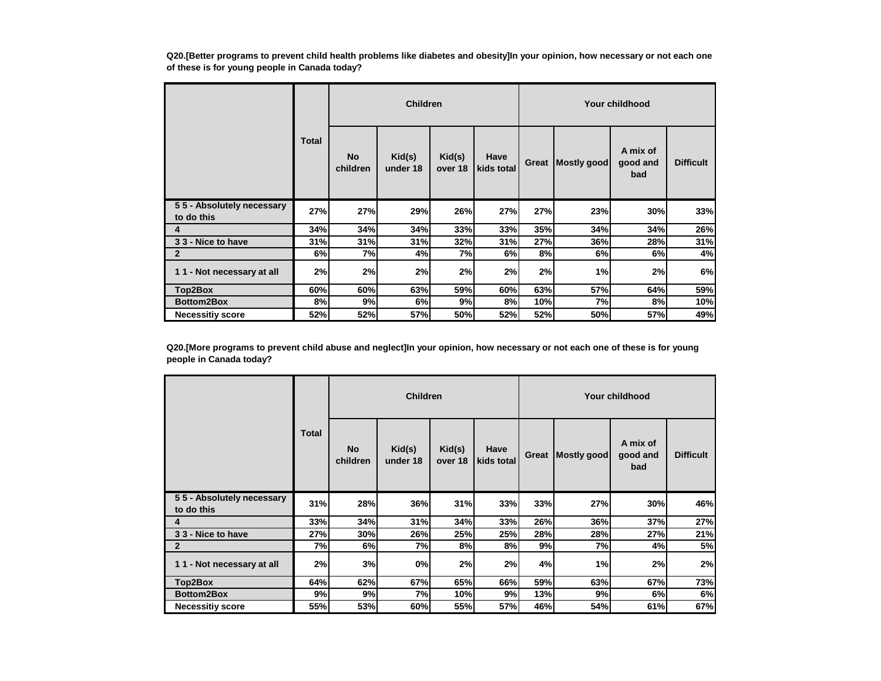**Q20.[Better programs to prevent child health problems like diabetes and obesity]In your opinion, how necessary or not each one of these is for young people in Canada today?**

|                                         |              | <b>Children</b>       |                    |                   |                    |       | Your childhood |                             |                  |  |  |
|-----------------------------------------|--------------|-----------------------|--------------------|-------------------|--------------------|-------|----------------|-----------------------------|------------------|--|--|
|                                         | <b>Total</b> | <b>No</b><br>children | Kid(s)<br>under 18 | Kid(s)<br>over 18 | Have<br>kids total | Great | Mostly good    | A mix of<br>good and<br>bad | <b>Difficult</b> |  |  |
| 55 - Absolutely necessary<br>to do this | 27%          | 27%                   | 29%                | 26%               | 27%                | 27%   | 23%            | 30%                         | 33%              |  |  |
| 4                                       | 34%          | 34%                   | 34%                | 33%               | <b>33%</b>         | 35%   | 34%            | 34%                         | 26%              |  |  |
| 33 - Nice to have                       | 31%          | 31%                   | 31%                | 32%               | 31%                | 27%   | 36%            | 28%                         | 31%              |  |  |
| $\mathbf{2}$                            | 6%           | 7%                    | 4%                 | 7%                | 6%                 | 8%    | 6%             | 6%                          | 4%               |  |  |
| 11 - Not necessary at all               | 2%           | 2%                    | 2%                 | 2%                | 2%                 | 2%    | 1%             | 2%                          | 6%               |  |  |
| Top2Box                                 | 60%          | 60%                   | 63%                | 59%l              | 60%                | 63%   | <b>57%</b>     | 64%                         | 59%              |  |  |
| <b>Bottom2Box</b>                       | 8%           | 9%                    | 6%                 | 9%                | 8%                 | 10%   | 7%             | 8%                          | 10%              |  |  |
| <b>Necessitiy score</b>                 | 52%          | 52%                   | 57%                | 50%               | 52%                | 52%   | 50%            | 57%                         | 49%              |  |  |

**Q20.[More programs to prevent child abuse and neglect]In your opinion, how necessary or not each one of these is for young people in Canada today?**

|                                         |       | <b>Children</b>       |                    |                   |                    | Your childhood |             |                             |                  |  |
|-----------------------------------------|-------|-----------------------|--------------------|-------------------|--------------------|----------------|-------------|-----------------------------|------------------|--|
|                                         | Total | <b>No</b><br>children | Kid(s)<br>under 18 | Kid(s)<br>over 18 | Have<br>kids total | Great          | Mostly good | A mix of<br>good and<br>bad | <b>Difficult</b> |  |
| 55 - Absolutely necessary<br>to do this | 31%   | 28%                   | 36%                | 31%               | 33%                | 33%            | 27%         | 30%                         | 46%              |  |
| 4                                       | 33%   | 34%                   | 31%                | 34%               | 33%                | 26%            | 36%         | 37%                         | 27%              |  |
| 33 - Nice to have                       | 27%   | 30%                   | <b>26%</b>         | 25%               | <b>25%</b>         | 28%            | 28%         | 27%                         | 21%              |  |
| $\mathbf{2}$                            | 7%    | 6%                    | 7%                 | 8%                | 8%                 | 9%             | 7%          | 4%                          | 5%               |  |
| 11 - Not necessary at all               | 2%    | 3%                    | 0%                 | 2%                | 2%                 | 4%             | 1%          | 2%                          | 2%               |  |
| Top2Box                                 | 64%   | 62%                   | 67%                | 65%               | <b>66%</b>         | 59%            | 63%         | 67%                         | 73%              |  |
| Bottom2Box                              | 9%    | 9%                    | 7%                 | 10%               | 9%                 | 13%            | 9%          | 6%                          | 6%               |  |
| <b>Necessitiy score</b>                 | 55%   | 53%                   | 60%                | 55%               | 57%                | 46%            | 54%         | 61%                         | 67%              |  |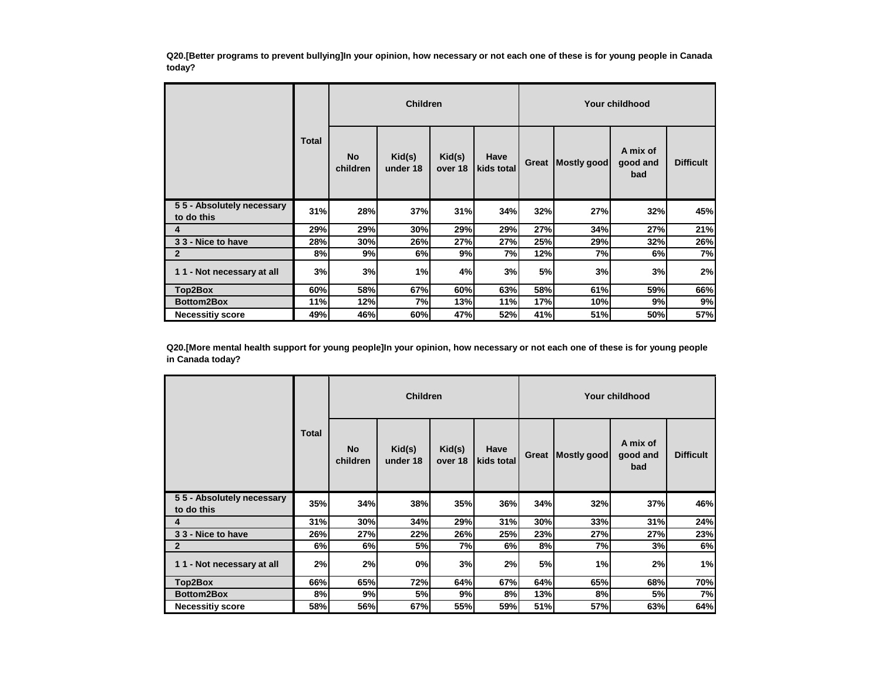**Q20.[Better programs to prevent bullying]In your opinion, how necessary or not each one of these is for young people in Canada today?**

|                                         |            | <b>Children</b>       |                    |                   |                    |       | Your childhood |                             |                  |  |  |
|-----------------------------------------|------------|-----------------------|--------------------|-------------------|--------------------|-------|----------------|-----------------------------|------------------|--|--|
|                                         | Total      | <b>No</b><br>children | Kid(s)<br>under 18 | Kid(s)<br>over 18 | Have<br>kids total | Great | Mostly good    | A mix of<br>good and<br>bad | <b>Difficult</b> |  |  |
| 55 - Absolutely necessary<br>to do this | 31%        | 28%                   | 37%                | 31%               | 34%                | 32%   | 27%            | 32%                         | 45%              |  |  |
| 4                                       | <b>29%</b> | 29%                   | 30%                | 29%               | 29%                | 27%   | 34%            | 27%                         | 21%              |  |  |
| 33 - Nice to have                       | 28%        | 30%                   | 26%                | 27%               | 27%                | 25%   | 29%            | 32%                         | 26%              |  |  |
| $\mathbf{2}$                            | 8%         | 9%                    | 6%                 | 9%                | 7%                 | 12%   | 7%             | 6%                          | 7%               |  |  |
| 11 - Not necessary at all               | 3%         | 3%                    | 1%                 | 4%                | 3%                 | 5%    | 3%             | 3%                          | 2%               |  |  |
| Top2Box                                 | 60%        | 58%                   | 67%                | 60%               | 63%                | 58%   | 61%            | 59%                         | 66%              |  |  |
| <b>Bottom2Box</b>                       | 11%        | 12%                   | 7%                 | 13%               | 11%                | 17%   | 10%            | 9%                          | 9%               |  |  |
| <b>Necessitiy score</b>                 | 49%        | 46%                   | 60%                | 47%               | 52%                | 41%   | 51%            | 50%                         | 57%              |  |  |

**Q20.[More mental health support for young people]In your opinion, how necessary or not each one of these is for young people in Canada today?**

|                                         |       | <b>Children</b>       |                    |                   |                    |       | Your childhood |                             |                  |  |  |
|-----------------------------------------|-------|-----------------------|--------------------|-------------------|--------------------|-------|----------------|-----------------------------|------------------|--|--|
|                                         | Total | <b>No</b><br>children | Kid(s)<br>under 18 | Kid(s)<br>over 18 | Have<br>kids total | Great | Mostly good    | A mix of<br>good and<br>bad | <b>Difficult</b> |  |  |
| 55 - Absolutely necessary<br>to do this | 35%   | 34%                   | 38%                | 35%               | 36%                | 34%   | 32%            | 37%                         | 46%              |  |  |
| 4                                       | 31%   | 30%                   | 34%                | 29%               | 31%                | 30%   | 33%            | 31%                         | 24%              |  |  |
| 33 - Nice to have                       | 26%   | 27%                   | 22%                | 26%               | <b>25%</b>         | 23%   | 27%            | 27%                         | 23%              |  |  |
| $\overline{2}$                          | 6%    | 6%                    | 5%                 | 7%                | 6%                 | 8%    | 7%             | 3%                          | 6%               |  |  |
| 11 - Not necessary at all               | 2%    | 2%                    | 0%                 | 3%                | 2%                 | 5%    | 1%             | 2%                          | 1%               |  |  |
| Top2Box                                 | 66%   | 65%                   | 72%                | 64%               | 67%                | 64%   | 65%            | 68%                         | 70%              |  |  |
| Bottom2Box                              | 8%    | 9%                    | 5%                 | 9%                | 8%                 | 13%   | 8%             | 5%                          | 7%               |  |  |
| <b>Necessitiy score</b>                 | 58%   | 56%                   | 67%                | 55%               | 59%                | 51%   | 57%            | 63%                         | 64%              |  |  |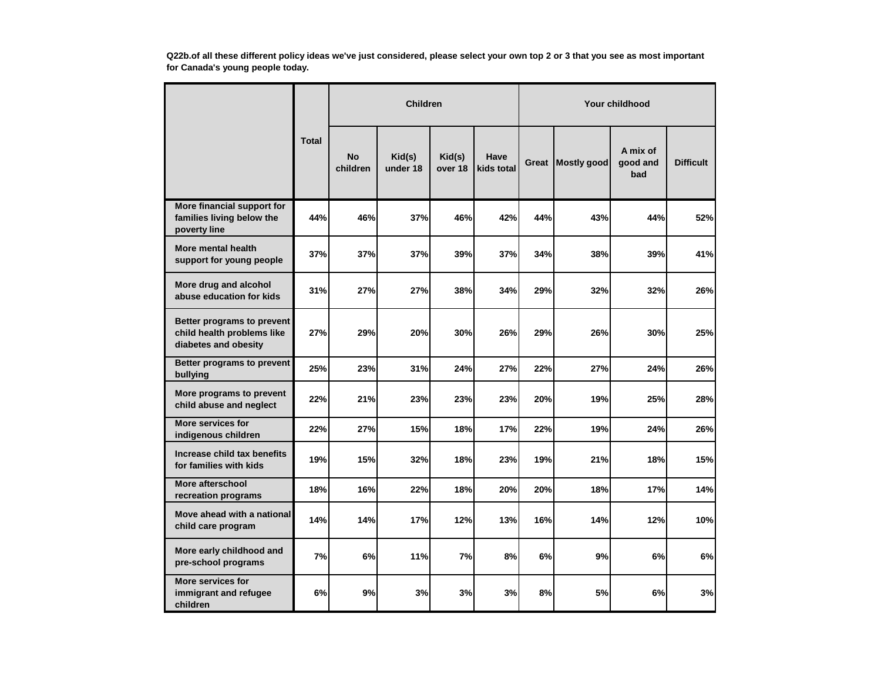**Q22b.of all these different policy ideas we've just considered, please select your own top 2 or 3 that you see as most important for Canada's young people today.**

|                                                                                  |              | <b>Children</b>       |                    |                   |                    | <b>Your childhood</b> |             |                             |                  |  |
|----------------------------------------------------------------------------------|--------------|-----------------------|--------------------|-------------------|--------------------|-----------------------|-------------|-----------------------------|------------------|--|
|                                                                                  | <b>Total</b> | <b>No</b><br>children | Kid(s)<br>under 18 | Kid(s)<br>over 18 | Have<br>kids total | Great                 | Mostly good | A mix of<br>good and<br>bad | <b>Difficult</b> |  |
| More financial support for<br>families living below the<br>poverty line          | 44%          | 46%                   | <b>37%</b>         | 46%               | 42%                | 44%                   | 43%         | 44%                         | 52%              |  |
| More mental health<br>support for young people                                   | 37%          | 37%                   | 37%                | 39%               | 37%                | 34%                   | 38%         | 39%                         | 41%              |  |
| More drug and alcohol<br>abuse education for kids                                | 31%          | 27%                   | 27%                | 38%               | 34%                | 29%                   | 32%         | 32%                         | 26%              |  |
| Better programs to prevent<br>child health problems like<br>diabetes and obesity | 27%          | 29%                   | 20%                | 30%               | 26%                | 29%                   | 26%         | 30%                         | 25%              |  |
| Better programs to prevent<br>bullying                                           | 25%          | 23%                   | 31%                | 24%               | 27%                | 22%                   | 27%         | 24%                         | 26%              |  |
| More programs to prevent<br>child abuse and neglect                              | 22%          | 21%                   | 23%                | 23%               | 23%                | 20%                   | 19%         | 25%                         | 28%              |  |
| More services for<br>indigenous children                                         | 22%          | 27%                   | 15%                | 18%               | <b>17%</b>         | 22%                   | 19%         | 24%                         | 26%              |  |
| Increase child tax benefits<br>for families with kids                            | 19%          | 15%                   | 32%                | 18%               | 23%                | 19%                   | 21%         | 18%                         | 15%              |  |
| More afterschool<br>recreation programs                                          | 18%          | 16%                   | 22%                | 18%               | 20%                | 20%                   | 18%         | 17%                         | 14%              |  |
| Move ahead with a national<br>child care program                                 | 14%          | 14%                   | 17%                | 12%               | 13%                | 16%                   | 14%         | 12%                         | 10%              |  |
| More early childhood and<br>pre-school programs                                  | 7%           | 6%                    | 11%                | 7%                | 8%                 | 6%                    | 9%          | 6%                          | 6%               |  |
| More services for<br>immigrant and refugee<br>children                           | 6%           | 9%                    | 3%                 | 3%                | 3%                 | 8%                    | 5%          | 6%                          | 3%               |  |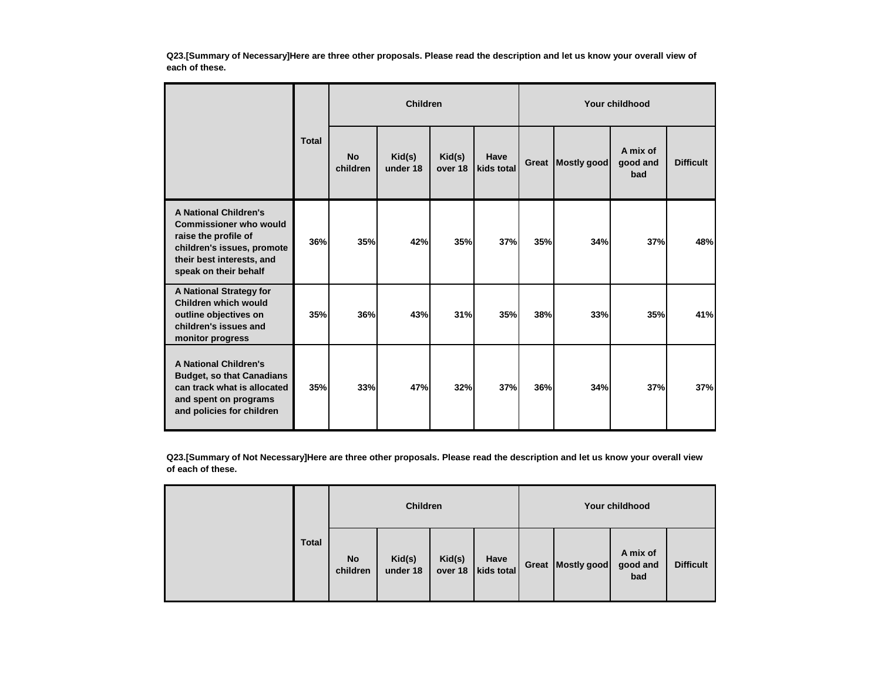**Q23.[Summary of Necessary]Here are three other proposals. Please read the description and let us know your overall view of each of these.**

|                                                                                                                                                                           |              | <b>Children</b>       |                    |                   |                    |       | Your childhood |                             |                  |  |  |
|---------------------------------------------------------------------------------------------------------------------------------------------------------------------------|--------------|-----------------------|--------------------|-------------------|--------------------|-------|----------------|-----------------------------|------------------|--|--|
|                                                                                                                                                                           | <b>Total</b> | <b>No</b><br>children | Kid(s)<br>under 18 | Kid(s)<br>over 18 | Have<br>kids total | Great | Mostly good    | A mix of<br>good and<br>bad | <b>Difficult</b> |  |  |
| <b>A National Children's</b><br><b>Commissioner who would</b><br>raise the profile of<br>children's issues, promote<br>their best interests, and<br>speak on their behalf | 36%          | 35%                   | 42%                | 35%               | 37%                | 35%   | 34%            | 37%                         | 48%              |  |  |
| A National Strategy for<br>Children which would<br>outline objectives on<br>children's issues and<br>monitor progress                                                     | 35%          | 36%                   | 43%                | 31%               | <b>35%</b>         | 38%   | 33%            | 35%                         | 41%              |  |  |
| <b>A National Children's</b><br><b>Budget, so that Canadians</b><br>can track what is allocated<br>and spent on programs<br>and policies for children                     | 35%          | 33%                   | 47%                | 32%               | 37%                | 36%   | 34%            | 37%                         | 37%              |  |  |

**Q23.[Summary of Not Necessary]Here are three other proposals. Please read the description and let us know your overall view of each of these.**

|              | <b>Children</b>       |                    |                   |                    |  | Your childhood      |                             |                  |  |  |
|--------------|-----------------------|--------------------|-------------------|--------------------|--|---------------------|-----------------------------|------------------|--|--|
| <b>Total</b> | <b>No</b><br>children | Kid(s)<br>under 18 | Kid(s)<br>over 18 | Have<br>kids total |  | Great   Mostly good | A mix of<br>good and<br>bad | <b>Difficult</b> |  |  |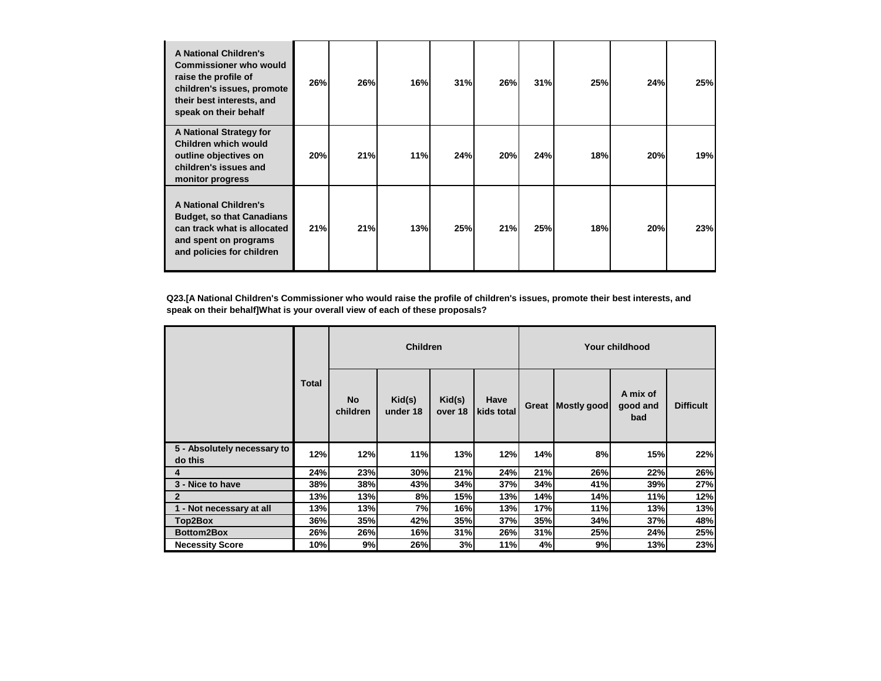| <b>A National Children's</b><br><b>Commissioner who would</b><br>raise the profile of<br>children's issues, promote<br>their best interests, and<br>speak on their behalf | 26% | 26% | 16% | 31% | <b>26%</b> | 31% | 25% | 24% | 25% |
|---------------------------------------------------------------------------------------------------------------------------------------------------------------------------|-----|-----|-----|-----|------------|-----|-----|-----|-----|
| A National Strategy for<br>Children which would<br>outline objectives on<br>children's issues and<br>monitor progress                                                     | 20% | 21% | 11% | 24% | 20%        | 24% | 18% | 20% | 19% |
| <b>A National Children's</b><br><b>Budget, so that Canadians</b><br>can track what is allocated<br>and spent on programs<br>and policies for children                     | 21% | 21% | 13% | 25% | 21%        | 25% | 18% | 20% | 23% |

**Q23.[A National Children's Commissioner who would raise the profile of children's issues, promote their best interests, and speak on their behalf]What is your overall view of each of these proposals?**

|                                        |              | <b>Children</b>       |                    |                   |                    | Your childhood |             |                             |                  |  |
|----------------------------------------|--------------|-----------------------|--------------------|-------------------|--------------------|----------------|-------------|-----------------------------|------------------|--|
|                                        | <b>Total</b> | <b>No</b><br>children | Kid(s)<br>under 18 | Kid(s)<br>over 18 | Have<br>kids total | Great          | Mostly good | A mix of<br>good and<br>bad | <b>Difficult</b> |  |
| 5 - Absolutely necessary to<br>do this | 12%          | 12%                   | 11%                | 13%               | 12%                | 14%            | 8%          | 15%                         | 22%              |  |
| 4                                      | 24%          | 23%                   | 30%                | 21%               | 24%                | 21%            | 26%         | 22%                         | 26%              |  |
| 3 - Nice to have                       | 38%          | 38%                   | 43%                | 34%               | 37%                | 34%            | 41%         | 39%                         | 27%              |  |
| $\mathbf{2}$                           | 13%          | 13%                   | 8%                 | 15%               | 13%                | 14%            | 14%         | 11%                         | 12%              |  |
| 1 - Not necessary at all               | 13%          | 13%                   | 7%                 | 16%               | 13%                | 17%            | 11%         | 13%                         | 13%              |  |
| Top2Box                                | 36%          | 35%                   | 42%                | 35%               | 37%                | 35%            | 34%         | 37%                         | 48%              |  |
| <b>Bottom2Box</b>                      | 26%          | 26%                   | 16%                | 31%               | 26%                | 31%            | 25%         | 24%                         | 25%              |  |
| <b>Necessity Score</b>                 | 10%          | 9%                    | 26%                | 3%                | 11%                | 4%             | 9%          | 13%                         | 23%              |  |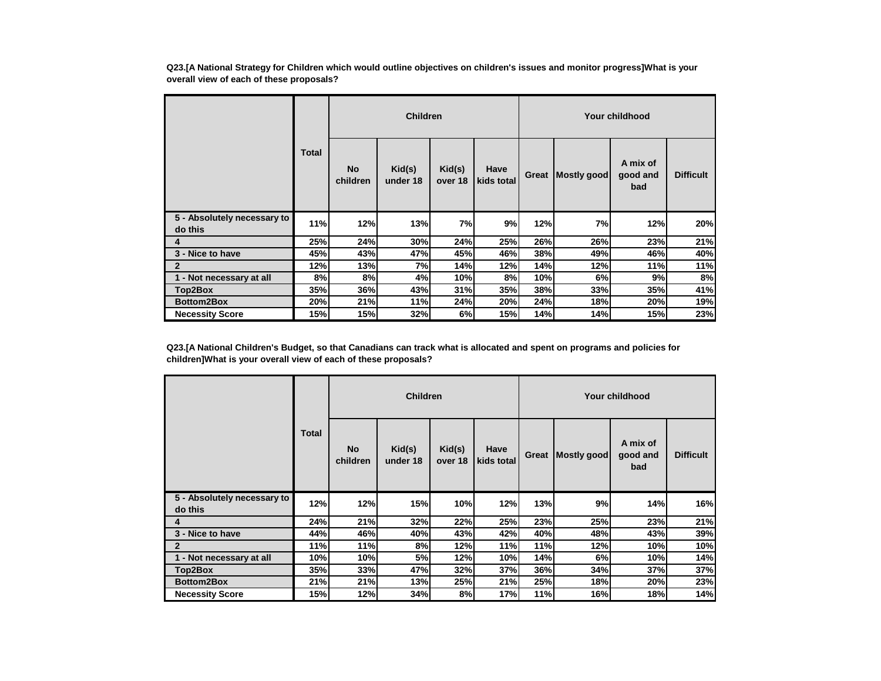**Q23.[A National Strategy for Children which would outline objectives on children's issues and monitor progress]What is your overall view of each of these proposals?**

|                                        | <b>Children</b> |                       |                    |                   |                    | Your childhood |             |                             |                  |  |
|----------------------------------------|-----------------|-----------------------|--------------------|-------------------|--------------------|----------------|-------------|-----------------------------|------------------|--|
|                                        | <b>Total</b>    | <b>No</b><br>children | Kid(s)<br>under 18 | Kid(s)<br>over 18 | Have<br>kids total | Great          | Mostly good | A mix of<br>good and<br>bad | <b>Difficult</b> |  |
| 5 - Absolutely necessary to<br>do this | 11%             | 12%                   | 13%                | 7%                | 9%                 | 12%            | 7%          | 12%                         | 20%              |  |
| 4                                      | 25%             | 24%                   | 30%                | 24%               | 25%                | 26%            | 26%         | 23%                         | 21%              |  |
| 3 - Nice to have                       | 45%             | 43%                   | 47%                | 45%               | 46%                | 38%            | 49%         | 46%                         | 40%              |  |
| $\mathbf{2}$                           | 12%             | 13%                   | 7%                 | 14%               | 12%                | 14%            | 12%         | 11%                         | 11%              |  |
| 1 - Not necessary at all               | 8%              | 8%                    | 4%                 | 10%               | 8%                 | 10%            | 6%          | 9%                          | 8%               |  |
| Top2Box                                | 35%             | 36%                   | 43%                | 31%               | 35%                | 38%            | 33%         | 35%                         | 41%              |  |
| Bottom2Box                             | 20%             | 21%                   | 11%                | 24%               | 20%                | 24%            | 18%         | 20%                         | 19%              |  |
| <b>Necessity Score</b>                 | 15%             | 15%                   | 32%                | 6%                | 15%                | 14%            | 14%         | 15%                         | 23%              |  |

**Q23.[A National Children's Budget, so that Canadians can track what is allocated and spent on programs and policies for children]What is your overall view of each of these proposals?**

|                                        |       | <b>Children</b>       |                    |                   |                    | <b>Your childhood</b> |             |                             |                  |  |
|----------------------------------------|-------|-----------------------|--------------------|-------------------|--------------------|-----------------------|-------------|-----------------------------|------------------|--|
|                                        | Total | <b>No</b><br>children | Kid(s)<br>under 18 | Kid(s)<br>over 18 | Have<br>kids total | Great                 | Mostly good | A mix of<br>good and<br>bad | <b>Difficult</b> |  |
| 5 - Absolutely necessary to<br>do this | 12%   | 12%                   | <b>15%</b>         | 10%               | 12%                | 13%                   | 9%          | 14%                         | 16%              |  |
| 4                                      | 24%   | 21%                   | 32%                | 22%               | <b>25%</b>         | 23%                   | 25%         | 23%                         | 21%              |  |
| 3 - Nice to have                       | 44%   | 46%                   | 40%                | 43%               | 42%                | 40%                   | 48%         | 43%                         | 39%              |  |
| $\mathbf{2}$                           | 11%   | 11%                   | 8%                 | 12%               | 11%                | 11%                   | 12%         | 10%                         | 10%              |  |
| 1 - Not necessary at all               | 10%   | 10%                   | 5%                 | 12%               | 10%                | 14%                   | 6%          | 10%                         | 14%              |  |
| Top2Box                                | 35%   | 33%                   | 47%                | 32%               | 37%                | 36%                   | 34%         | 37%                         | 37%              |  |
| <b>Bottom2Box</b>                      | 21%   | 21%                   | 13%                | 25%               | 21%                | 25%                   | 18%         | 20%                         | 23%              |  |
| <b>Necessity Score</b>                 | 15%   | 12%                   | 34%                | 8%                | 17%                | 11%                   | 16%         | 18%                         | 14%              |  |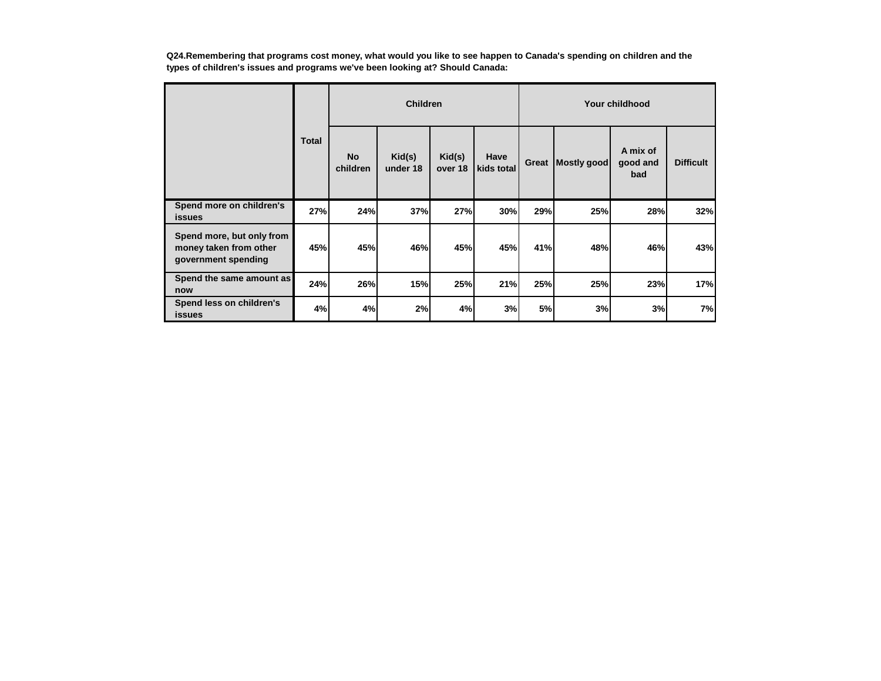**Q24.Remembering that programs cost money, what would you like to see happen to Canada's spending on children and the types of children's issues and programs we've been looking at? Should Canada:**

|                                                                            |              | <b>Children</b>       |                    |                   |                    |           | Your childhood |                             |                  |  |  |
|----------------------------------------------------------------------------|--------------|-----------------------|--------------------|-------------------|--------------------|-----------|----------------|-----------------------------|------------------|--|--|
|                                                                            | <b>Total</b> | <b>No</b><br>children | Kid(s)<br>under 18 | Kid(s)<br>over 18 | Have<br>kids total | Great     | Mostly good    | A mix of<br>good and<br>bad | <b>Difficult</b> |  |  |
| Spend more on children's<br><b>issues</b>                                  | 27%          | 24%                   | 37%                | 27%               | 30%                | 29%       | 25%            | 28%                         | 32%              |  |  |
| Spend more, but only from<br>money taken from other<br>government spending | 45%          | 45%                   | 46%                | 45%               | 45%                | 41%       | 48%            | 46%                         | 43%              |  |  |
| Spend the same amount as<br>now                                            | 24%          | 26%                   | 15%                | 25%               | 21%                | 25%       | 25%            | 23%                         | 17%              |  |  |
| Spend less on children's<br><b>issues</b>                                  | 4%           | 4%                    | 2%                 | 4%                | 3%                 | <b>5%</b> | 3%             | 3%                          | 7%               |  |  |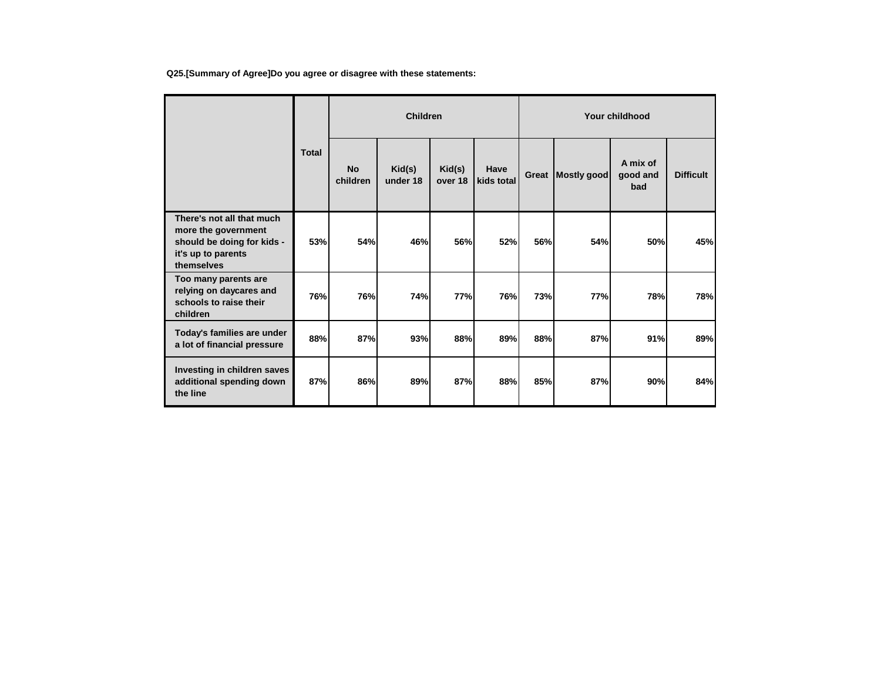**Q25.[Summary of Agree]Do you agree or disagree with these statements:**

|                                                                                       |              | <b>Children</b>       |                    |                   |                    | Your childhood |             |                             |                  |  |
|---------------------------------------------------------------------------------------|--------------|-----------------------|--------------------|-------------------|--------------------|----------------|-------------|-----------------------------|------------------|--|
| There's not all that much                                                             | <b>Total</b> | <b>No</b><br>children | Kid(s)<br>under 18 | Kid(s)<br>over 18 | Have<br>kids total | Great          | Mostly good | A mix of<br>good and<br>bad | <b>Difficult</b> |  |
| more the government<br>should be doing for kids -<br>it's up to parents<br>themselves | 53%          | 54%                   | 46%                | 56%               | 52%                | 56%            | 54%         | 50%                         | 45%              |  |
| Too many parents are<br>relying on daycares and<br>schools to raise their<br>children | 76%          | 76%                   | 74%                | 77%               | 76%                | 73%            | <b>77%</b>  | 78%                         | 78%              |  |
| Today's families are under<br>a lot of financial pressure                             | 88%          | 87%                   | 93%                | 88%               | 89%                | 88%            | 87%         | 91%                         | 89%              |  |
| Investing in children saves<br>additional spending down<br>the line                   | 87%          | 86%                   | 89%                | 87%               | 88%                | 85%            | 87%         | 90%                         | 84%              |  |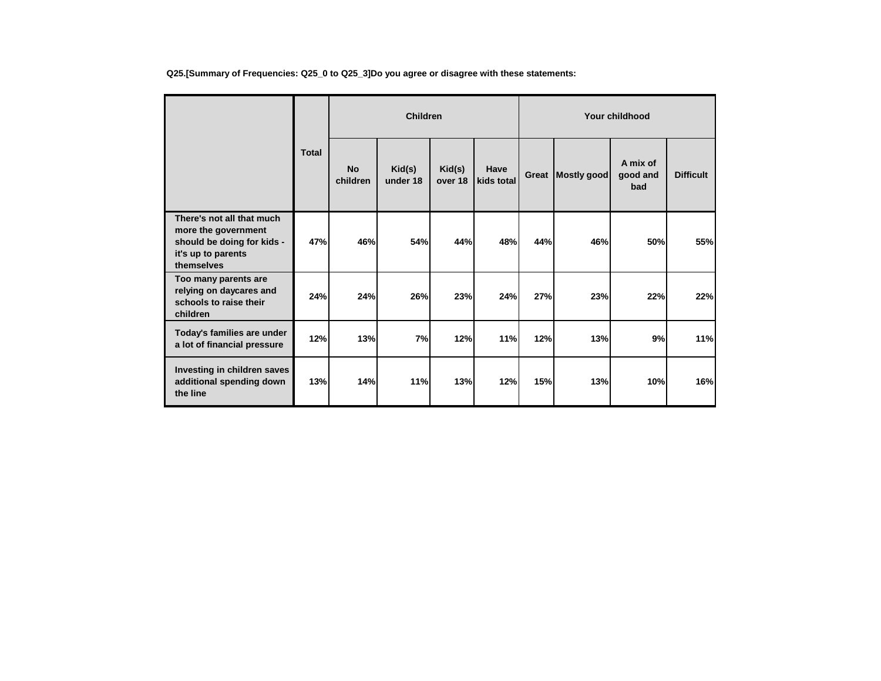| Q25.[Summary of Frequencies: Q25_0 to Q25_3]Do you agree or disagree with these statements: |  |
|---------------------------------------------------------------------------------------------|--|
|---------------------------------------------------------------------------------------------|--|

|                                                                                                                    |              |                       | <b>Children</b>    |                   |                    | <b>Your childhood</b> |             |                             |                  |  |
|--------------------------------------------------------------------------------------------------------------------|--------------|-----------------------|--------------------|-------------------|--------------------|-----------------------|-------------|-----------------------------|------------------|--|
|                                                                                                                    | <b>Total</b> | <b>No</b><br>children | Kid(s)<br>under 18 | Kid(s)<br>over 18 | Have<br>kids total | Great                 | Mostly good | A mix of<br>good and<br>bad | <b>Difficult</b> |  |
| There's not all that much<br>more the government<br>should be doing for kids -<br>it's up to parents<br>themselves | 47%          | 46%                   | 54%                | 44%               | 48%                | 44%                   | 46%         | 50%                         | 55%              |  |
| Too many parents are<br>relying on daycares and<br>schools to raise their<br>children                              | 24%          | 24%                   | 26%                | 23%               | 24%                | 27%                   | 23%         | 22%                         | 22%              |  |
| Today's families are under<br>a lot of financial pressure                                                          | 12%          | 13%                   | 7%                 | 12%               | 11%                | 12%                   | 13%         | 9%                          | 11%              |  |
| Investing in children saves<br>additional spending down<br>the line                                                | 13%          | 14%                   | 11%                | 13%               | 12%                | 15%                   | 13%         | 10%                         | 16%              |  |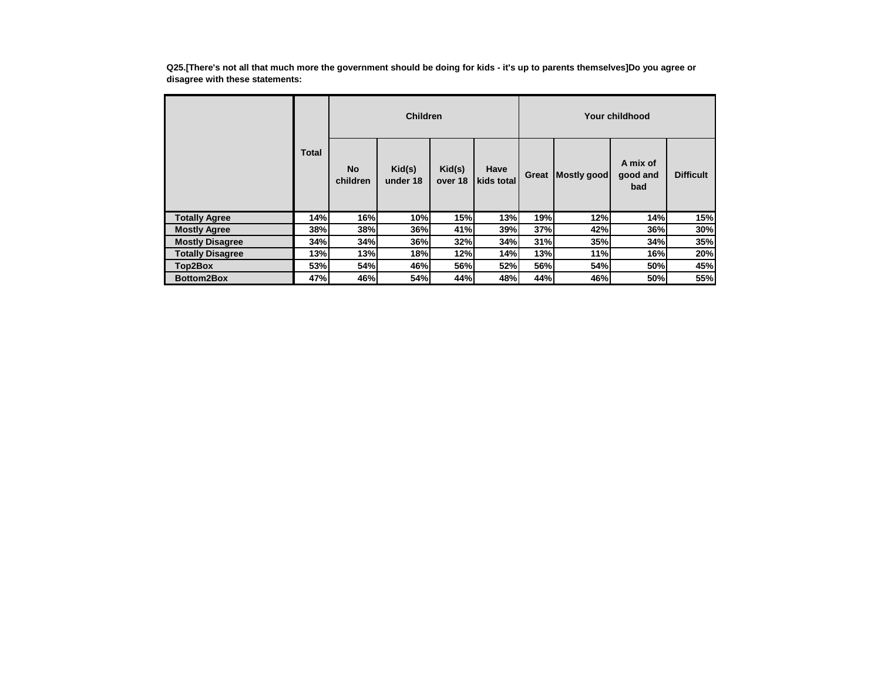**Q25.[There's not all that much more the government should be doing for kids - it's up to parents themselves]Do you agree or disagree with these statements:**

|                         |              |                       | <b>Children</b>    |                   |                    | Your childhood |             |                             |                  |  |
|-------------------------|--------------|-----------------------|--------------------|-------------------|--------------------|----------------|-------------|-----------------------------|------------------|--|
|                         | <b>Total</b> | <b>No</b><br>children | Kid(s)<br>under 18 | Kid(s)<br>over 18 | Have<br>kids total | Great          | Mostly good | A mix of<br>good and<br>bad | <b>Difficult</b> |  |
| <b>Totally Agree</b>    | 14%          | 16%                   | 10%                | 15%               | 13%                | 19%            | 12%         | 14%                         | 15%              |  |
| <b>Mostly Agree</b>     | 38%          | 38%                   | 36%                | 41%               | 39%                | 37%            | 42%         | 36%                         | 30%              |  |
| <b>Mostly Disagree</b>  | 34%          | 34%                   | 36%                | 32%               | 34%                | 31%            | 35%         | 34%                         | 35%              |  |
| <b>Totally Disagree</b> | 13%          | 13%                   | 18%                | 12%               | 14%                | 13%            | 11%         | 16%                         | 20%              |  |
| Top2Box                 | 53%          | 54%                   | 46%                | 56%               | 52%                | 56%            | 54%         | 50%                         | 45%              |  |
| <b>Bottom2Box</b>       | 47%          | 46%                   | <b>54%</b>         | 44%               | 48%                | 44%            | 46%         | 50%                         | 55%              |  |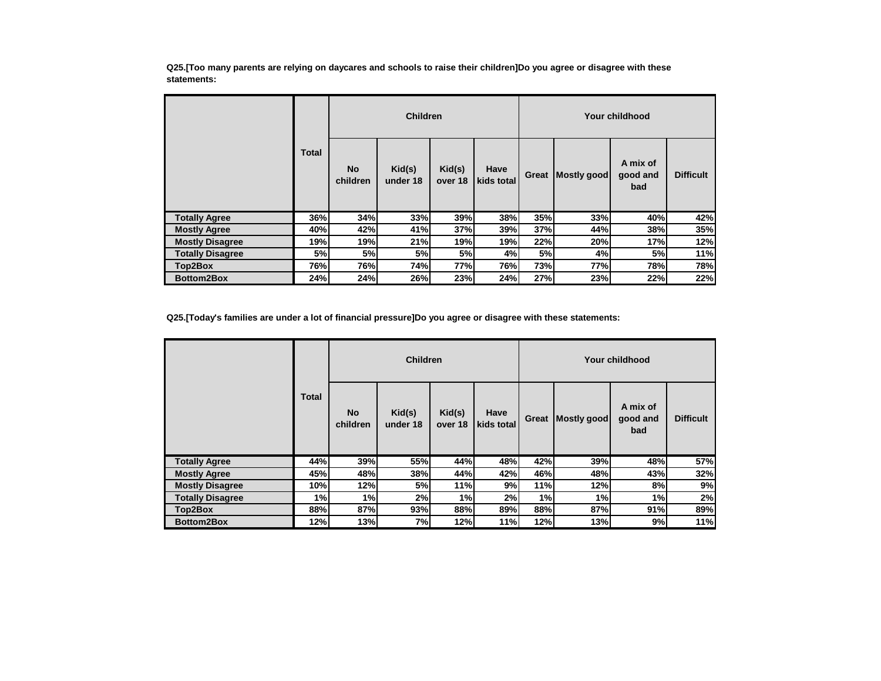**Q25.[Too many parents are relying on daycares and schools to raise their children]Do you agree or disagree with these statements:**

|                         |              |                       | <b>Children</b>    |                   |                    | Your childhood |             |                             |                  |
|-------------------------|--------------|-----------------------|--------------------|-------------------|--------------------|----------------|-------------|-----------------------------|------------------|
|                         | <b>Total</b> | <b>No</b><br>children | Kid(s)<br>under 18 | Kid(s)<br>over 18 | Have<br>kids total | Great          | Mostly good | A mix of<br>good and<br>bad | <b>Difficult</b> |
| <b>Totally Agree</b>    | 36%          | 34%                   | 33%                | 39%               | 38%                | 35%            | 33%         | 40%                         | 42%              |
| <b>Mostly Agree</b>     | 40%          | 42%                   | 41%                | 37%               | 39%                | 37%            | 44%         | 38%                         | 35%              |
| <b>Mostly Disagree</b>  | 19%          | 19%                   | 21%                | 19%               | 19%                | 22%            | 20%         | 17%                         | 12%              |
| <b>Totally Disagree</b> | 5%           | 5%                    | 5%                 | 5%                | 4%                 | 5%             | 4%          | 5%                          | 11%              |
| Top2Box                 | 76%          | 76%                   | 74%                | 77%               | 76%                | 73%            | 77%         | 78%                         | 78%              |
| <b>Bottom2Box</b>       | 24%          | 24%                   | 26%                | 23%               | 24%                | 27%            | 23%         | 22%                         | 22%              |

**Q25.[Today's families are under a lot of financial pressure]Do you agree or disagree with these statements:**

|                         |              |                       | <b>Children</b>                        |                   |                    |       |             | Your childhood              |                  |
|-------------------------|--------------|-----------------------|----------------------------------------|-------------------|--------------------|-------|-------------|-----------------------------|------------------|
|                         | <b>Total</b> | <b>No</b><br>children | $\mathsf{Kid}(\mathsf{s})$<br>under 18 | Kid(s)<br>over 18 | Have<br>kids total | Great | Mostly good | A mix of<br>good and<br>bad | <b>Difficult</b> |
| <b>Totally Agree</b>    | 44%          | 39%                   | 55%                                    | 44%               | 48%                | 42%   | 39%         | 48%                         | 57%              |
| <b>Mostly Agree</b>     | 45%          | 48%                   | 38%                                    | 44%               | 42%                | 46%   | 48%         | 43%                         | 32%              |
| <b>Mostly Disagree</b>  | 10%          | 12%                   | 5%                                     | 11%               | 9%                 | 11%   | 12%         | 8%                          | 9%               |
| <b>Totally Disagree</b> | 1%           | 1%                    | 2%                                     | 1%                | 2%                 | 1%    | 1%          | 1%                          | 2%               |
| Top2Box                 | 88%          | 87%                   | 93%                                    | 88%               | 89%                | 88%   | 87%         | 91%                         | 89%              |
| Bottom2Box              | 12%          | 13%                   | 7%                                     | 12%               | 11%                | 12%   | 13%         | 9%                          | 11%              |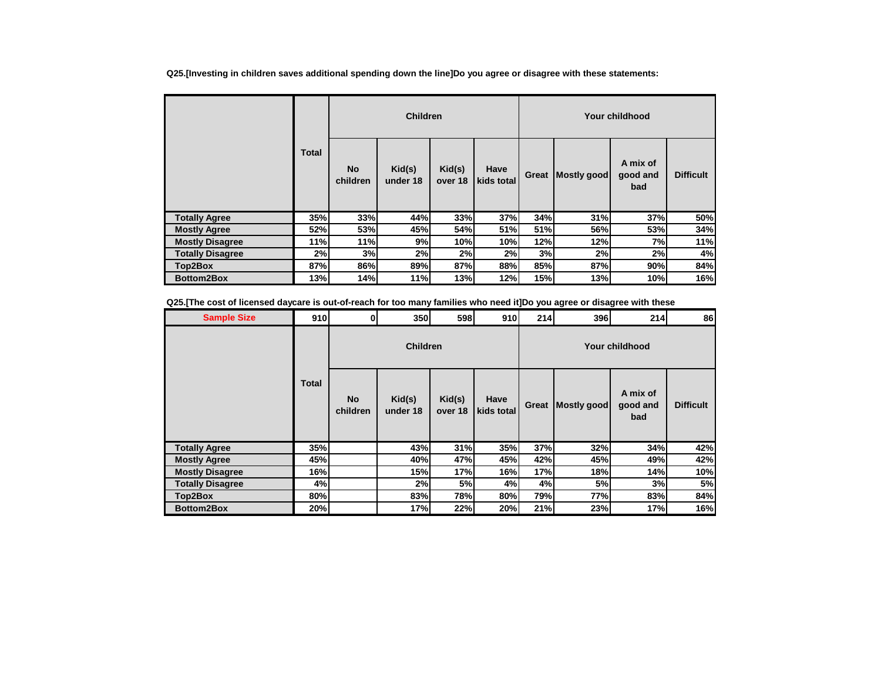**Q25.[Investing in children saves additional spending down the line]Do you agree or disagree with these statements:**

|                         |              |                       | <b>Children</b>    |                   |                    | Your childhood |             |                             |                  |  |
|-------------------------|--------------|-----------------------|--------------------|-------------------|--------------------|----------------|-------------|-----------------------------|------------------|--|
|                         | <b>Total</b> | <b>No</b><br>children | Kid(s)<br>under 18 | Kid(s)<br>over 18 | Have<br>kids total | Great          | Mostly good | A mix of<br>good and<br>bad | <b>Difficult</b> |  |
| <b>Totally Agree</b>    | 35%          | 33%                   | 44%                | 33%               | 37%                | 34%            | 31%         | 37%                         | 50%              |  |
| <b>Mostly Agree</b>     | 52%          | 53%                   | 45%                | 54%               | 51%                | 51%            | 56%         | 53%                         | 34%              |  |
| <b>Mostly Disagree</b>  | 11%          | 11%                   | 9%                 | 10%               | 10%                | 12%            | 12%         | 7%                          | 11%              |  |
| <b>Totally Disagree</b> | 2%           | 3%                    | 2%                 | 2%                | 2%                 | 3%             | 2%          | 2%                          | 4%               |  |
| Top2Box                 | 87%          | 86%                   | 89%                | 87%               | 88%                | 85%            | 87%         | 90%                         | 84%              |  |
| <b>Bottom2Box</b>       | 13%          | 14%                   | 11%                | 13%               | 12%                | 15%            | 13%         | 10%                         | 16%              |  |

**Q25.[The cost of licensed daycare is out-of-reach for too many families who need it]Do you agree or disagree with these** 

| <b>Sample Size</b>      | 910          | $\mathbf{0}$          | 350                | 598               | 910                | 214   | 396                | 214                         | 86               |
|-------------------------|--------------|-----------------------|--------------------|-------------------|--------------------|-------|--------------------|-----------------------------|------------------|
|                         |              |                       | <b>Children</b>    |                   |                    |       |                    | Your childhood              |                  |
|                         | <b>Total</b> | <b>No</b><br>children | Kid(s)<br>under 18 | Kid(s)<br>over 18 | Have<br>kids total | Great | <b>Mostly good</b> | A mix of<br>good and<br>bad | <b>Difficult</b> |
| <b>Totally Agree</b>    | 35%          |                       | 43%                | 31%               | 35%                | 37%   | 32%                | 34%                         | 42%              |
| <b>Mostly Agree</b>     | 45%          |                       | 40%                | 47%               | 45%                | 42%   | 45%                | 49%                         | 42%              |
| <b>Mostly Disagree</b>  | 16%          |                       | 15%                | 17%               | 16%                | 17%   | 18%                | 14%                         | 10%              |
| <b>Totally Disagree</b> | 4%           |                       | 2%                 | 5%                | 4%                 | 4%    | 5%                 | 3%                          | 5%               |
| Top2Box                 | 80%          |                       | 83%                | 78%               | 80%                | 79%   | 77%                | 83%                         | 84%              |
| <b>Bottom2Box</b>       | 20%          |                       | 17%                | 22%               | 20%                | 21%   | 23%                | 17%                         | 16%              |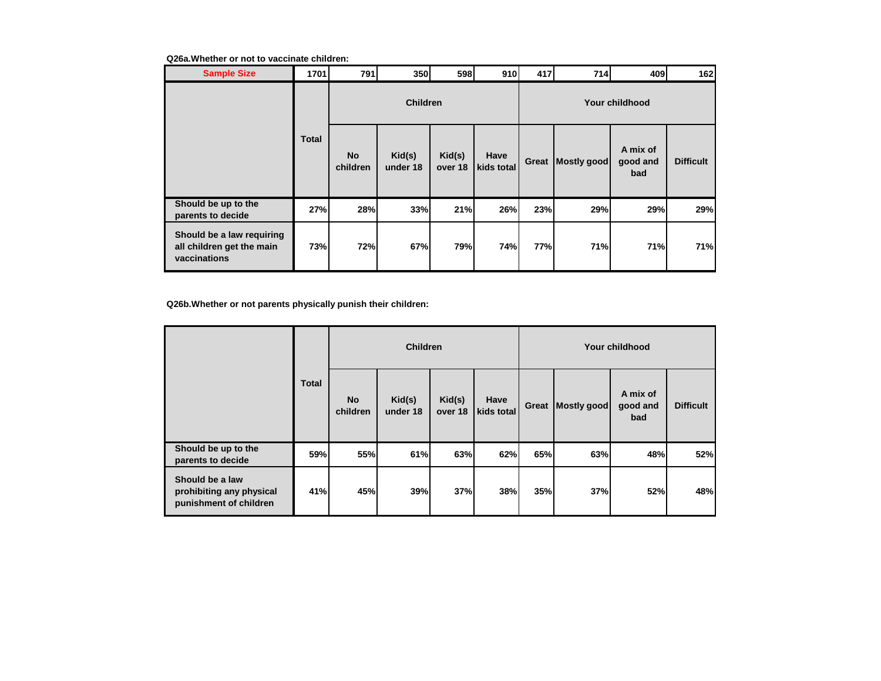### **Q26a.Whether or not to vaccinate children:**

| <b>Sample Size</b>                                                     | 1701         | 791                   | 350                | 598               | 910                | 417   | 714         | 409                         | 162              |
|------------------------------------------------------------------------|--------------|-----------------------|--------------------|-------------------|--------------------|-------|-------------|-----------------------------|------------------|
|                                                                        |              |                       | <b>Children</b>    |                   |                    |       |             | Your childhood              |                  |
|                                                                        | <b>Total</b> | <b>No</b><br>children | Kid(s)<br>under 18 | Kid(s)<br>over 18 | Have<br>kids total | Great | Mostly good | A mix of<br>good and<br>bad | <b>Difficult</b> |
| Should be up to the<br>parents to decide                               | 27%          | 28%                   | 33%                | 21%               | 26%                | 23%   | 29%         | 29%                         | 29%              |
| Should be a law requiring<br>all children get the main<br>vaccinations | 73%          | 72%                   | 67%                | 79%               | 74%                | 77%   | <b>71%</b>  | 71%                         | 71%              |

**Q26b.Whether or not parents physically punish their children:**

|                                                                       |              |                       | <b>Children</b>    |                   |                    | Your childhood |             |                             |                  |  |  |
|-----------------------------------------------------------------------|--------------|-----------------------|--------------------|-------------------|--------------------|----------------|-------------|-----------------------------|------------------|--|--|
|                                                                       | <b>Total</b> | <b>No</b><br>children | Kid(s)<br>under 18 | Kid(s)<br>over 18 | Have<br>kids total | Great          | Mostly good | A mix of<br>good and<br>bad | <b>Difficult</b> |  |  |
| Should be up to the<br>parents to decide                              | 59%          | 55%                   | 61%                | 63%               | 62%                | 65%            | 63%         | 48%                         | 52%              |  |  |
| Should be a law<br>prohibiting any physical<br>punishment of children | 41%          | 45%                   | 39%                | 37%               | 38%                | 35%            | 37%         | 52%                         | 48%              |  |  |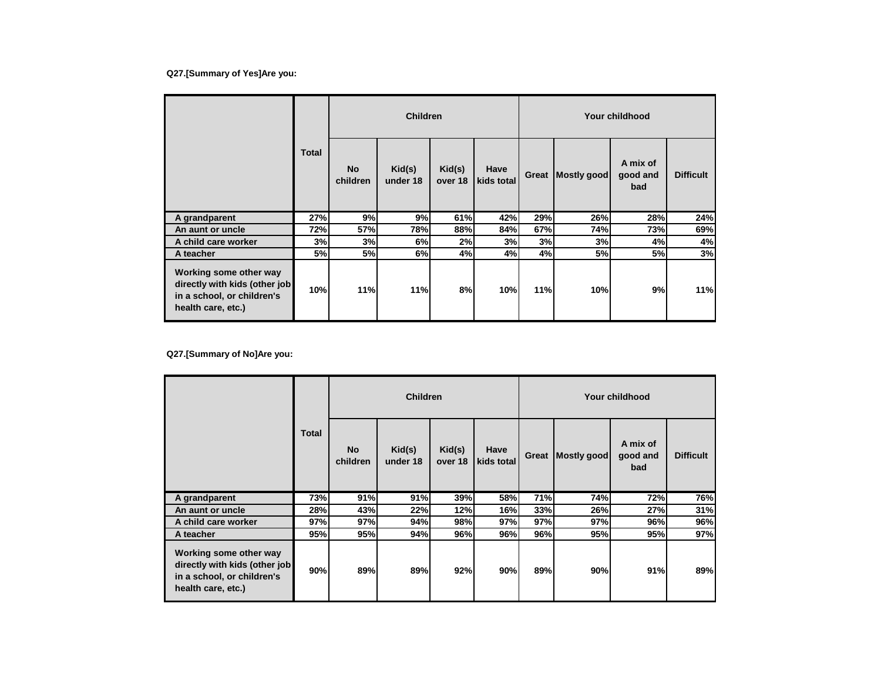## **Q27.[Summary of Yes]Are you:**

|                                                                                                             |              |                       | <b>Children</b>    |                   |                    |       |             | Your childhood              |                  |
|-------------------------------------------------------------------------------------------------------------|--------------|-----------------------|--------------------|-------------------|--------------------|-------|-------------|-----------------------------|------------------|
|                                                                                                             | <b>Total</b> | <b>No</b><br>children | Kid(s)<br>under 18 | Kid(s)<br>over 18 | Have<br>kids total | Great | Mostly good | A mix of<br>good and<br>bad | <b>Difficult</b> |
| A grandparent                                                                                               | 27%          | 9%                    | 9%                 | 61%               | 42%                | 29%   | 26%         | 28%                         | 24%              |
| An aunt or uncle                                                                                            | 72%          | 57%                   | 78%                | 88%               | 84%                | 67%   | 74%         | 73%                         | 69%              |
| A child care worker                                                                                         | 3%           | 3%                    | 6%                 | 2%                | 3%                 | 3%    | 3%          | 4%                          | 4%               |
| A teacher                                                                                                   | 5%           | 5%                    | 6%                 | 4%                | 4%                 | 4%    | 5%          | 5%                          | 3%               |
| Working some other way<br>directly with kids (other job<br>in a school, or children's<br>health care, etc.) | 10%          | 11%                   | 11%                | 8%                | 10%                | 11%   | 10%         | 9%                          | 11%              |

**Q27.[Summary of No]Are you:**

|                                                                                                             |              |                       | <b>Children</b>    |                   |                    |       |             | Your childhood              |                  |
|-------------------------------------------------------------------------------------------------------------|--------------|-----------------------|--------------------|-------------------|--------------------|-------|-------------|-----------------------------|------------------|
|                                                                                                             | <b>Total</b> | <b>No</b><br>children | Kid(s)<br>under 18 | Kid(s)<br>over 18 | Have<br>kids total | Great | Mostly good | A mix of<br>good and<br>bad | <b>Difficult</b> |
| A grandparent                                                                                               | 73%          | 91%                   | 91%                | 39%               | 58%                | 71%   | 74%         | 72%                         | 76%              |
| An aunt or uncle                                                                                            | 28%          | 43%                   | 22%                | 12%               | 16%                | 33%   | 26%         | 27%                         | 31%              |
| A child care worker                                                                                         | 97%          | 97%                   | 94%                | 98%               | 97%                | 97%   | 97%         | 96%                         | 96%              |
| A teacher                                                                                                   | 95%          | 95%                   | 94%                | 96%               | 96%                | 96%   | 95%         | 95%                         | 97%              |
| Working some other way<br>directly with kids (other job<br>in a school, or children's<br>health care, etc.) | 90%          | 89%                   | 89%                | 92%               | 90%                | 89%   | 90%         | 91%                         | 89%              |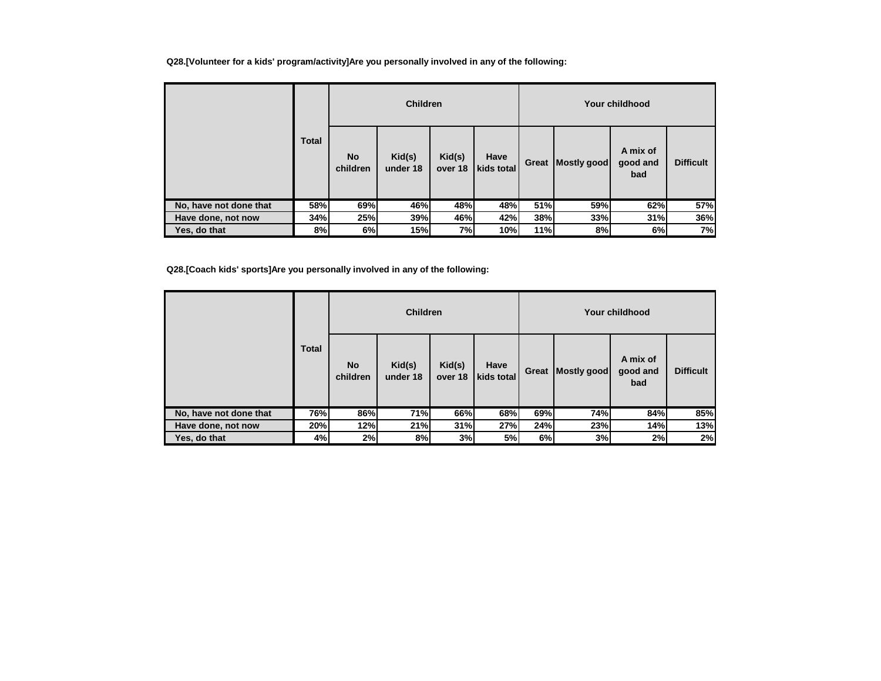**Q28.[Volunteer for a kids' program/activity]Are you personally involved in any of the following:**

|                        |              |                       | <b>Children</b>    |                   |                    |       |             | Your childhood              |                  |
|------------------------|--------------|-----------------------|--------------------|-------------------|--------------------|-------|-------------|-----------------------------|------------------|
|                        | <b>Total</b> | <b>No</b><br>children | Kid(s)<br>under 18 | Kid(s)<br>over 18 | Have<br>kids total | Great | Mostly good | A mix of<br>good and<br>bad | <b>Difficult</b> |
| No, have not done that | 58%          | 69%                   | 46%                | 48%               | 48%                | 51%   | 59%         | 62%                         | 57%              |
| Have done, not now     | 34%          | 25%                   | 39%                | 46%               | 42%                | 38%   | 33%         | 31%                         | 36%              |
| Yes, do that           | 8%           | 6%                    | 15%                | 7%                | 10%                | 11%   | 8%          | 6%                          | 7%               |

**Q28.[Coach kids' sports]Are you personally involved in any of the following:**

|                        |              |                       | <b>Children</b>    |                   |                    |       |             | Your childhood              |                  |
|------------------------|--------------|-----------------------|--------------------|-------------------|--------------------|-------|-------------|-----------------------------|------------------|
|                        | <b>Total</b> | <b>No</b><br>children | Kid(s)<br>under 18 | Kid(s)<br>over 18 | Have<br>kids total | Great | Mostly good | A mix of<br>good and<br>bad | <b>Difficult</b> |
| No, have not done that | 76%          | 86%                   | 71%                | 66%               | 68%                | 69%   | 74%         | 84%                         | 85%              |
| Have done, not now     | 20%          | 12%                   | 21%                | 31%               | 27%                | 24%   | 23%         | 14%                         | 13%              |
| Yes, do that           | 4%           | 2%                    | 8%                 | 3%                | 5%                 | 6%    | 3%          | 2%                          | 2%               |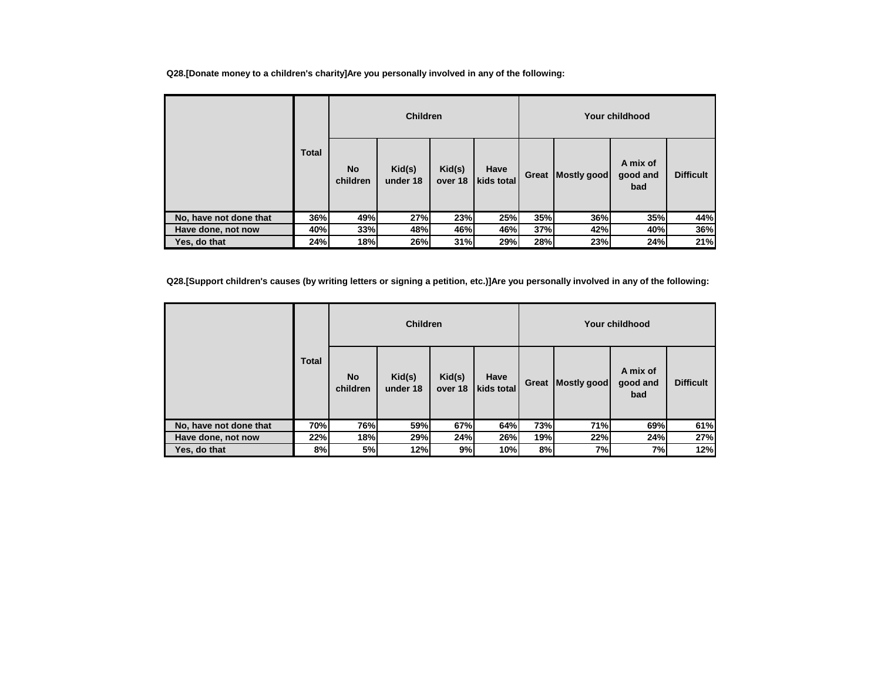**Q28.[Donate money to a children's charity]Are you personally involved in any of the following:**

|                        | <b>Total</b> | <b>Children</b>       |                    |                   |                    |       | Your childhood |                             |                  |  |  |
|------------------------|--------------|-----------------------|--------------------|-------------------|--------------------|-------|----------------|-----------------------------|------------------|--|--|
|                        |              | <b>No</b><br>children | Kid(s)<br>under 18 | Kid(s)<br>over 18 | Have<br>kids total | Great | Mostly good    | A mix of<br>good and<br>bad | <b>Difficult</b> |  |  |
| No, have not done that | 36%          | 49%                   | 27%                | 23%               | <b>25%</b>         | 35%   | 36%            | 35%                         | 44%              |  |  |
| Have done, not now     | 40%          | 33%                   | 48%                | 46%               | 46%                | 37%   | 42%            | 40%                         | 36%              |  |  |
| Yes, do that           | 24%          | 18%                   | 26%                | 31%               | 29%                | 28%   | 23%            | 24%                         | 21%              |  |  |

**Q28.[Support children's causes (by writing letters or signing a petition, etc.)]Are you personally involved in any of the following:**

|                        |              | <b>Children</b>       |                    |                   |                    | Your childhood |             |                             |                  |  |
|------------------------|--------------|-----------------------|--------------------|-------------------|--------------------|----------------|-------------|-----------------------------|------------------|--|
|                        | <b>Total</b> | <b>No</b><br>children | Kid(s)<br>under 18 | Kid(s)<br>over 18 | Have<br>kids total | Great          | Mostly good | A mix of<br>good and<br>bad | <b>Difficult</b> |  |
| No, have not done that | 70%          | 76%                   | 59%                | 67%               | 64%                | 73%            | 71%         | 69%                         | 61%              |  |
| Have done, not now     | 22%          | 18%                   | 29%                | 24%               | 26%                | 19%            | 22%         | 24%                         | 27%              |  |
| Yes, do that           | 8%           | 5%                    | 12%                | 9%                | 10%                | 8%             | 7%          | 7%                          | 12%              |  |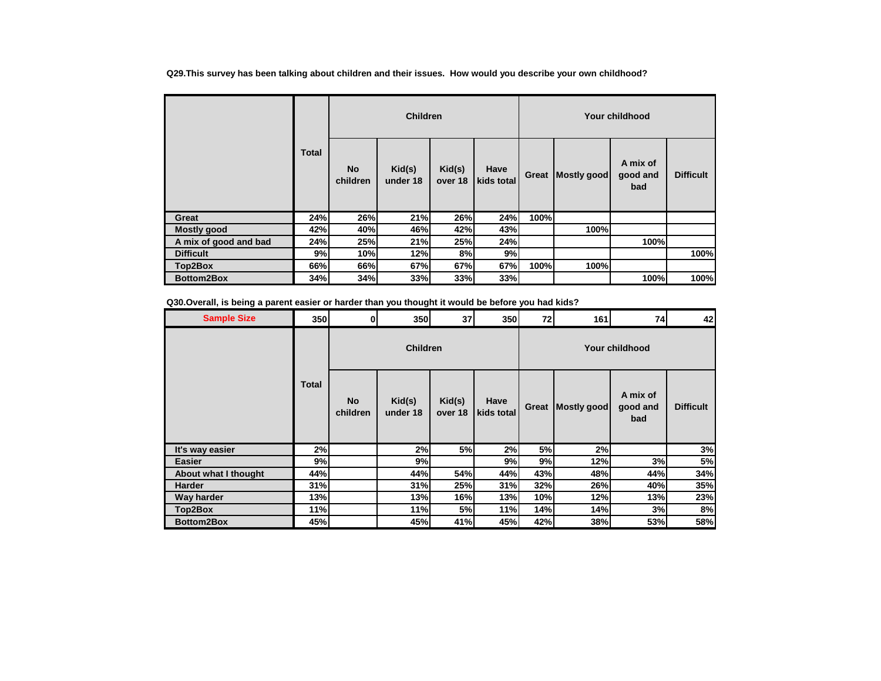**Q29.This survey has been talking about children and their issues. How would you describe your own childhood?**

|                       | <b>Total</b> | <b>Children</b>       |                                        |                   |                    | Your childhood |             |                             |                  |  |
|-----------------------|--------------|-----------------------|----------------------------------------|-------------------|--------------------|----------------|-------------|-----------------------------|------------------|--|
|                       |              | <b>No</b><br>children | $\mathsf{Kid}(\mathsf{s})$<br>under 18 | Kid(s)<br>over 18 | Have<br>kids total | Great          | Mostly good | A mix of<br>good and<br>bad | <b>Difficult</b> |  |
| Great                 | 24%          | 26%                   | 21%                                    | 26%               | 24%                | 100%           |             |                             |                  |  |
| Mostly good           | 42%          | 40%                   | 46%                                    | 42%               | 43%                |                | 100%l       |                             |                  |  |
| A mix of good and bad | 24%          | 25%                   | 21%                                    | 25%               | 24%                |                |             | 100%                        |                  |  |
| <b>Difficult</b>      | 9%           | 10%                   | 12%                                    | 8%                | 9%                 |                |             |                             | 100%             |  |
| Top2Box               | 66%          | 66%                   | 67%                                    | 67%               | 67%                | 100%           | 100%        |                             |                  |  |
| <b>Bottom2Box</b>     | 34%          | 34%                   | 33%                                    | 33%               | 33%                |                |             | 100%                        | 100%             |  |

**Q30.Overall, is being a parent easier or harder than you thought it would be before you had kids?**

| <b>Sample Size</b>   | 350          | $\mathbf{0}$          | 350                | 37                | 350                | 72    | 161         | 74                          | 42               |
|----------------------|--------------|-----------------------|--------------------|-------------------|--------------------|-------|-------------|-----------------------------|------------------|
|                      |              |                       | <b>Children</b>    |                   |                    |       |             | <b>Your childhood</b>       |                  |
|                      | <b>Total</b> | <b>No</b><br>children | Kid(s)<br>under 18 | Kid(s)<br>over 18 | Have<br>kids total | Great | Mostly good | A mix of<br>good and<br>bad | <b>Difficult</b> |
| It's way easier      | 2%           |                       | 2%                 | 5%                | 2%                 | 5%    | 2%          |                             | 3%               |
| <b>Easier</b>        | 9%           |                       | 9%                 |                   | 9%                 | 9%    | 12%         | 3%                          | 5%               |
| About what I thought | 44%          |                       | 44%                | 54%               | 44%                | 43%   | 48%         | 44%                         | 34%              |
| <b>Harder</b>        | 31%          |                       | 31%                | 25%               | 31%                | 32%   | 26%         | 40%                         | 35%              |
| Way harder           | 13%          |                       | 13%                | 16%               | 13%                | 10%   | 12%         | 13%                         | 23%              |
| Top2Box              | 11%          |                       | 11%                | 5%                | 11%                | 14%   | 14%         | 3%                          | 8%               |
| Bottom2Box           | 45%          |                       | 45%                | 41%               | 45%                | 42%   | 38%         | 53%                         | 58%              |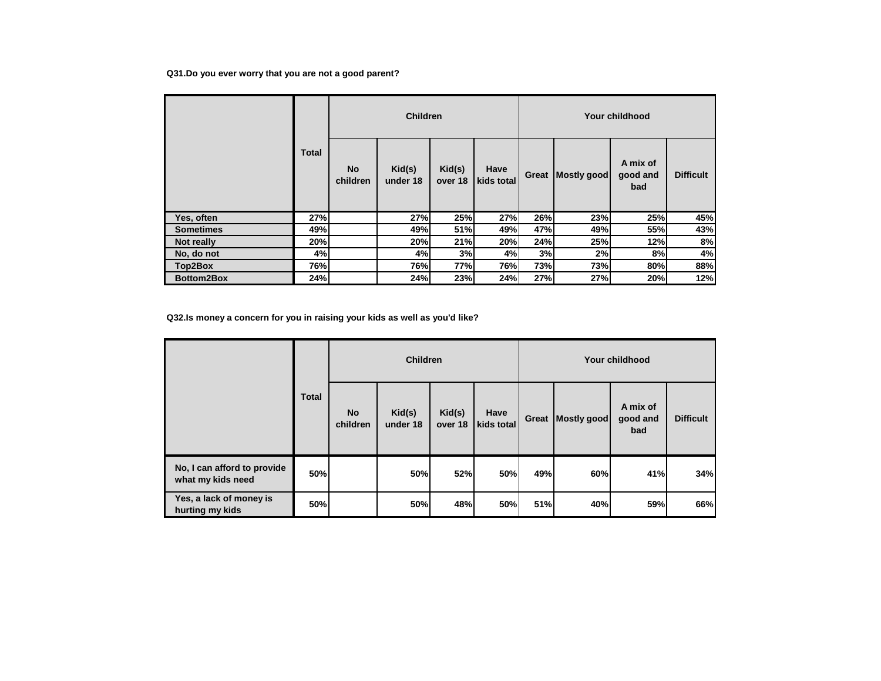## **Q31.Do you ever worry that you are not a good parent?**

|                   | <b>Total</b> | <b>Children</b>       |                    |                   |                    | Your childhood |             |                             |                  |  |
|-------------------|--------------|-----------------------|--------------------|-------------------|--------------------|----------------|-------------|-----------------------------|------------------|--|
|                   |              | <b>No</b><br>children | Kid(s)<br>under 18 | Kid(s)<br>over 18 | Have<br>kids total | Great          | Mostly good | A mix of<br>good and<br>bad | <b>Difficult</b> |  |
| Yes, often        | 27%          |                       | 27%                | 25%               | 27%                | 26%            | 23%         | 25%                         | 45%              |  |
| <b>Sometimes</b>  | 49%          |                       | 49%                | 51%               | 49%                | 47%            | 49%         | 55%                         | 43%              |  |
| Not really        | 20%          |                       | 20%                | 21%               | 20%                | 24%            | 25%         | 12%                         | 8%               |  |
| No, do not        | 4%           |                       | 4%                 | 3%                | 4%                 | 3%             | 2%          | 8%                          | 4%               |  |
| Top2Box           | 76%          |                       | 76%                | 77%               | 76%                | 73%            | 73%         | 80%                         | 88%              |  |
| <b>Bottom2Box</b> | 24%          |                       | 24%                | 23%               | 24%                | 27%            | 27%         | 20%                         | 12%              |  |

**Q32.Is money a concern for you in raising your kids as well as you'd like?**

|                                                  | <b>Total</b> | <b>Children</b>       |                    |                   |                    |       | Your childhood |                             |                  |  |  |
|--------------------------------------------------|--------------|-----------------------|--------------------|-------------------|--------------------|-------|----------------|-----------------------------|------------------|--|--|
|                                                  |              | <b>No</b><br>children | Kid(s)<br>under 18 | Kid(s)<br>over 18 | Have<br>kids total | Great | Mostly good    | A mix of<br>good and<br>bad | <b>Difficult</b> |  |  |
| No, I can afford to provide<br>what my kids need | 50%          |                       | 50%                | 52%               | 50%                | 49%   | 60%            | 41%                         | 34%              |  |  |
| Yes, a lack of money is<br>hurting my kids       | 50%          |                       | 50%                | 48%               | 50%                | 51%   | 40%            | 59%                         | 66%              |  |  |